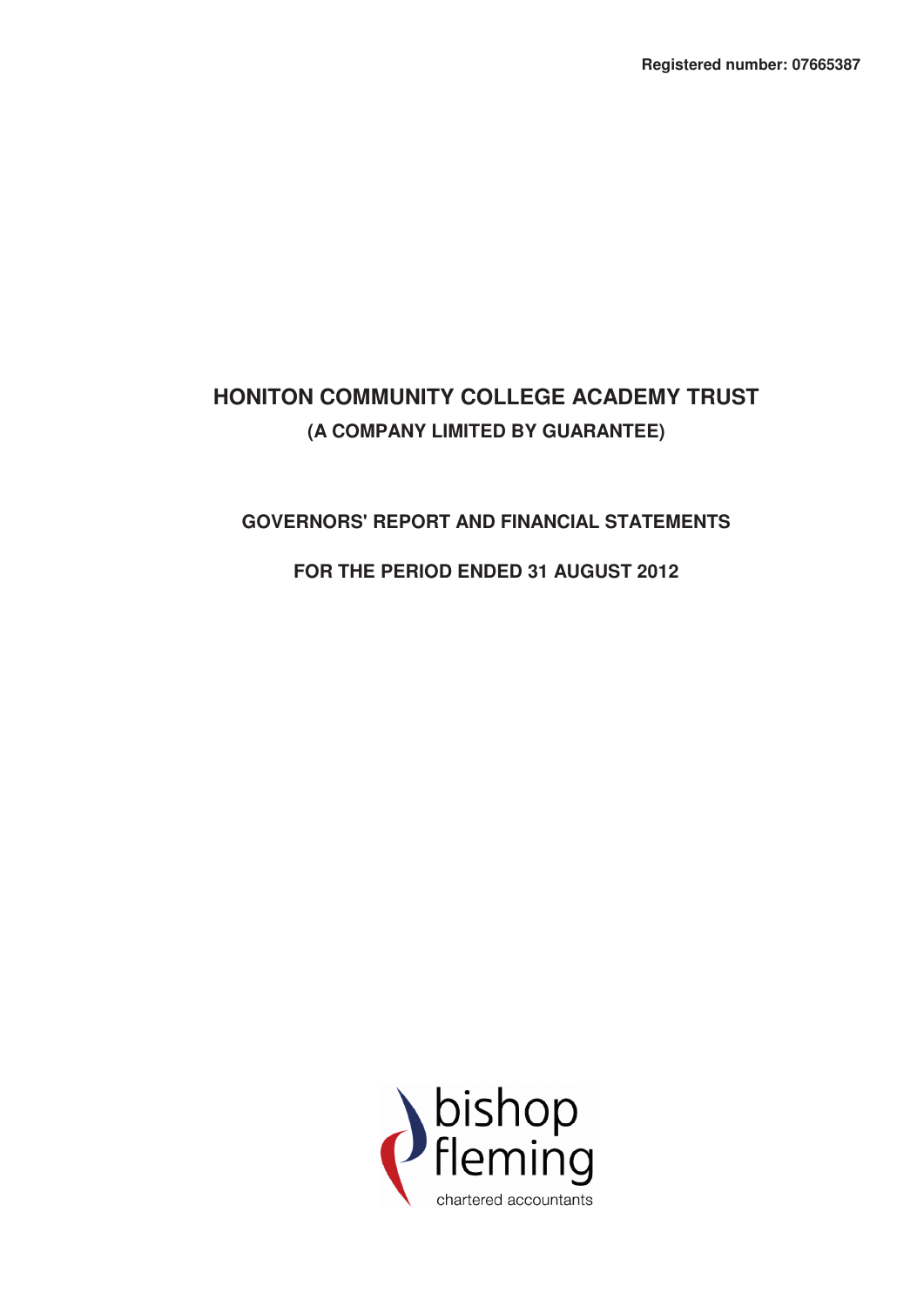# **GOVERNORS' REPORT AND FINANCIAL STATEMENTS**

# **FOR THE PERIOD ENDED 31 AUGUST 2012**

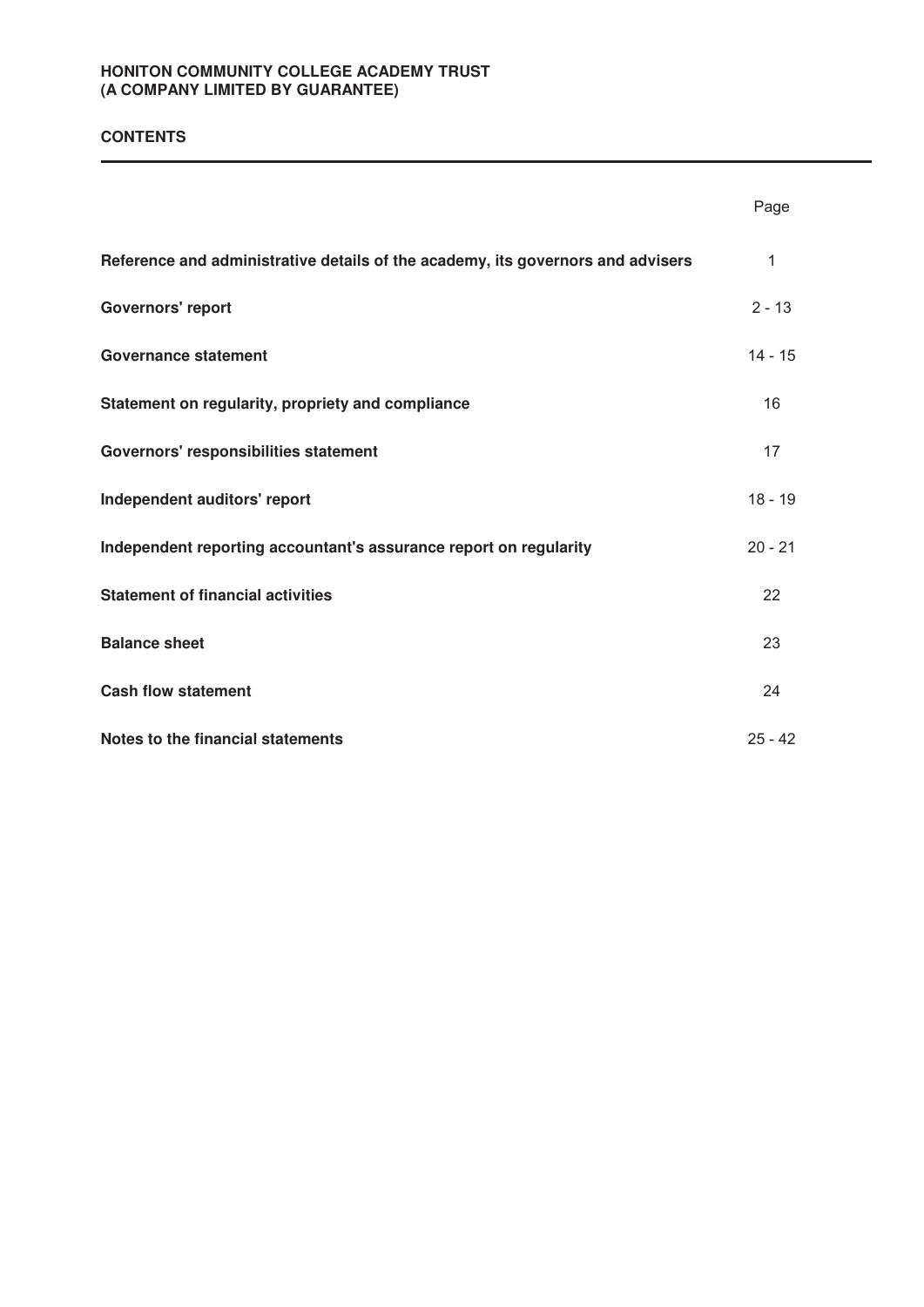# **CONTENTS**

|                                                                                 | Page      |
|---------------------------------------------------------------------------------|-----------|
| Reference and administrative details of the academy, its governors and advisers | 1         |
| <b>Governors' report</b>                                                        | $2 - 13$  |
| <b>Governance statement</b>                                                     | $14 - 15$ |
| Statement on regularity, propriety and compliance                               | 16        |
| Governors' responsibilities statement                                           | 17        |
| Independent auditors' report                                                    | $18 - 19$ |
| Independent reporting accountant's assurance report on regularity               | $20 - 21$ |
| <b>Statement of financial activities</b>                                        | 22        |
| <b>Balance sheet</b>                                                            | 23        |
| <b>Cash flow statement</b>                                                      | 24        |
| Notes to the financial statements                                               | $25 - 42$ |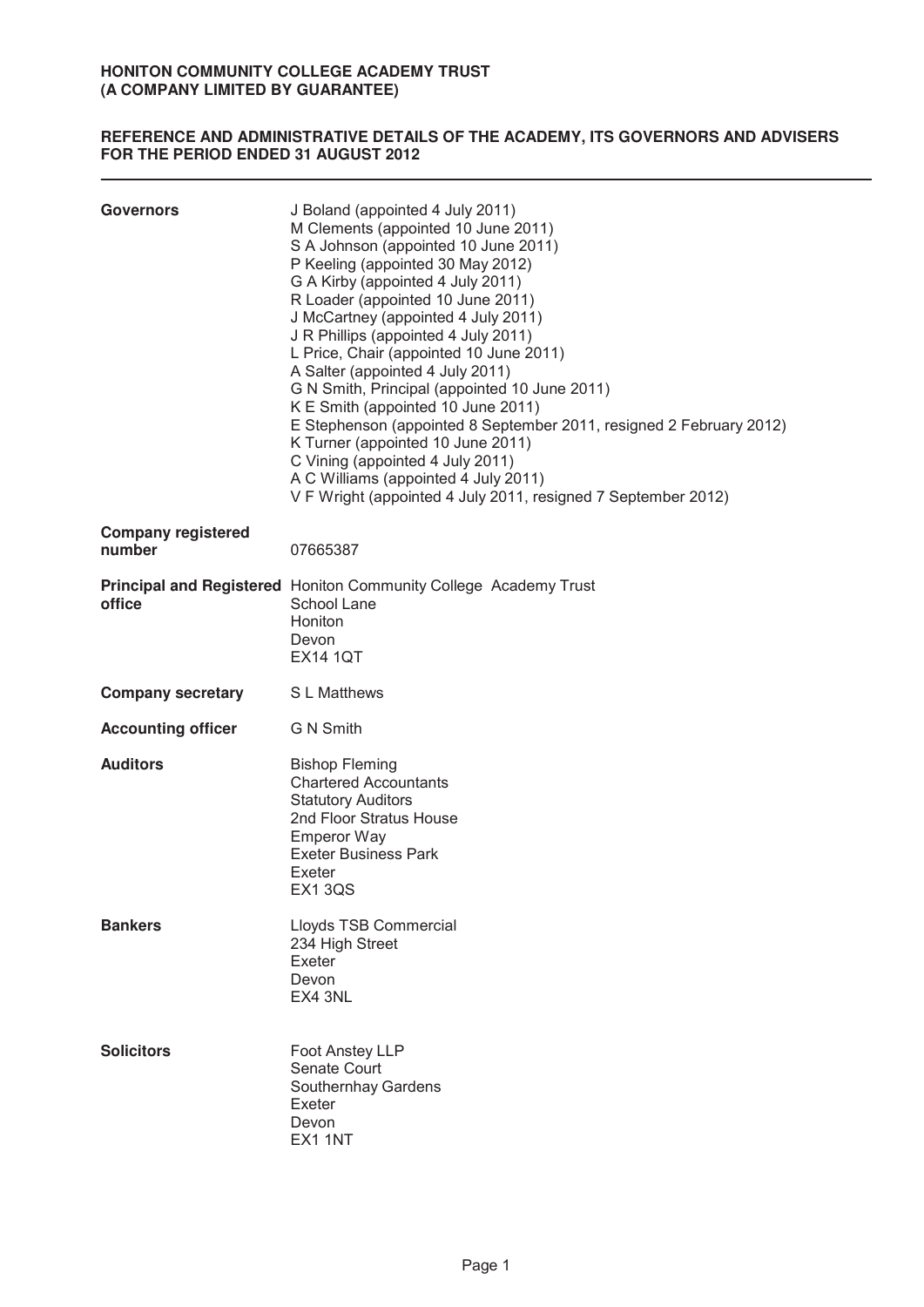# **REFERENCE AND ADMINISTRATIVE DETAILS OF THE ACADEMY, ITS GOVERNORS AND ADVISERS FOR THE PERIOD ENDED 31 AUGUST 2012**

| <b>Governors</b>                    | J Boland (appointed 4 July 2011)<br>M Clements (appointed 10 June 2011)<br>S A Johnson (appointed 10 June 2011)<br>P Keeling (appointed 30 May 2012)<br>G A Kirby (appointed 4 July 2011)<br>R Loader (appointed 10 June 2011)<br>J McCartney (appointed 4 July 2011)<br>J R Phillips (appointed 4 July 2011)<br>L Price, Chair (appointed 10 June 2011)<br>A Salter (appointed 4 July 2011)<br>G N Smith, Principal (appointed 10 June 2011)<br>K E Smith (appointed 10 June 2011)<br>E Stephenson (appointed 8 September 2011, resigned 2 February 2012)<br>K Turner (appointed 10 June 2011)<br>C Vining (appointed 4 July 2011)<br>A C Williams (appointed 4 July 2011)<br>V F Wright (appointed 4 July 2011, resigned 7 September 2012) |
|-------------------------------------|----------------------------------------------------------------------------------------------------------------------------------------------------------------------------------------------------------------------------------------------------------------------------------------------------------------------------------------------------------------------------------------------------------------------------------------------------------------------------------------------------------------------------------------------------------------------------------------------------------------------------------------------------------------------------------------------------------------------------------------------|
| <b>Company registered</b><br>number | 07665387                                                                                                                                                                                                                                                                                                                                                                                                                                                                                                                                                                                                                                                                                                                                     |
| office                              | Principal and Registered Honiton Community College Academy Trust<br>School Lane<br>Honiton<br>Devon<br><b>EX14 1QT</b>                                                                                                                                                                                                                                                                                                                                                                                                                                                                                                                                                                                                                       |
| <b>Company secretary</b>            | S L Matthews                                                                                                                                                                                                                                                                                                                                                                                                                                                                                                                                                                                                                                                                                                                                 |
| <b>Accounting officer</b>           | <b>G N Smith</b>                                                                                                                                                                                                                                                                                                                                                                                                                                                                                                                                                                                                                                                                                                                             |
| <b>Auditors</b>                     | <b>Bishop Fleming</b><br><b>Chartered Accountants</b><br><b>Statutory Auditors</b><br>2nd Floor Stratus House<br><b>Emperor Way</b><br><b>Exeter Business Park</b><br>Exeter<br><b>EX13QS</b>                                                                                                                                                                                                                                                                                                                                                                                                                                                                                                                                                |
| <b>Bankers</b>                      | Lloyds TSB Commercial<br>234 High Street<br>Exeter<br>Devon<br>EX4 3NL                                                                                                                                                                                                                                                                                                                                                                                                                                                                                                                                                                                                                                                                       |
| <b>Solicitors</b>                   | Foot Anstey LLP<br>Senate Court<br>Southernhay Gardens<br>Exeter<br>Devon<br>EX1 1NT                                                                                                                                                                                                                                                                                                                                                                                                                                                                                                                                                                                                                                                         |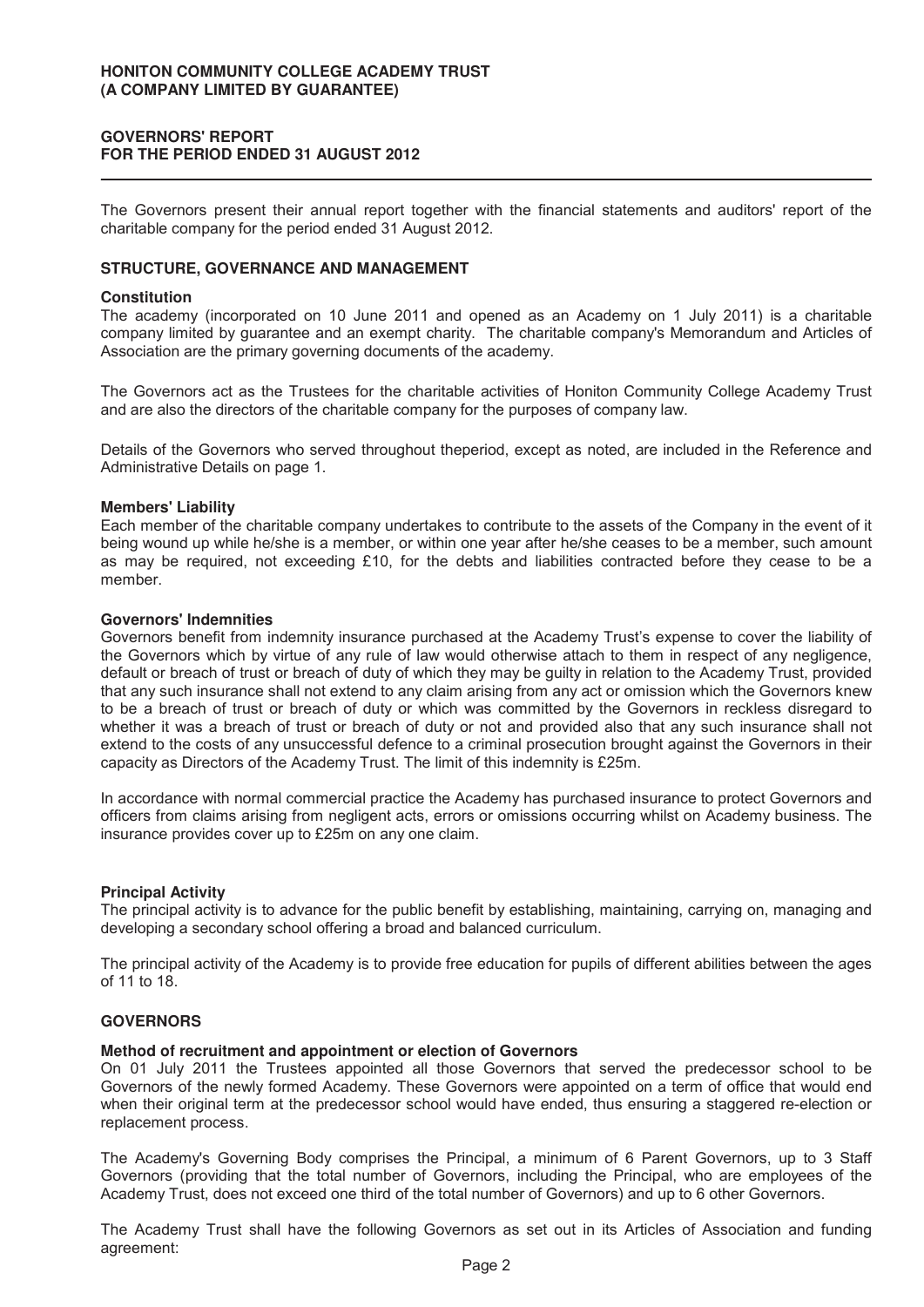# **GOVERNORS' REPORT FOR THE PERIOD ENDED 31 AUGUST 2012**

The Governors present their annual report together with the financial statements and auditors' report of the charitable company for the period ended 31 August 2012.

# **STRUCTURE, GOVERNANCE AND MANAGEMENT**

#### **Constitution**

The academy (incorporated on 10 June 2011 and opened as an Academy on 1 July 2011) is a charitable company limited by guarantee and an exempt charity. The charitable company's Memorandum and Articles of Association are the primary governing documents of the academy.

The Governors act as the Trustees for the charitable activities of Honiton Community College Academy Trust and are also the directors of the charitable company for the purposes of company law.

Details of the Governors who served throughout theperiod, except as noted, are included in the Reference and Administrative Details on page 1.

#### **Members' Liability**

Each member of the charitable company undertakes to contribute to the assets of the Company in the event of it being wound up while he/she is a member, or within one year after he/she ceases to be a member, such amount as may be required, not exceeding £10, for the debts and liabilities contracted before they cease to be a member.

#### **Governors' Indemnities**

Governors benefit from indemnity insurance purchased at the Academy Trust's expense to cover the liability of the Governors which by virtue of any rule of law would otherwise attach to them in respect of any negligence, default or breach of trust or breach of duty of which they may be guilty in relation to the Academy Trust, provided that any such insurance shall not extend to any claim arising from any act or omission which the Governors knew to be a breach of trust or breach of duty or which was committed by the Governors in reckless disregard to whether it was a breach of trust or breach of duty or not and provided also that any such insurance shall not extend to the costs of any unsuccessful defence to a criminal prosecution brought against the Governors in their capacity as Directors of the Academy Trust. The limit of this indemnity is £25m.

In accordance with normal commercial practice the Academy has purchased insurance to protect Governors and officers from claims arising from negligent acts, errors or omissions occurring whilst on Academy business. The insurance provides cover up to £25m on any one claim.

#### **Principal Activity**

The principal activity is to advance for the public benefit by establishing, maintaining, carrying on, managing and developing a secondary school offering a broad and balanced curriculum.

The principal activity of the Academy is to provide free education for pupils of different abilities between the ages of 11 to 18.

# **GOVERNORS**

#### **Method of recruitment and appointment or election of Governors**

On 01 July 2011 the Trustees appointed all those Governors that served the predecessor school to be Governors of the newly formed Academy. These Governors were appointed on a term of office that would end when their original term at the predecessor school would have ended, thus ensuring a staggered re-election or replacement process.

The Academy's Governing Body comprises the Principal, a minimum of 6 Parent Governors, up to 3 Staff Governors (providing that the total number of Governors, including the Principal, who are employees of the Academy Trust, does not exceed one third of the total number of Governors) and up to 6 other Governors.

The Academy Trust shall have the following Governors as set out in its Articles of Association and funding agreement: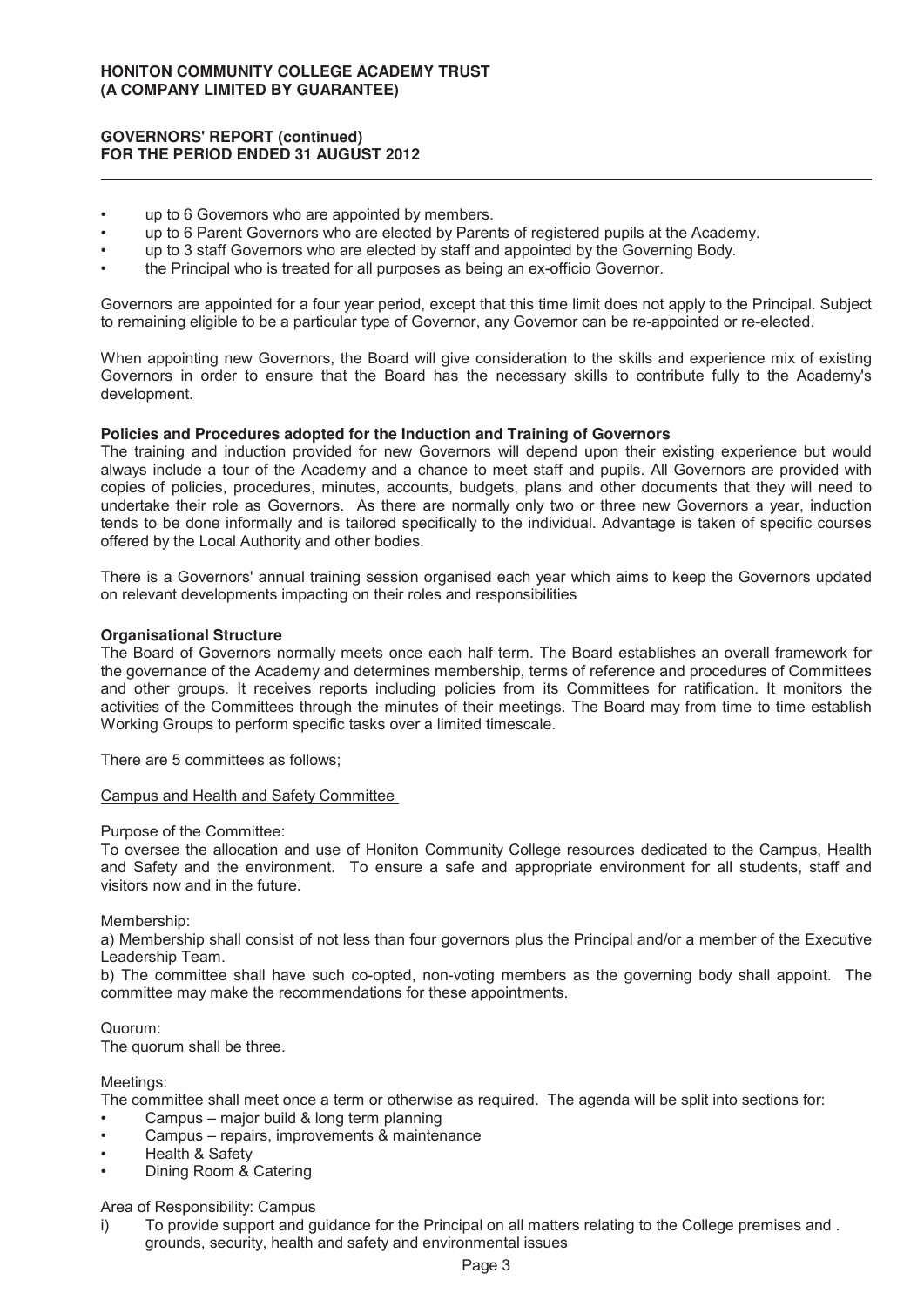#### **GOVERNORS' REPORT (continued) FOR THE PERIOD ENDED 31 AUGUST 2012**

- up to 6 Governors who are appointed by members.
- up to 6 Parent Governors who are elected by Parents of registered pupils at the Academy.
- up to 3 staff Governors who are elected by staff and appointed by the Governing Body.
- the Principal who is treated for all purposes as being an ex-officio Governor.

Governors are appointed for a four year period, except that this time limit does not apply to the Principal. Subject to remaining eligible to be a particular type of Governor, any Governor can be re-appointed or re-elected.

When appointing new Governors, the Board will give consideration to the skills and experience mix of existing Governors in order to ensure that the Board has the necessary skills to contribute fully to the Academy's development.

#### **Policies and Procedures adopted for the Induction and Training of Governors**

The training and induction provided for new Governors will depend upon their existing experience but would always include a tour of the Academy and a chance to meet staff and pupils. All Governors are provided with copies of policies, procedures, minutes, accounts, budgets, plans and other documents that they will need to undertake their role as Governors. As there are normally only two or three new Governors a year, induction tends to be done informally and is tailored specifically to the individual. Advantage is taken of specific courses offered by the Local Authority and other bodies.

There is a Governors' annual training session organised each year which aims to keep the Governors updated on relevant developments impacting on their roles and responsibilities

#### **Organisational Structure**

The Board of Governors normally meets once each half term. The Board establishes an overall framework for the governance of the Academy and determines membership, terms of reference and procedures of Committees and other groups. It receives reports including policies from its Committees for ratification. It monitors the activities of the Committees through the minutes of their meetings. The Board may from time to time establish Working Groups to perform specific tasks over a limited timescale.

There are 5 committees as follows;

#### Campus and Health and Safety Committee

Purpose of the Committee:

To oversee the allocation and use of Honiton Community College resources dedicated to the Campus, Health and Safety and the environment. To ensure a safe and appropriate environment for all students, staff and visitors now and in the future.

Membership:

a) Membership shall consist of not less than four governors plus the Principal and/or a member of the Executive Leadership Team.

b) The committee shall have such co-opted, non-voting members as the governing body shall appoint. The committee may make the recommendations for these appointments.

Quorum:

The quorum shall be three.

Meetings:

The committee shall meet once a term or otherwise as required. The agenda will be split into sections for:

- Campus major build & long term planning
- Campus repairs, improvements & maintenance
- Health & Safety
- Dining Room & Catering

Area of Responsibility: Campus

i) To provide support and guidance for the Principal on all matters relating to the College premises and . grounds, security, health and safety and environmental issues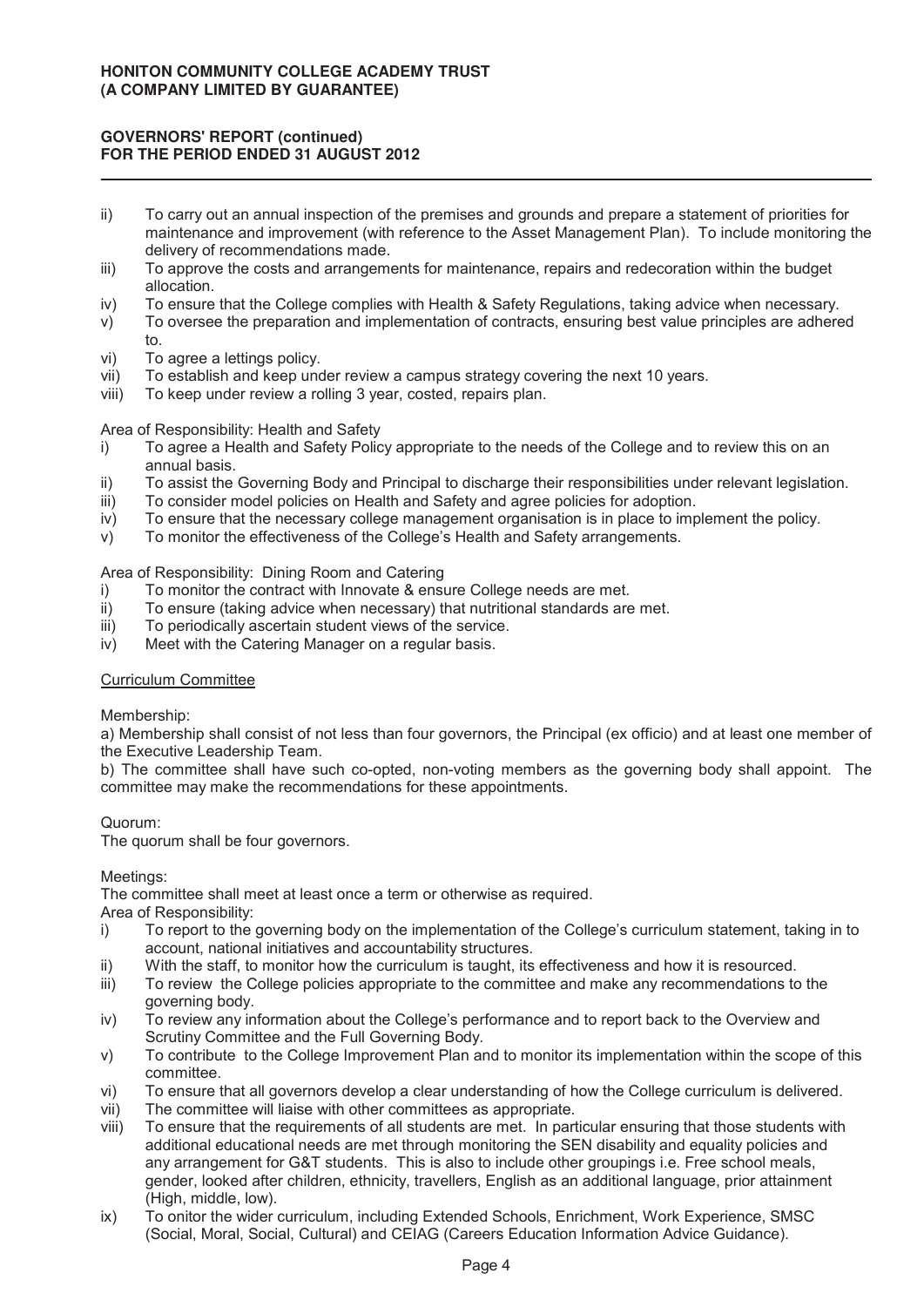# **GOVERNORS' REPORT (continued) FOR THE PERIOD ENDED 31 AUGUST 2012**

- ii) To carry out an annual inspection of the premises and grounds and prepare a statement of priorities for maintenance and improvement (with reference to the Asset Management Plan). To include monitoring the delivery of recommendations made.
- iii) To approve the costs and arrangements for maintenance, repairs and redecoration within the budget allocation.
- iv) To ensure that the College complies with Health & Safety Regulations, taking advice when necessary.
- v) To oversee the preparation and implementation of contracts, ensuring best value principles are adhered to.
- vi) To agree a lettings policy.
- vii) To establish and keep under review a campus strategy covering the next 10 years.
- viii) To keep under review a rolling 3 year, costed, repairs plan.

## Area of Responsibility: Health and Safety

- i) To agree a Health and Safety Policy appropriate to the needs of the College and to review this on an annual basis.
- ii) To assist the Governing Body and Principal to discharge their responsibilities under relevant legislation.
- iii) To consider model policies on Health and Safety and agree policies for adoption.
- iv) To ensure that the necessary college management organisation is in place to implement the policy.
- v) To monitor the effectiveness of the College's Health and Safety arrangements.

# Area of Responsibility: Dining Room and Catering

- i) To monitor the contract with Innovate & ensure College needs are met.<br>ii) To ensure (taking advice when necessary) that nutritional standards are
- To ensure (taking advice when necessary) that nutritional standards are met.
- iii) To periodically ascertain student views of the service.
- iv) Meet with the Catering Manager on a regular basis.

#### Curriculum Committee

#### Membership:

a) Membership shall consist of not less than four governors, the Principal (ex officio) and at least one member of the Executive Leadership Team.

b) The committee shall have such co-opted, non-voting members as the governing body shall appoint. The committee may make the recommendations for these appointments.

#### Quorum:

The quorum shall be four governors.

# Meetings:

The committee shall meet at least once a term or otherwise as required.

# Area of Responsibility:

- i) To report to the governing body on the implementation of the College's curriculum statement, taking in to account, national initiatives and accountability structures.
- ii) With the staff, to monitor how the curriculum is taught, its effectiveness and how it is resourced.
- iii) To review the College policies appropriate to the committee and make any recommendations to the governing body.
- iv) To review any information about the College's performance and to report back to the Overview and Scrutiny Committee and the Full Governing Body.
- v) To contribute to the College Improvement Plan and to monitor its implementation within the scope of this committee.
- vi) To ensure that all governors develop a clear understanding of how the College curriculum is delivered.
- vii) The committee will liaise with other committees as appropriate.
- viii) To ensure that the requirements of all students are met. In particular ensuring that those students with additional educational needs are met through monitoring the SEN disability and equality policies and any arrangement for G&T students. This is also to include other groupings i.e. Free school meals, gender, looked after children, ethnicity, travellers, English as an additional language, prior attainment (High, middle, low).
- ix) To onitor the wider curriculum, including Extended Schools, Enrichment, Work Experience, SMSC (Social, Moral, Social, Cultural) and CEIAG (Careers Education Information Advice Guidance).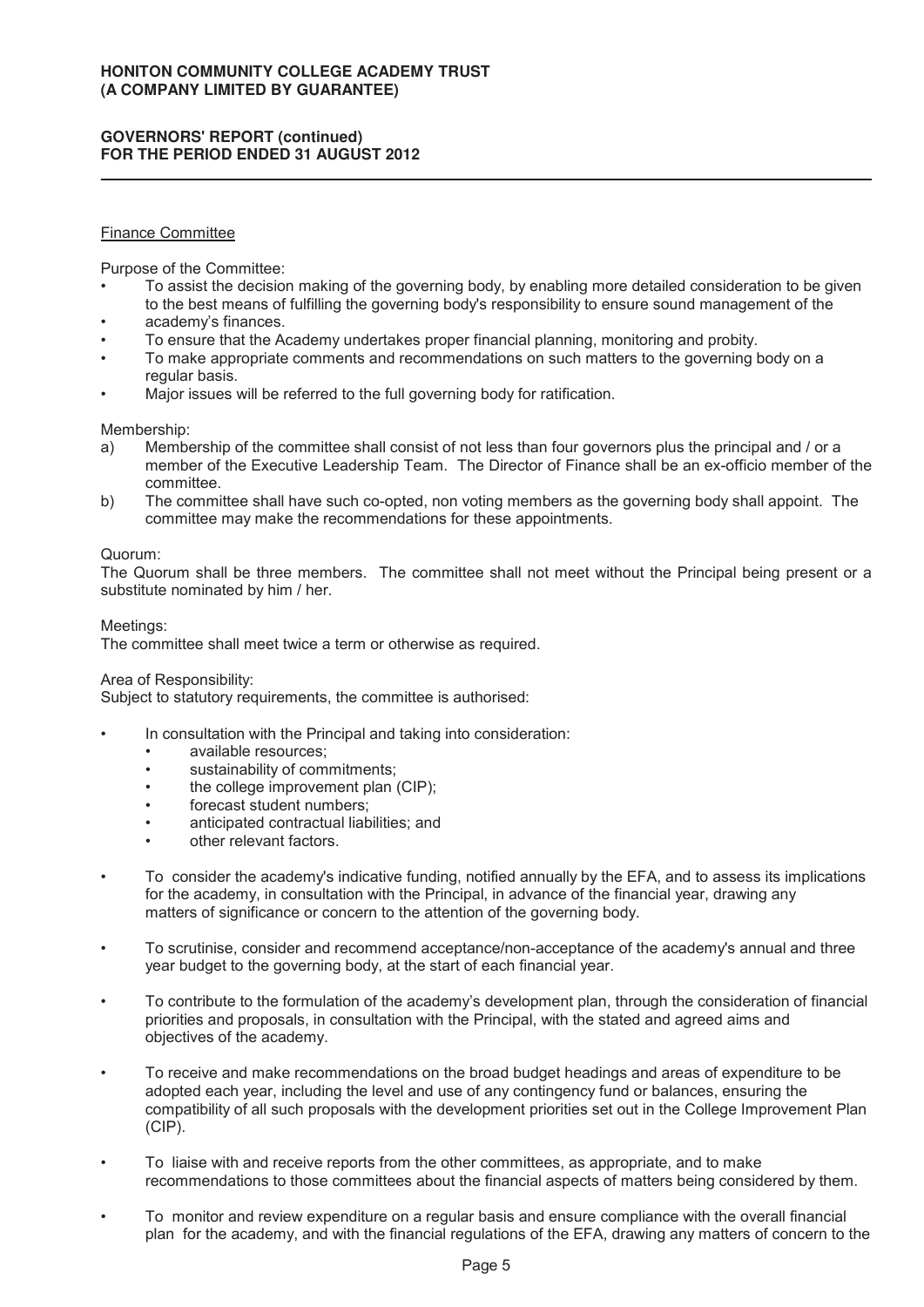# Finance Committee

Purpose of the Committee:

- To assist the decision making of the governing body, by enabling more detailed consideration to be given to the best means of fulfilling the governing body's responsibility to ensure sound management of the
- academy's finances.
- To ensure that the Academy undertakes proper financial planning, monitoring and probity.
- To make appropriate comments and recommendations on such matters to the governing body on a regular basis.
- Major issues will be referred to the full governing body for ratification.

Membership:

- a) Membership of the committee shall consist of not less than four governors plus the principal and / or a member of the Executive Leadership Team. The Director of Finance shall be an ex-officio member of the committee.
- b) The committee shall have such co-opted, non voting members as the governing body shall appoint. The committee may make the recommendations for these appointments.

#### Quorum:

The Quorum shall be three members. The committee shall not meet without the Principal being present or a substitute nominated by him / her.

## Meetings:

The committee shall meet twice a term or otherwise as required.

#### Area of Responsibility:

Subject to statutory requirements, the committee is authorised:

- In consultation with the Principal and taking into consideration:
	- available resources;
	- sustainability of commitments;
	- the college improvement plan (CIP);
	- forecast student numbers;
	- anticipated contractual liabilities; and
	- other relevant factors.
- To consider the academy's indicative funding, notified annually by the EFA, and to assess its implications for the academy, in consultation with the Principal, in advance of the financial year, drawing any matters of significance or concern to the attention of the governing body.
- To scrutinise, consider and recommend acceptance/non-acceptance of the academy's annual and three year budget to the governing body, at the start of each financial year.
- To contribute to the formulation of the academy's development plan, through the consideration of financial priorities and proposals, in consultation with the Principal, with the stated and agreed aims and objectives of the academy.
- To receive and make recommendations on the broad budget headings and areas of expenditure to be adopted each year, including the level and use of any contingency fund or balances, ensuring the compatibility of all such proposals with the development priorities set out in the College Improvement Plan (CIP).
- To liaise with and receive reports from the other committees, as appropriate, and to make recommendations to those committees about the financial aspects of matters being considered by them.
- To monitor and review expenditure on a regular basis and ensure compliance with the overall financial plan for the academy, and with the financial regulations of the EFA, drawing any matters of concern to the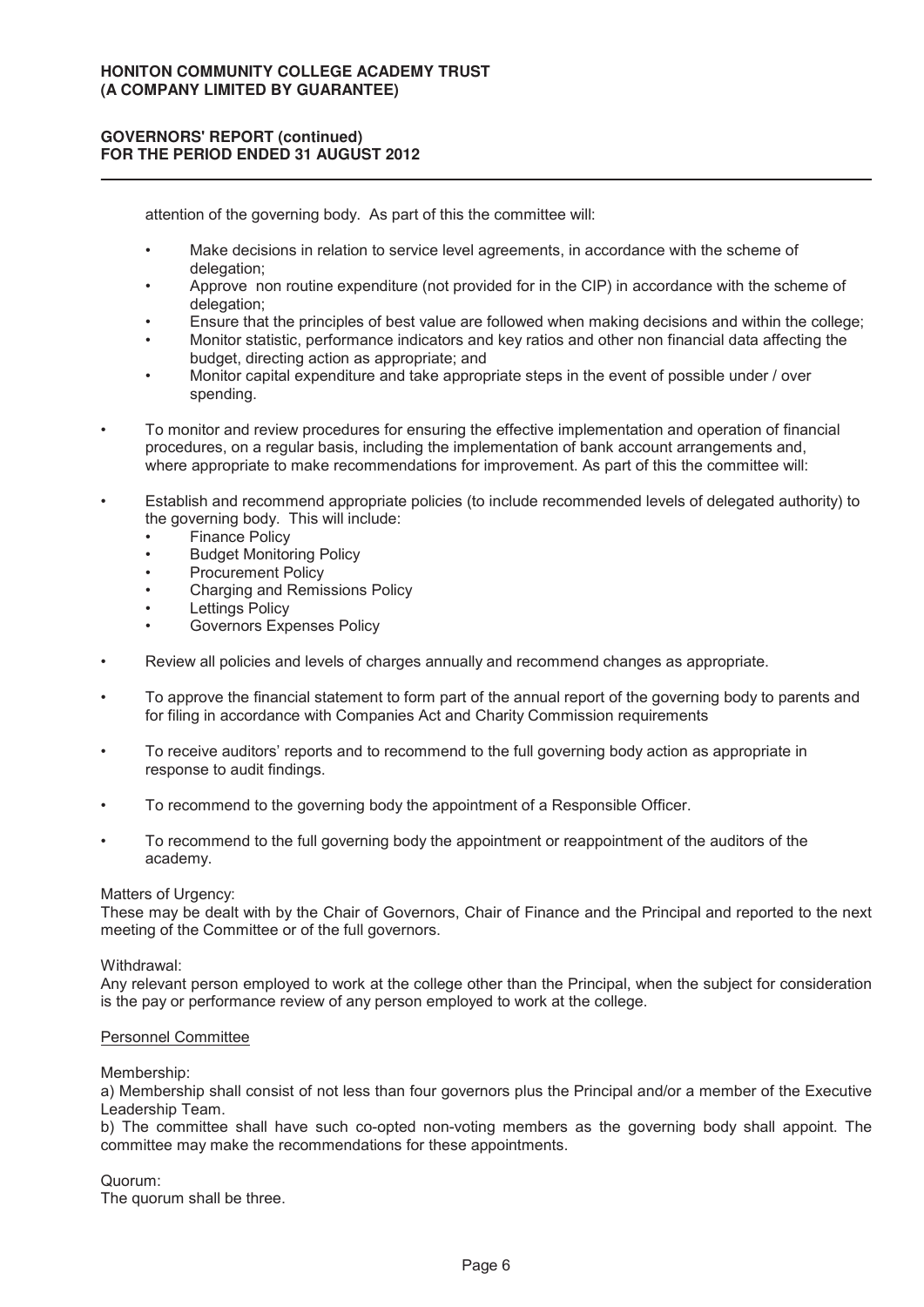attention of the governing body. As part of this the committee will:

- Make decisions in relation to service level agreements, in accordance with the scheme of delegation:
- Approve non routine expenditure (not provided for in the CIP) in accordance with the scheme of delegation:
- Ensure that the principles of best value are followed when making decisions and within the college;
- Monitor statistic, performance indicators and key ratios and other non financial data affecting the budget, directing action as appropriate; and
- Monitor capital expenditure and take appropriate steps in the event of possible under / over spending.
- To monitor and review procedures for ensuring the effective implementation and operation of financial procedures, on a regular basis, including the implementation of bank account arrangements and, where appropriate to make recommendations for improvement. As part of this the committee will:
- Establish and recommend appropriate policies (to include recommended levels of delegated authority) to the governing body. This will include:
	- **Finance Policy**
	- **Budget Monitoring Policy**
	- Procurement Policy
	- Charging and Remissions Policy
	- **Lettings Policy**
	- Governors Expenses Policy
- Review all policies and levels of charges annually and recommend changes as appropriate.
- To approve the financial statement to form part of the annual report of the governing body to parents and for filing in accordance with Companies Act and Charity Commission requirements
- To receive auditors' reports and to recommend to the full governing body action as appropriate in response to audit findings.
- To recommend to the governing body the appointment of a Responsible Officer.
- To recommend to the full governing body the appointment or reappointment of the auditors of the academy.

#### Matters of Urgency:

These may be dealt with by the Chair of Governors, Chair of Finance and the Principal and reported to the next meeting of the Committee or of the full governors.

#### Withdrawal:

Any relevant person employed to work at the college other than the Principal, when the subject for consideration is the pay or performance review of any person employed to work at the college.

#### Personnel Committee

#### Membership:

a) Membership shall consist of not less than four governors plus the Principal and/or a member of the Executive Leadership Team.

b) The committee shall have such co-opted non-voting members as the governing body shall appoint. The committee may make the recommendations for these appointments.

Quorum:

The quorum shall be three.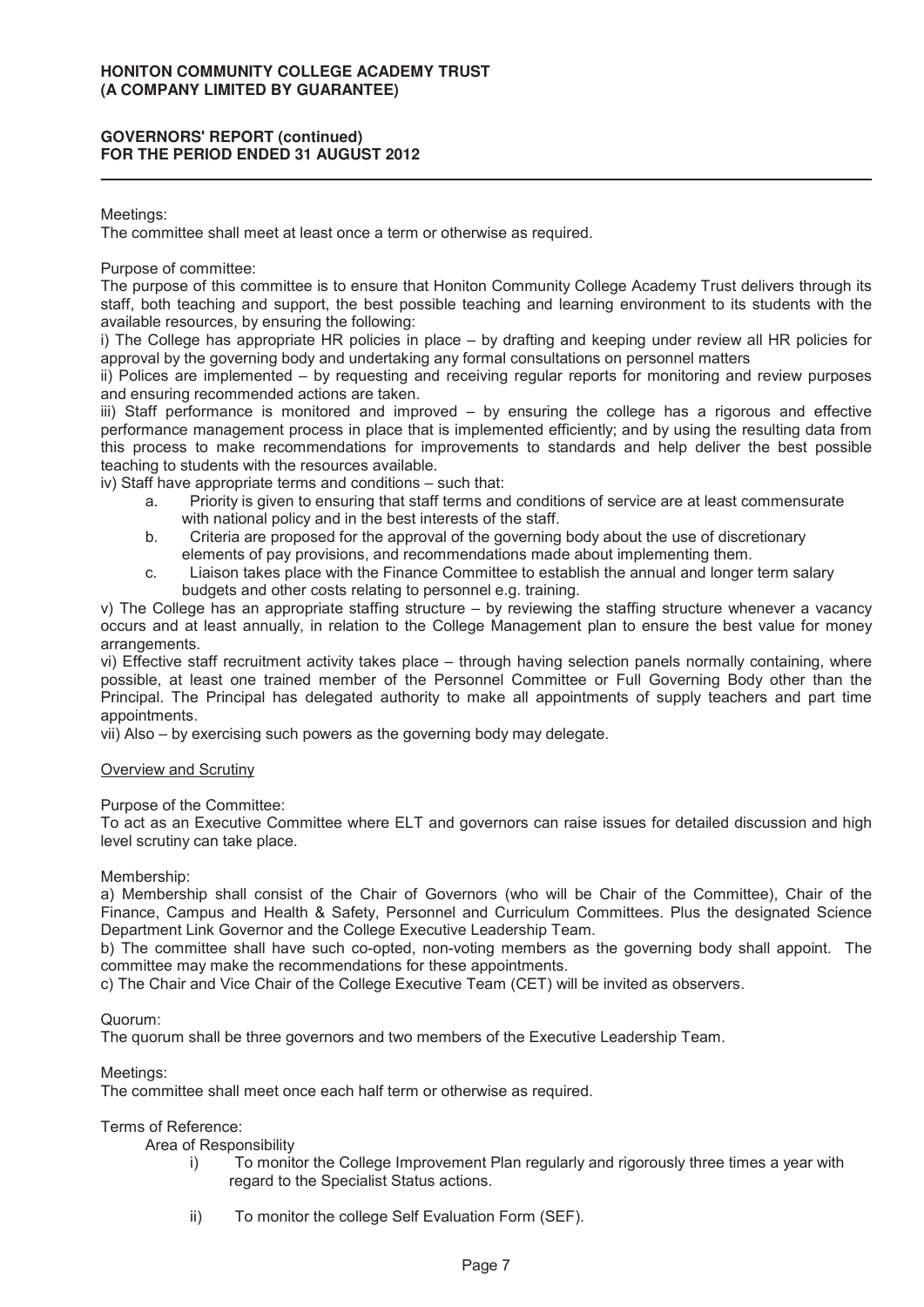#### Meetings:

The committee shall meet at least once a term or otherwise as required.

## Purpose of committee:

The purpose of this committee is to ensure that Honiton Community College Academy Trust delivers through its staff, both teaching and support, the best possible teaching and learning environment to its students with the available resources, by ensuring the following:

i) The College has appropriate HR policies in place – by drafting and keeping under review all HR policies for approval by the governing body and undertaking any formal consultations on personnel matters

ii) Polices are implemented – by requesting and receiving regular reports for monitoring and review purposes and ensuring recommended actions are taken.

iii) Staff performance is monitored and improved – by ensuring the college has a rigorous and effective performance management process in place that is implemented efficiently; and by using the resulting data from this process to make recommendations for improvements to standards and help deliver the best possible teaching to students with the resources available.

iv) Staff have appropriate terms and conditions – such that:

- a. Priority is given to ensuring that staff terms and conditions of service are at least commensurate with national policy and in the best interests of the staff.
- b. Criteria are proposed for the approval of the governing body about the use of discretionary elements of pay provisions, and recommendations made about implementing them.
- c. Liaison takes place with the Finance Committee to establish the annual and longer term salary budgets and other costs relating to personnel e.g. training.

v) The College has an appropriate staffing structure – by reviewing the staffing structure whenever a vacancy occurs and at least annually, in relation to the College Management plan to ensure the best value for money arrangements.

vi) Effective staff recruitment activity takes place – through having selection panels normally containing, where possible, at least one trained member of the Personnel Committee or Full Governing Body other than the Principal. The Principal has delegated authority to make all appointments of supply teachers and part time appointments.

vii) Also – by exercising such powers as the governing body may delegate.

#### **Overview and Scrutiny**

Purpose of the Committee:

To act as an Executive Committee where ELT and governors can raise issues for detailed discussion and high level scrutiny can take place.

#### Membership:

a) Membership shall consist of the Chair of Governors (who will be Chair of the Committee), Chair of the Finance, Campus and Health & Safety, Personnel and Curriculum Committees. Plus the designated Science Department Link Governor and the College Executive Leadership Team.

b) The committee shall have such co-opted, non-voting members as the governing body shall appoint. The committee may make the recommendations for these appointments.

c) The Chair and Vice Chair of the College Executive Team (CET) will be invited as observers.

#### Quorum:

The quorum shall be three governors and two members of the Executive Leadership Team.

#### Meetings:

The committee shall meet once each half term or otherwise as required.

#### Terms of Reference:

Area of Responsibility

- i) To monitor the College Improvement Plan regularly and rigorously three times a year with regard to the Specialist Status actions.
- ii) To monitor the college Self Evaluation Form (SEF).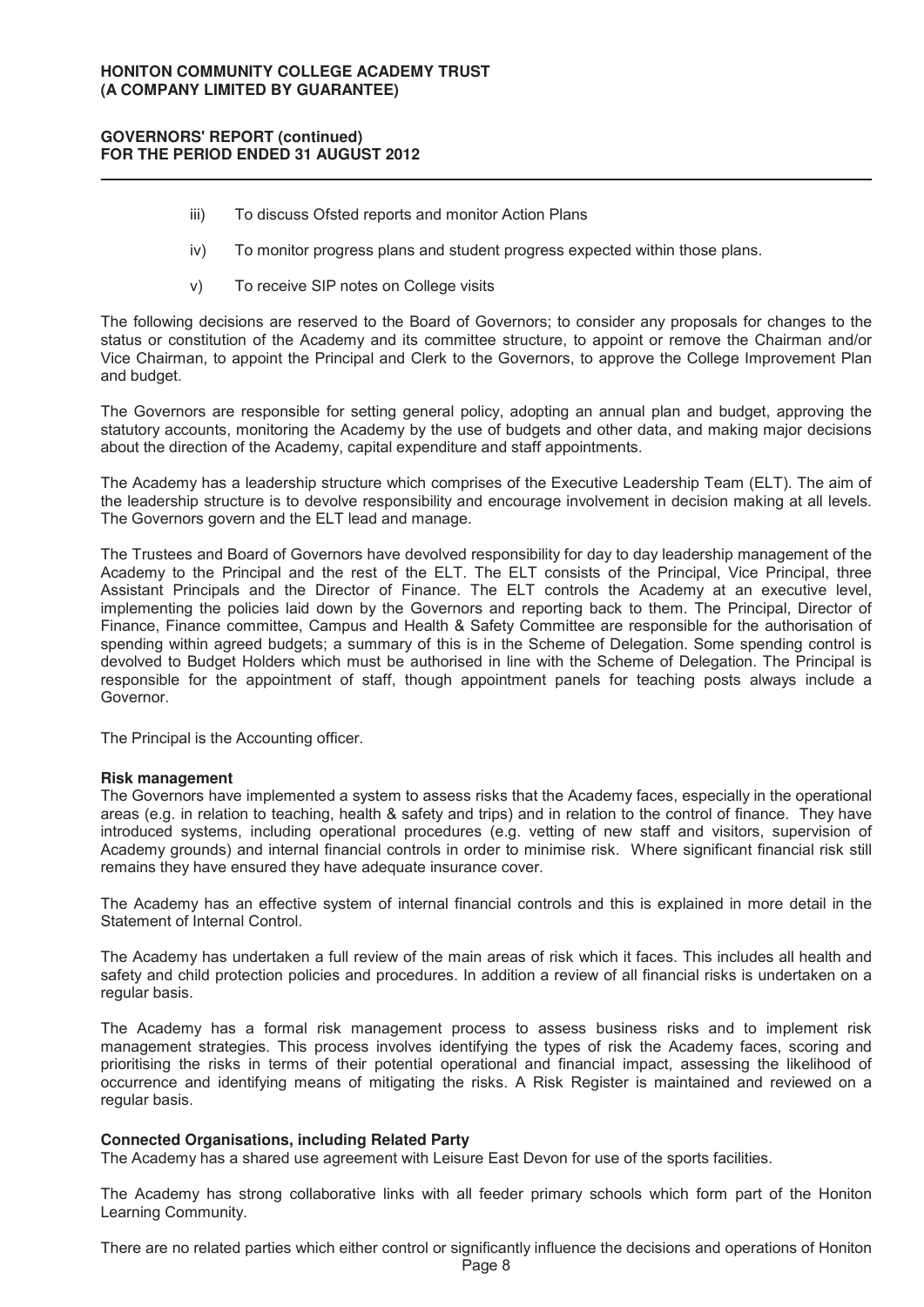- iii) To discuss Ofsted reports and monitor Action Plans
- iv) To monitor progress plans and student progress expected within those plans.
- v) To receive SIP notes on College visits

The following decisions are reserved to the Board of Governors; to consider any proposals for changes to the status or constitution of the Academy and its committee structure, to appoint or remove the Chairman and/or Vice Chairman, to appoint the Principal and Clerk to the Governors, to approve the College Improvement Plan and budget.

The Governors are responsible for setting general policy, adopting an annual plan and budget, approving the statutory accounts, monitoring the Academy by the use of budgets and other data, and making major decisions about the direction of the Academy, capital expenditure and staff appointments.

The Academy has a leadership structure which comprises of the Executive Leadership Team (ELT). The aim of the leadership structure is to devolve responsibility and encourage involvement in decision making at all levels. The Governors govern and the ELT lead and manage.

The Trustees and Board of Governors have devolved responsibility for day to day leadership management of the Academy to the Principal and the rest of the ELT. The ELT consists of the Principal, Vice Principal, three Assistant Principals and the Director of Finance. The ELT controls the Academy at an executive level, implementing the policies laid down by the Governors and reporting back to them. The Principal, Director of Finance, Finance committee, Campus and Health & Safety Committee are responsible for the authorisation of spending within agreed budgets; a summary of this is in the Scheme of Delegation. Some spending control is devolved to Budget Holders which must be authorised in line with the Scheme of Delegation. The Principal is responsible for the appointment of staff, though appointment panels for teaching posts always include a Governor.

The Principal is the Accounting officer.

#### **Risk management**

The Governors have implemented a system to assess risks that the Academy faces, especially in the operational areas (e.g. in relation to teaching, health & safety and trips) and in relation to the control of finance. They have introduced systems, including operational procedures (e.g. vetting of new staff and visitors, supervision of Academy grounds) and internal financial controls in order to minimise risk. Where significant financial risk still remains they have ensured they have adequate insurance cover.

The Academy has an effective system of internal financial controls and this is explained in more detail in the Statement of Internal Control.

The Academy has undertaken a full review of the main areas of risk which it faces. This includes all health and safety and child protection policies and procedures. In addition a review of all financial risks is undertaken on a regular basis.

The Academy has a formal risk management process to assess business risks and to implement risk management strategies. This process involves identifying the types of risk the Academy faces, scoring and prioritising the risks in terms of their potential operational and financial impact, assessing the likelihood of occurrence and identifying means of mitigating the risks. A Risk Register is maintained and reviewed on a regular basis.

#### **Connected Organisations, including Related Party**

The Academy has a shared use agreement with Leisure East Devon for use of the sports facilities.

The Academy has strong collaborative links with all feeder primary schools which form part of the Honiton Learning Community.

There are no related parties which either control or significantly influence the decisions and operations of Honiton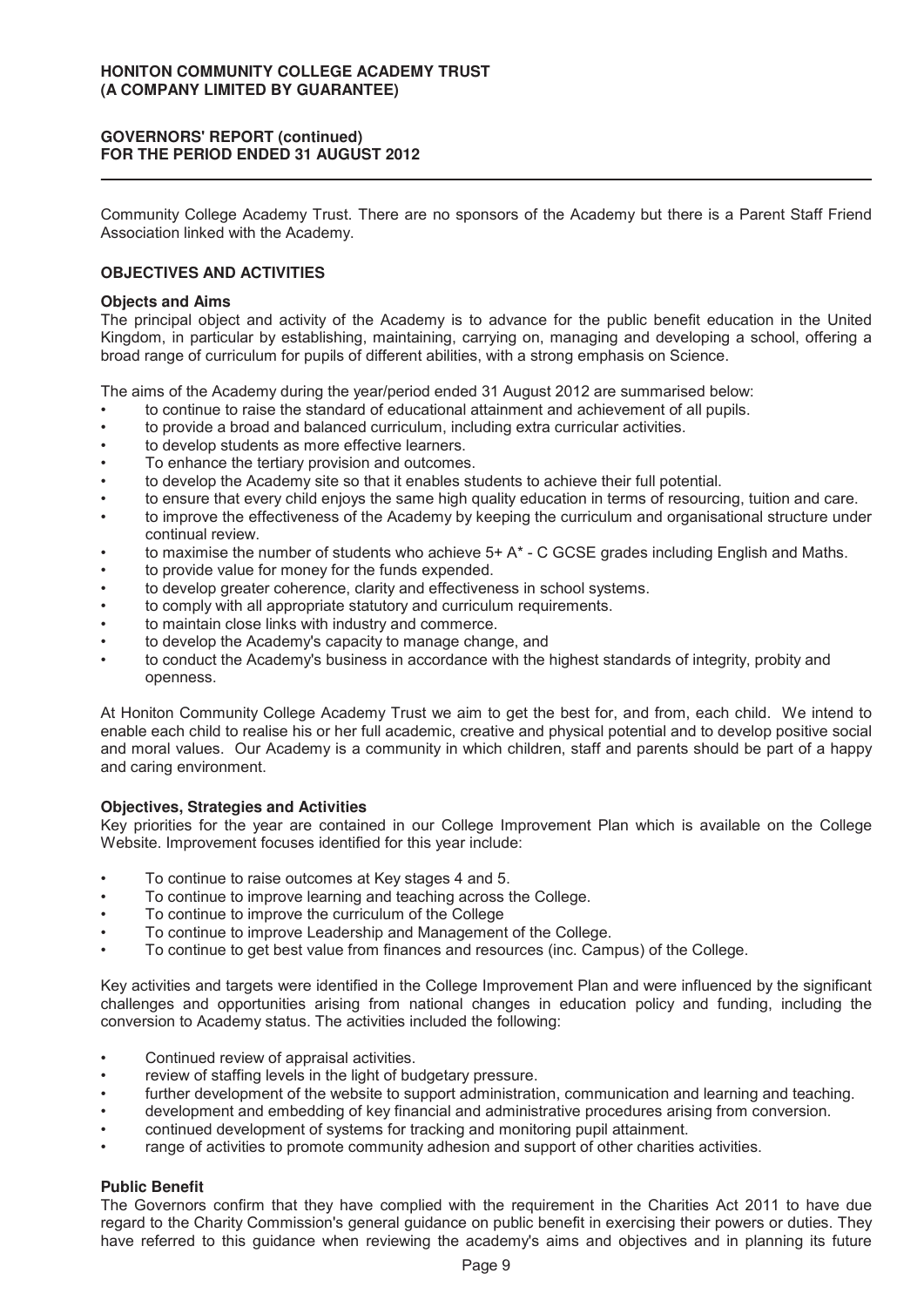Community College Academy Trust. There are no sponsors of the Academy but there is a Parent Staff Friend Association linked with the Academy.

# **OBJECTIVES AND ACTIVITIES**

#### **Objects and Aims**

The principal object and activity of the Academy is to advance for the public benefit education in the United Kingdom, in particular by establishing, maintaining, carrying on, managing and developing a school, offering a broad range of curriculum for pupils of different abilities, with a strong emphasis on Science.

The aims of the Academy during the year/period ended 31 August 2012 are summarised below:

- to continue to raise the standard of educational attainment and achievement of all pupils.
- to provide a broad and balanced curriculum, including extra curricular activities.
- to develop students as more effective learners.
- To enhance the tertiary provision and outcomes.
- to develop the Academy site so that it enables students to achieve their full potential.
- to ensure that every child enjoys the same high quality education in terms of resourcing, tuition and care.
- to improve the effectiveness of the Academy by keeping the curriculum and organisational structure under continual review.
- to maximise the number of students who achieve  $5+A^*$  C GCSE grades including English and Maths.
- to provide value for money for the funds expended.
- to develop greater coherence, clarity and effectiveness in school systems.
- to comply with all appropriate statutory and curriculum requirements.
- to maintain close links with industry and commerce.
- to develop the Academy's capacity to manage change, and
- to conduct the Academy's business in accordance with the highest standards of integrity, probity and openness.

At Honiton Community College Academy Trust we aim to get the best for, and from, each child. We intend to enable each child to realise his or her full academic, creative and physical potential and to develop positive social and moral values. Our Academy is a community in which children, staff and parents should be part of a happy and caring environment.

#### **Objectives, Strategies and Activities**

Key priorities for the year are contained in our College Improvement Plan which is available on the College Website. Improvement focuses identified for this year include:

- To continue to raise outcomes at Key stages 4 and 5.
- To continue to improve learning and teaching across the College.
- To continue to improve the curriculum of the College
- To continue to improve Leadership and Management of the College.
- To continue to get best value from finances and resources (inc. Campus) of the College.

Key activities and targets were identified in the College Improvement Plan and were influenced by the significant challenges and opportunities arising from national changes in education policy and funding, including the conversion to Academy status. The activities included the following:

- Continued review of appraisal activities.
- review of staffing levels in the light of budgetary pressure.
- further development of the website to support administration, communication and learning and teaching.
- development and embedding of key financial and administrative procedures arising from conversion.
- continued development of systems for tracking and monitoring pupil attainment.
- range of activities to promote community adhesion and support of other charities activities.

#### **Public Benefit**

The Governors confirm that they have complied with the requirement in the Charities Act 2011 to have due regard to the Charity Commission's general guidance on public benefit in exercising their powers or duties. They have referred to this guidance when reviewing the academy's aims and objectives and in planning its future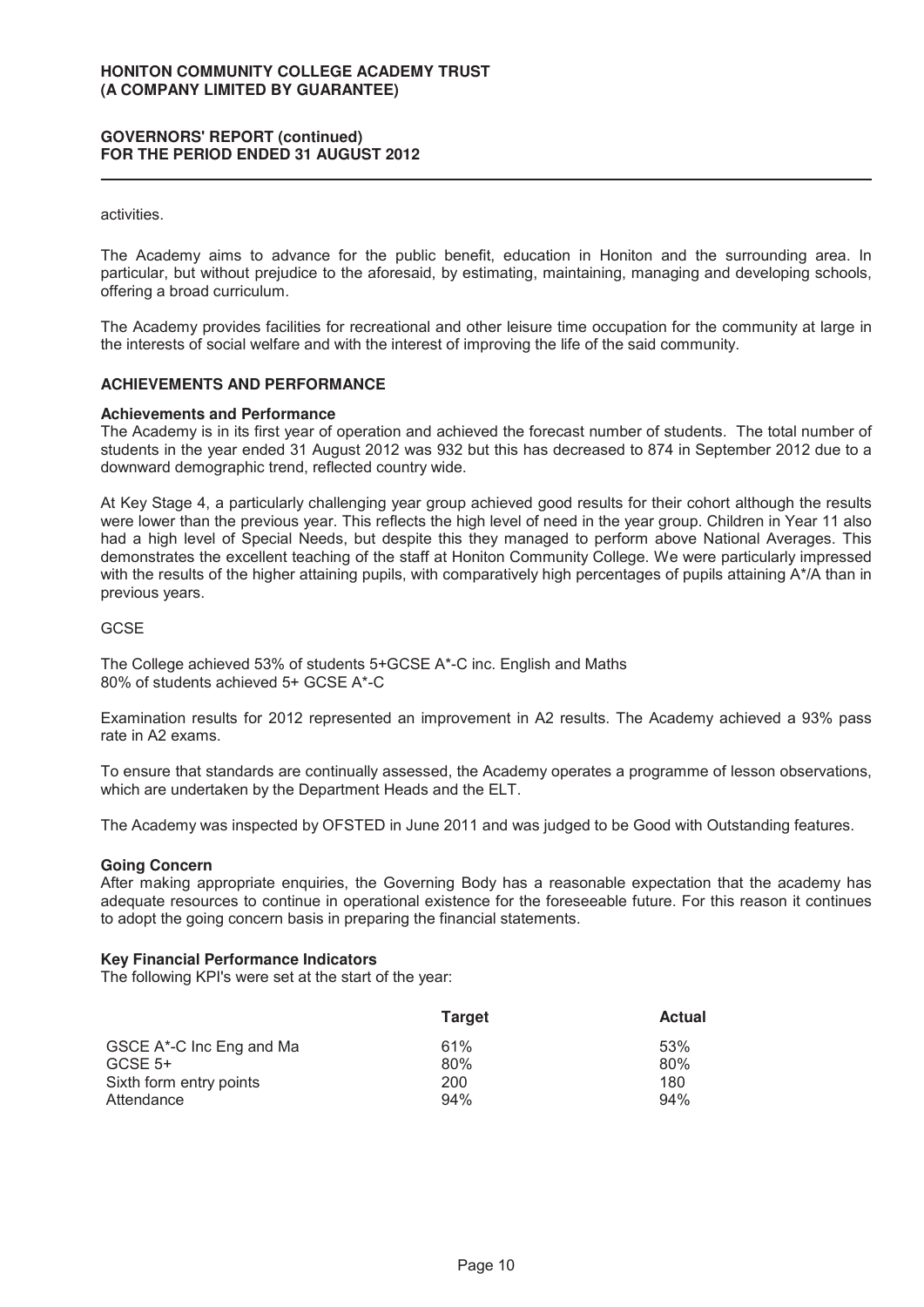#### activities.

The Academy aims to advance for the public benefit, education in Honiton and the surrounding area. In particular, but without prejudice to the aforesaid, by estimating, maintaining, managing and developing schools, offering a broad curriculum.

The Academy provides facilities for recreational and other leisure time occupation for the community at large in the interests of social welfare and with the interest of improving the life of the said community.

#### **ACHIEVEMENTS AND PERFORMANCE**

#### **Achievements and Performance**

The Academy is in its first year of operation and achieved the forecast number of students. The total number of students in the year ended 31 August 2012 was 932 but this has decreased to 874 in September 2012 due to a downward demographic trend, reflected country wide.

At Key Stage 4, a particularly challenging year group achieved good results for their cohort although the results were lower than the previous year. This reflects the high level of need in the year group. Children in Year 11 also had a high level of Special Needs, but despite this they managed to perform above National Averages. This demonstrates the excellent teaching of the staff at Honiton Community College. We were particularly impressed with the results of the higher attaining pupils, with comparatively high percentages of pupils attaining A\*/A than in previous years.

#### GCSE

The College achieved 53% of students 5+GCSE A\*-C inc. English and Maths 80% of students achieved 5+ GCSE A\*-C

Examination results for 2012 represented an improvement in A2 results. The Academy achieved a 93% pass rate in A2 exams.

To ensure that standards are continually assessed, the Academy operates a programme of lesson observations, which are undertaken by the Department Heads and the ELT.

The Academy was inspected by OFSTED in June 2011 and was judged to be Good with Outstanding features.

#### **Going Concern**

After making appropriate enquiries, the Governing Body has a reasonable expectation that the academy has adequate resources to continue in operational existence for the foreseeable future. For this reason it continues to adopt the going concern basis in preparing the financial statements.

#### **Key Financial Performance Indicators**

The following KPI's were set at the start of the year:

|                          | <b>Target</b> | <b>Actual</b> |
|--------------------------|---------------|---------------|
| GSCE A*-C Inc Eng and Ma | 61%           | 53%           |
| $GCSE$ 5+                | 80%           | 80%           |
| Sixth form entry points  | 200           | 180           |
| Attendance               | 94%           | 94%           |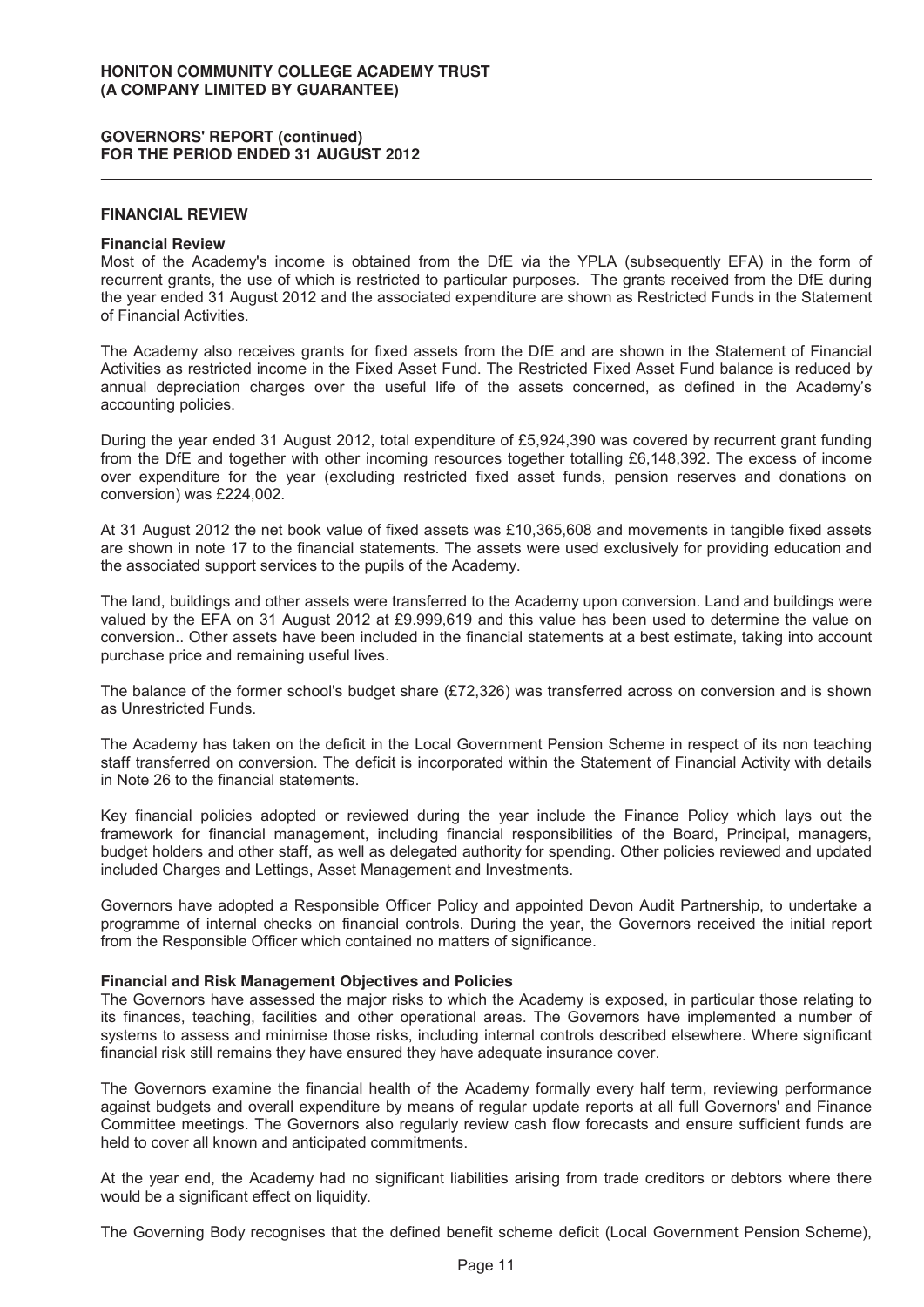#### **FINANCIAL REVIEW**

#### **Financial Review**

Most of the Academy's income is obtained from the DfE via the YPLA (subsequently EFA) in the form of recurrent grants, the use of which is restricted to particular purposes. The grants received from the DfE during the year ended 31 August 2012 and the associated expenditure are shown as Restricted Funds in the Statement of Financial Activities.

The Academy also receives grants for fixed assets from the DfE and are shown in the Statement of Financial Activities as restricted income in the Fixed Asset Fund. The Restricted Fixed Asset Fund balance is reduced by annual depreciation charges over the useful life of the assets concerned, as defined in the Academy's accounting policies.

During the year ended 31 August 2012, total expenditure of £5,924,390 was covered by recurrent grant funding from the DfE and together with other incoming resources together totalling £6,148,392. The excess of income over expenditure for the year (excluding restricted fixed asset funds, pension reserves and donations on conversion) was £224,002.

At 31 August 2012 the net book value of fixed assets was £10,365,608 and movements in tangible fixed assets are shown in note 17 to the financial statements. The assets were used exclusively for providing education and the associated support services to the pupils of the Academy.

The land, buildings and other assets were transferred to the Academy upon conversion. Land and buildings were valued by the EFA on 31 August 2012 at £9.999,619 and this value has been used to determine the value on conversion.. Other assets have been included in the financial statements at a best estimate, taking into account purchase price and remaining useful lives.

The balance of the former school's budget share (£72,326) was transferred across on conversion and is shown as Unrestricted Funds.

The Academy has taken on the deficit in the Local Government Pension Scheme in respect of its non teaching staff transferred on conversion. The deficit is incorporated within the Statement of Financial Activity with details in Note 26 to the financial statements.

Key financial policies adopted or reviewed during the year include the Finance Policy which lays out the framework for financial management, including financial responsibilities of the Board, Principal, managers, budget holders and other staff, as well as delegated authority for spending. Other policies reviewed and updated included Charges and Lettings, Asset Management and Investments.

Governors have adopted a Responsible Officer Policy and appointed Devon Audit Partnership, to undertake a programme of internal checks on financial controls. During the year, the Governors received the initial report from the Responsible Officer which contained no matters of significance.

## **Financial and Risk Management Objectives and Policies**

The Governors have assessed the major risks to which the Academy is exposed, in particular those relating to its finances, teaching, facilities and other operational areas. The Governors have implemented a number of systems to assess and minimise those risks, including internal controls described elsewhere. Where significant financial risk still remains they have ensured they have adequate insurance cover.

The Governors examine the financial health of the Academy formally every half term, reviewing performance against budgets and overall expenditure by means of regular update reports at all full Governors' and Finance Committee meetings. The Governors also regularly review cash flow forecasts and ensure sufficient funds are held to cover all known and anticipated commitments.

At the year end, the Academy had no significant liabilities arising from trade creditors or debtors where there would be a significant effect on liquidity.

The Governing Body recognises that the defined benefit scheme deficit (Local Government Pension Scheme),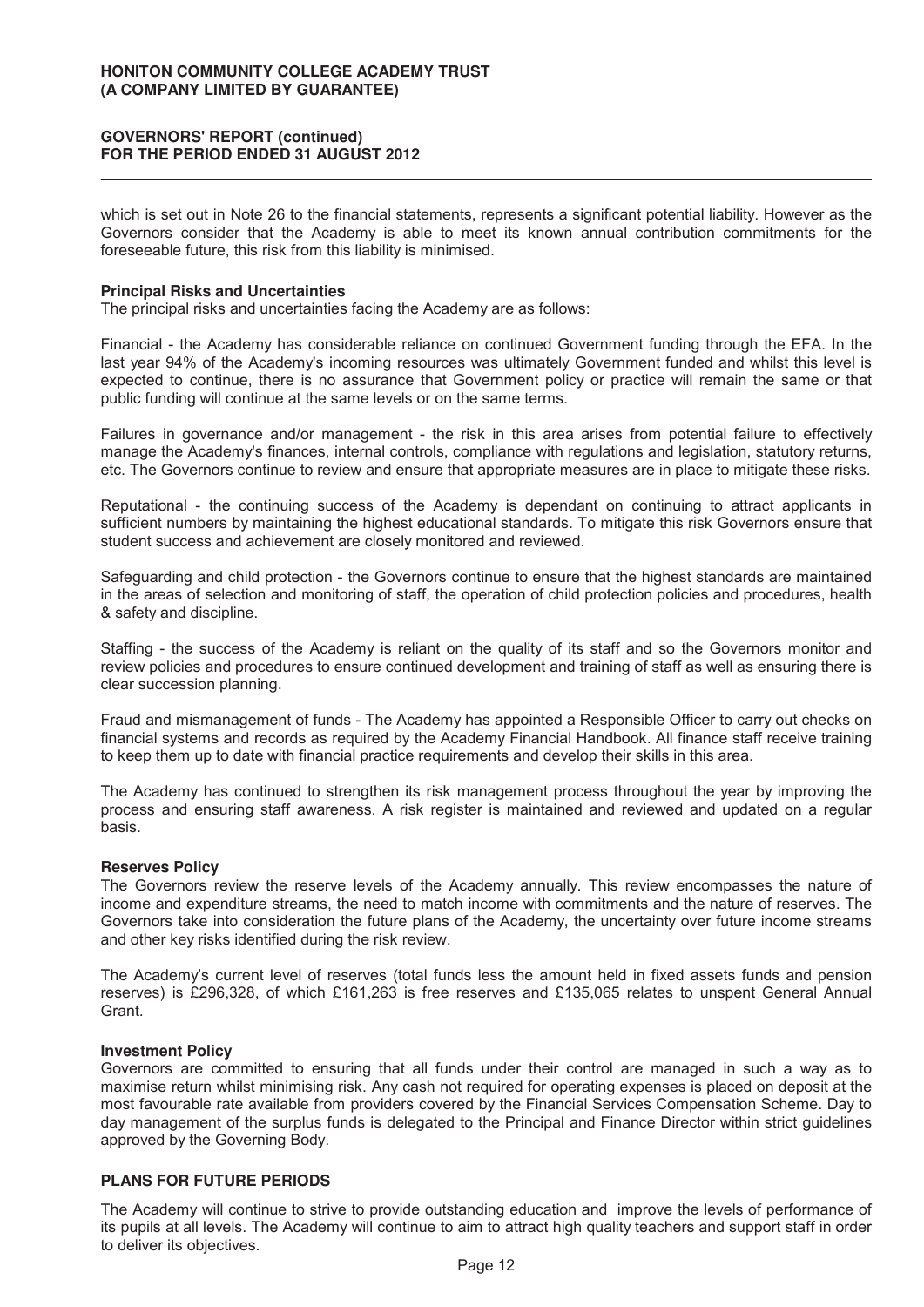which is set out in Note 26 to the financial statements, represents a significant potential liability. However as the Governors consider that the Academy is able to meet its known annual contribution commitments for the foreseeable future, this risk from this liability is minimised.

#### **Principal Risks and Uncertainties**

The principal risks and uncertainties facing the Academy are as follows:

Financial - the Academy has considerable reliance on continued Government funding through the EFA. In the last year 94% of the Academy's incoming resources was ultimately Government funded and whilst this level is expected to continue, there is no assurance that Government policy or practice will remain the same or that public funding will continue at the same levels or on the same terms.

Failures in governance and/or management - the risk in this area arises from potential failure to effectively manage the Academy's finances, internal controls, compliance with regulations and legislation, statutory returns, etc. The Governors continue to review and ensure that appropriate measures are in place to mitigate these risks.

Reputational - the continuing success of the Academy is dependant on continuing to attract applicants in sufficient numbers by maintaining the highest educational standards. To mitigate this risk Governors ensure that student success and achievement are closely monitored and reviewed.

Safeguarding and child protection - the Governors continue to ensure that the highest standards are maintained in the areas of selection and monitoring of staff, the operation of child protection policies and procedures, health & safety and discipline.

Staffing - the success of the Academy is reliant on the quality of its staff and so the Governors monitor and review policies and procedures to ensure continued development and training of staff as well as ensuring there is clear succession planning.

Fraud and mismanagement of funds - The Academy has appointed a Responsible Officer to carry out checks on financial systems and records as required by the Academy Financial Handbook. All finance staff receive training to keep them up to date with financial practice requirements and develop their skills in this area.

The Academy has continued to strengthen its risk management process throughout the year by improving the process and ensuring staff awareness. A risk register is maintained and reviewed and updated on a regular basis.

#### **Reserves Policy**

The Governors review the reserve levels of the Academy annually. This review encompasses the nature of income and expenditure streams, the need to match income with commitments and the nature of reserves. The Governors take into consideration the future plans of the Academy, the uncertainty over future income streams and other key risks identified during the risk review.

The Academy's current level of reserves (total funds less the amount held in fixed assets funds and pension reserves) is £296,328, of which £161,263 is free reserves and £135,065 relates to unspent General Annual Grant.

#### **Investment Policy**

Governors are committed to ensuring that all funds under their control are managed in such a way as to maximise return whilst minimising risk. Any cash not required for operating expenses is placed on deposit at the most favourable rate available from providers covered by the Financial Services Compensation Scheme. Day to day management of the surplus funds is delegated to the Principal and Finance Director within strict guidelines approved by the Governing Body.

# **PLANS FOR FUTURE PERIODS**

The Academy will continue to strive to provide outstanding education and improve the levels of performance of its pupils at all levels. The Academy will continue to aim to attract high quality teachers and support staff in order to deliver its objectives.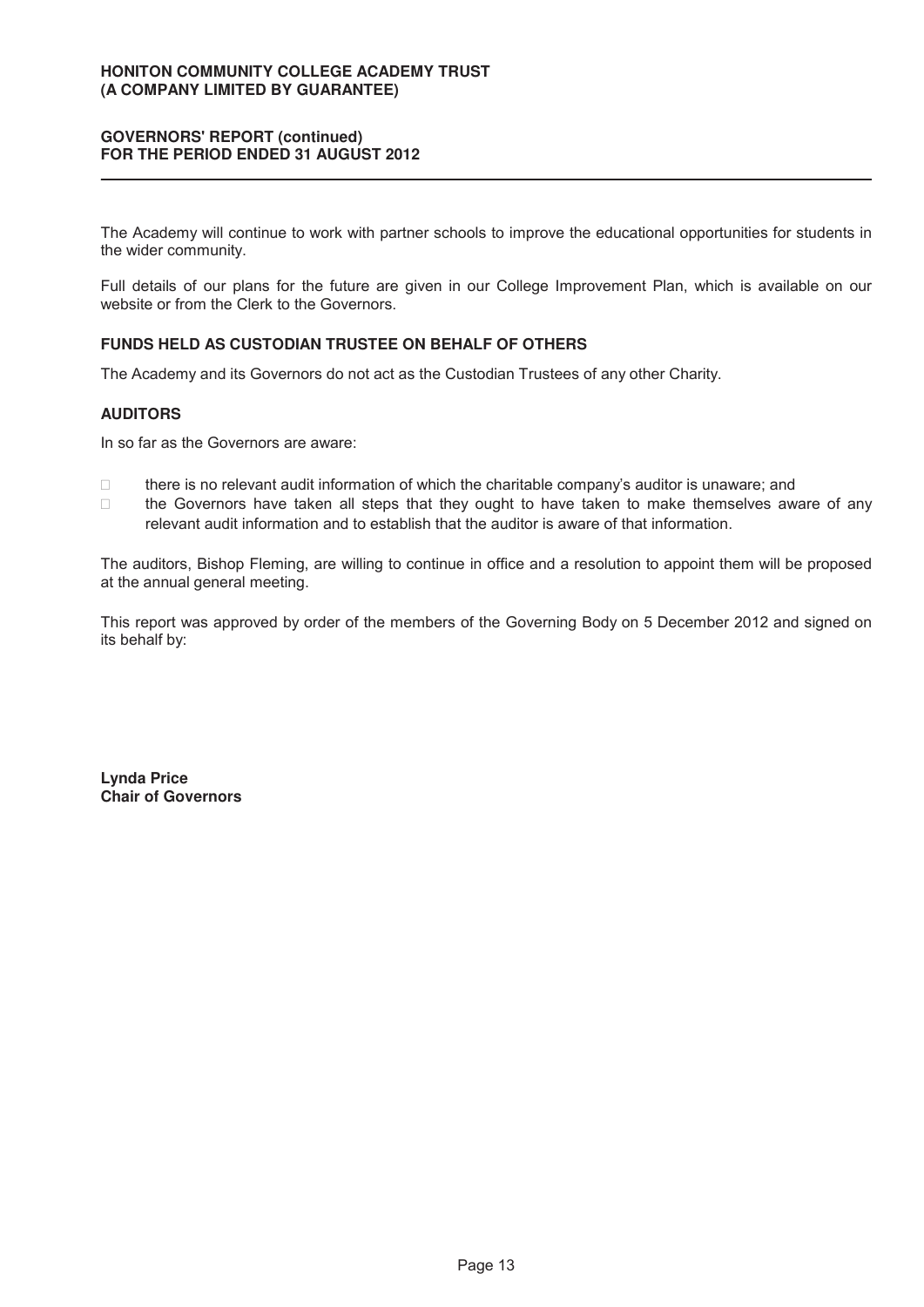The Academy will continue to work with partner schools to improve the educational opportunities for students in the wider community.

Full details of our plans for the future are given in our College Improvement Plan, which is available on our website or from the Clerk to the Governors.

# **FUNDS HELD AS CUSTODIAN TRUSTEE ON BEHALF OF OTHERS**

The Academy and its Governors do not act as the Custodian Trustees of any other Charity.

# **AUDITORS**

In so far as the Governors are aware:

 there is no relevant audit information of which the charitable company's auditor is unaware; and the Governors have taken all steps that they ought to have taken to make themselves aware of any relevant audit information and to establish that the auditor is aware of that information.

The auditors, Bishop Fleming, are willing to continue in office and a resolution to appoint them will be proposed at the annual general meeting.

This report was approved by order of the members of the Governing Body on 5 December 2012 and signed on its behalf by:

**Lynda Price Chair of Governors**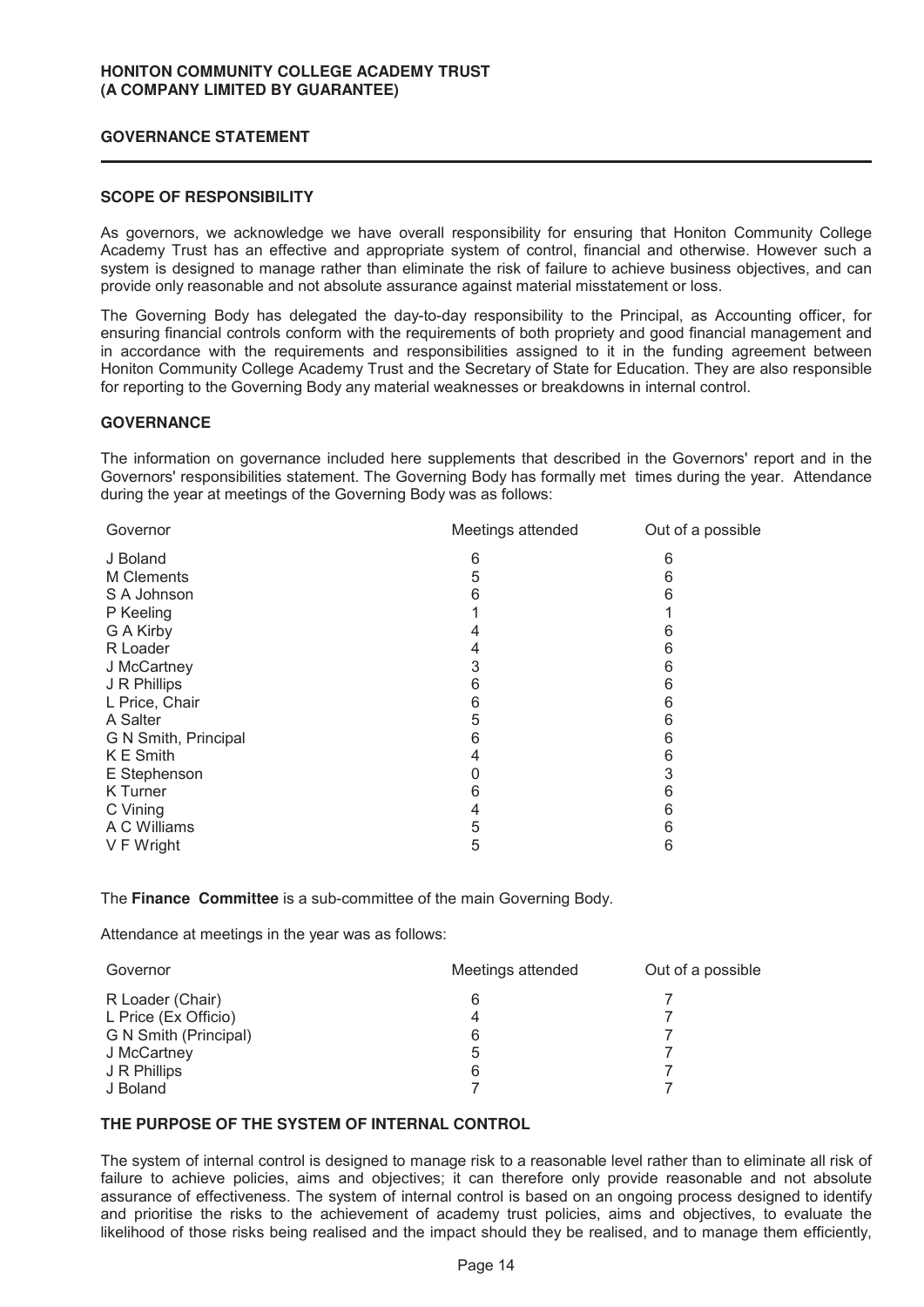## **GOVERNANCE STATEMENT**

## **SCOPE OF RESPONSIBILITY**

As governors, we acknowledge we have overall responsibility for ensuring that Honiton Community College Academy Trust has an effective and appropriate system of control, financial and otherwise. However such a system is designed to manage rather than eliminate the risk of failure to achieve business objectives, and can provide only reasonable and not absolute assurance against material misstatement or loss.

The Governing Body has delegated the day-to-day responsibility to the Principal, as Accounting officer, for ensuring financial controls conform with the requirements of both propriety and good financial management and in accordance with the requirements and responsibilities assigned to it in the funding agreement between Honiton Community College Academy Trust and the Secretary of State for Education. They are also responsible for reporting to the Governing Body any material weaknesses or breakdowns in internal control.

## **GOVERNANCE**

The information on governance included here supplements that described in the Governors' report and in the Governors' responsibilities statement. The Governing Body has formally met times during the year. Attendance during the year at meetings of the Governing Body was as follows:

| Governor             | Meetings attended | Out of a possible |
|----------------------|-------------------|-------------------|
| J Boland             | 6                 | 6                 |
| <b>M</b> Clements    | 5                 | 6                 |
| S A Johnson          | 6                 | 6                 |
| P Keeling            |                   |                   |
| G A Kirby            | 4                 | 6                 |
| R Loader             | 4                 | 6                 |
| J McCartney          | 3                 | 6                 |
| J R Phillips         | 6                 | 6                 |
| L Price, Chair       | 6                 | 6                 |
| A Salter             | 5                 | 6                 |
| G N Smith, Principal | 6                 | 6                 |
| K E Smith            | 4                 | 6                 |
| E Stephenson         | 0                 | 3                 |
| K Turner             | 6                 | 6                 |
| C Vining             | 4                 | 6                 |
| A C Williams         | 5                 | 6                 |
| V F Wright           | 5                 | 6                 |
|                      |                   |                   |

The **Finance Committee** is a sub-committee of the main Governing Body.

Attendance at meetings in the year was as follows:

| Governor              | Meetings attended | Out of a possible |
|-----------------------|-------------------|-------------------|
| R Loader (Chair)      | 6                 |                   |
| L Price (Ex Officio)  | 4                 |                   |
| G N Smith (Principal) | 6                 |                   |
| J McCartney           | 5                 |                   |
| J R Phillips          | 6                 |                   |
| J Boland              |                   |                   |

# **THE PURPOSE OF THE SYSTEM OF INTERNAL CONTROL**

The system of internal control is designed to manage risk to a reasonable level rather than to eliminate all risk of failure to achieve policies, aims and objectives; it can therefore only provide reasonable and not absolute assurance of effectiveness. The system of internal control is based on an ongoing process designed to identify and prioritise the risks to the achievement of academy trust policies, aims and objectives, to evaluate the likelihood of those risks being realised and the impact should they be realised, and to manage them efficiently,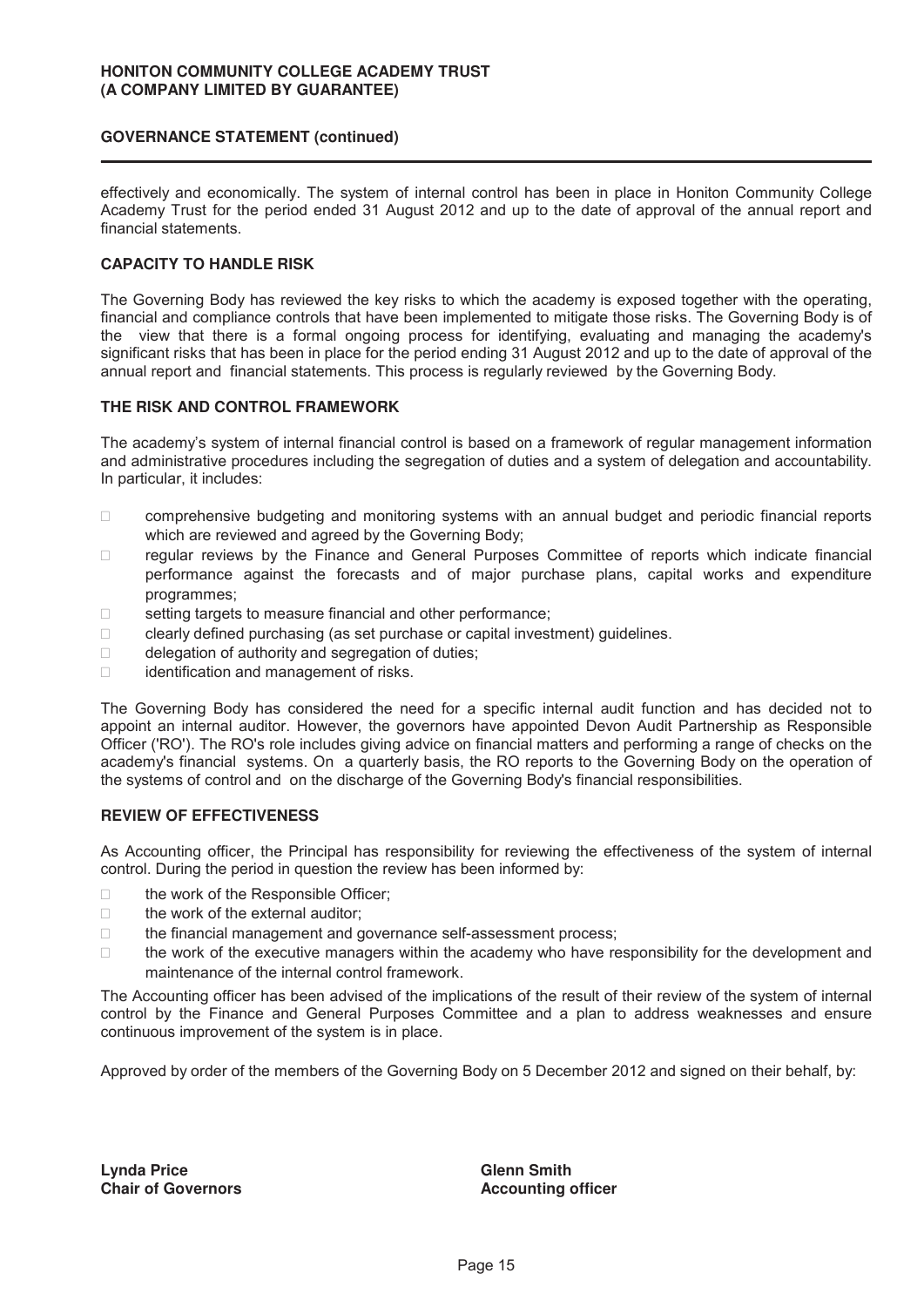### **GOVERNANCE STATEMENT (continued)**

effectively and economically. The system of internal control has been in place in Honiton Community College Academy Trust for the period ended 31 August 2012 and up to the date of approval of the annual report and financial statements.

# **CAPACITY TO HANDLE RISK**

The Governing Body has reviewed the key risks to which the academy is exposed together with the operating, financial and compliance controls that have been implemented to mitigate those risks. The Governing Body is of the view that there is a formal ongoing process for identifying, evaluating and managing the academy's significant risks that has been in place for the period ending 31 August 2012 and up to the date of approval of the annual report and financial statements. This process is regularly reviewed by the Governing Body.

## **THE RISK AND CONTROL FRAMEWORK**

The academy's system of internal financial control is based on a framework of regular management information and administrative procedures including the segregation of duties and a system of delegation and accountability. In particular, it includes:

 comprehensive budgeting and monitoring systems with an annual budget and periodic financial reports which are reviewed and agreed by the Governing Body;

 regular reviews by the Finance and General Purposes Committee of reports which indicate financial performance against the forecasts and of major purchase plans, capital works and expenditure programmes;

setting targets to measure financial and other performance;

clearly defined purchasing (as set purchase or capital investment) guidelines.

delegation of authority and segregation of duties;

identification and management of risks.

The Governing Body has considered the need for a specific internal audit function and has decided not to appoint an internal auditor. However, the governors have appointed Devon Audit Partnership as Responsible Officer ('RO'). The RO's role includes giving advice on financial matters and performing a range of checks on the academy's financial systems. On a quarterly basis, the RO reports to the Governing Body on the operation of the systems of control and on the discharge of the Governing Body's financial responsibilities.

#### **REVIEW OF EFFECTIVENESS**

As Accounting officer, the Principal has responsibility for reviewing the effectiveness of the system of internal control. During the period in question the review has been informed by:

the work of the Responsible Officer;

the work of the external auditor;

the financial management and governance self-assessment process;

 the work of the executive managers within the academy who have responsibility for the development and maintenance of the internal control framework.

The Accounting officer has been advised of the implications of the result of their review of the system of internal control by the Finance and General Purposes Committee and a plan to address weaknesses and ensure continuous improvement of the system is in place.

Approved by order of the members of the Governing Body on 5 December 2012 and signed on their behalf, by:

**Ly n da Price Chair of Governors**  **Glenn Smith Accounting officer**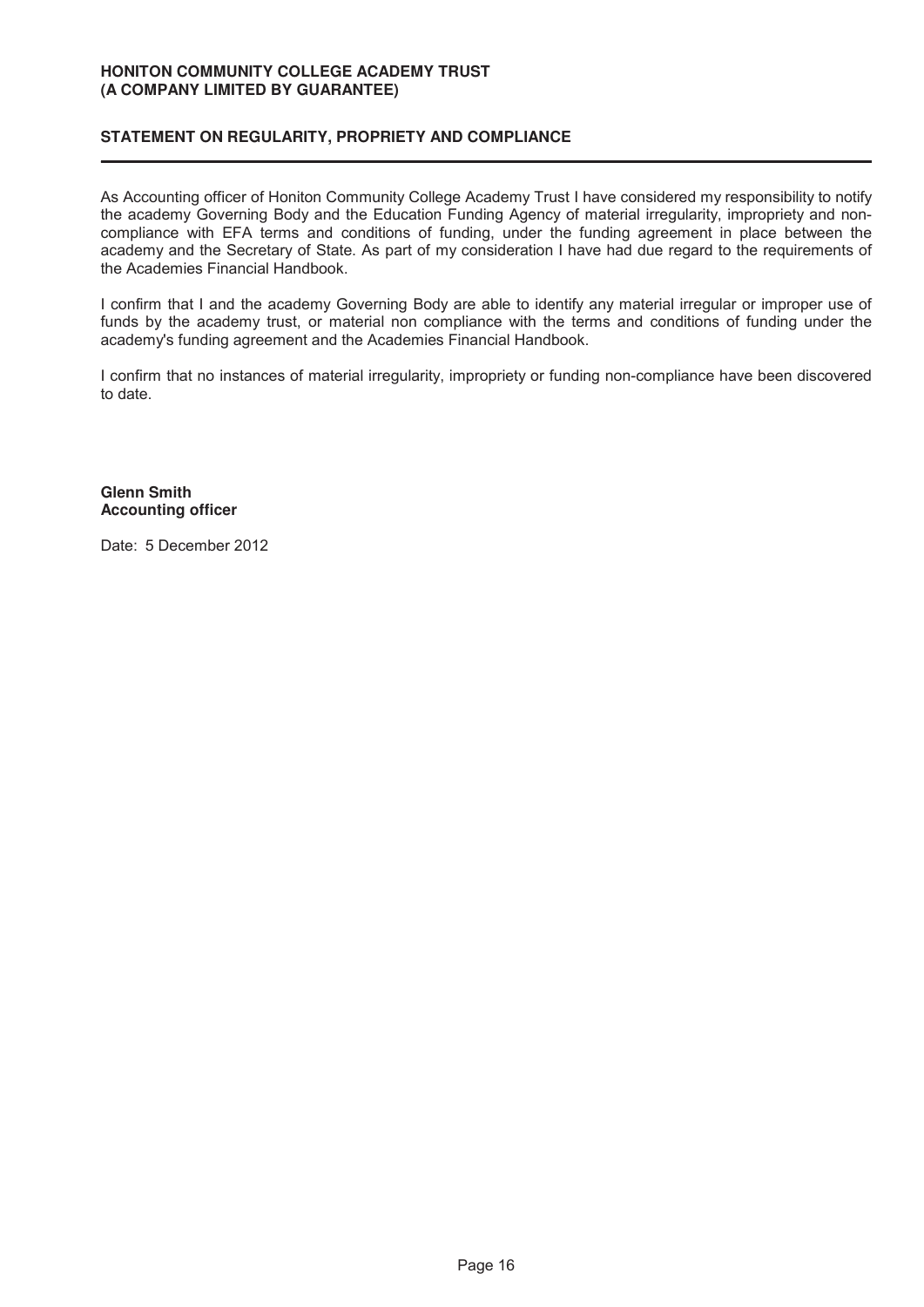# **STATEMENT ON REGULARITY, PROPRIETY AND COMPLIANCE**

As Accounting officer of Honiton Community College Academy Trust I have considered my responsibility to notify the academy Governing Body and the Education Funding Agency of material irregularity, impropriety and noncompliance with EFA terms and conditions of funding, under the funding agreement in place between the academy and the Secretary of State. As part of my consideration I have had due regard to the requirements of the Academies Financial Handbook.

I confirm that I and the academy Governing Body are able to identify any material irregular or improper use of funds by the academy trust, or material non compliance with the terms and conditions of funding under the academy's funding agreement and the Academies Financial Handbook.

I confirm that no instances of material irregularity, impropriety or funding non-compliance have been discovered to date.

**Glenn Smith Accounting officer** 

Date: 5 December 2012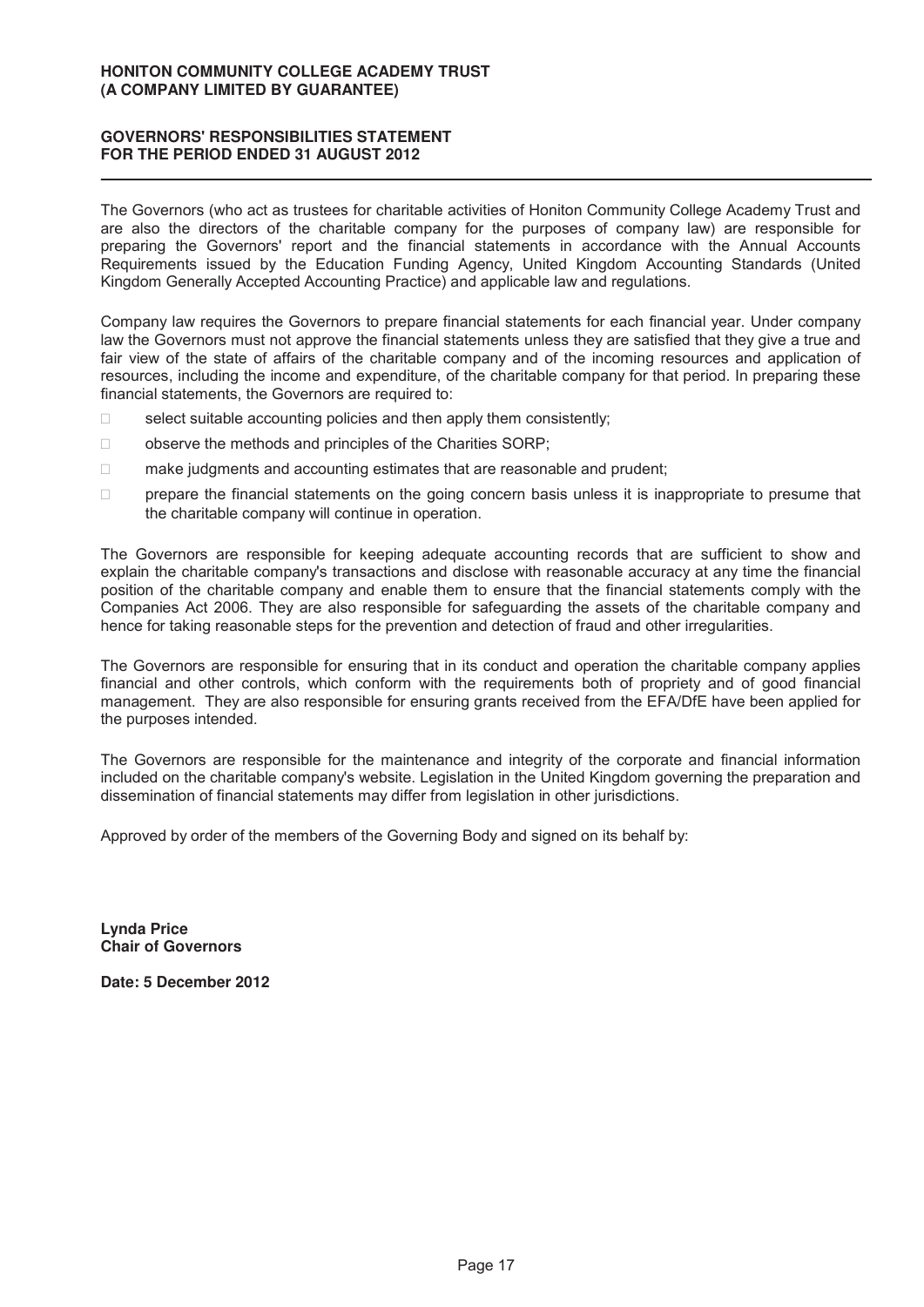# **GOVERNORS' RESPONSIBILITIES STATEMENT FOR THE PERIOD ENDED 31 AUGUST 2012**

The Governors (who act as trustees for charitable activities of Honiton Community College Academy Trust and are also the directors of the charitable company for the purposes of company law) are responsible for preparing the Governors' report and the financial statements in accordance with the Annual Accounts Requirements issued by the Education Funding Agency, United Kingdom Accounting Standards (United Kingdom Generally Accepted Accounting Practice) and applicable law and regulations.

Company law requires the Governors to prepare financial statements for each financial year. Under company law the Governors must not approve the financial statements unless they are satisfied that they give a true and fair view of the state of affairs of the charitable company and of the incoming resources and application of resources, including the income and expenditure, of the charitable company for that period. In preparing these financial statements, the Governors are required to:

select suitable accounting policies and then apply them consistently;

observe the methods and principles of the Charities SORP;

make judgments and accounting estimates that are reasonable and prudent;

 prepare the financial statements on the going concern basis unless it is inappropriate to presume that the charitable company will continue in operation.

The Governors are responsible for keeping adequate accounting records that are sufficient to show and explain the charitable company's transactions and disclose with reasonable accuracy at any time the financial position of the charitable company and enable them to ensure that the financial statements comply with the Companies Act 2006. They are also responsible for safeguarding the assets of the charitable company and hence for taking reasonable steps for the prevention and detection of fraud and other irregularities.

The Governors are responsible for ensuring that in its conduct and operation the charitable company applies financial and other controls, which conform with the requirements both of propriety and of good financial management. They are also responsible for ensuring grants received from the EFA/DfE have been applied for the purposes intended.

The Governors are responsible for the maintenance and integrity of the corporate and financial information included on the charitable company's website. Legislation in the United Kingdom governing the preparation and dissemination of financial statements may differ from legislation in other jurisdictions.

Approved by order of the members of the Governing Body and signed on its behalf by:

**Ly n da Price Chair of Governors** 

Date: 5 December 2012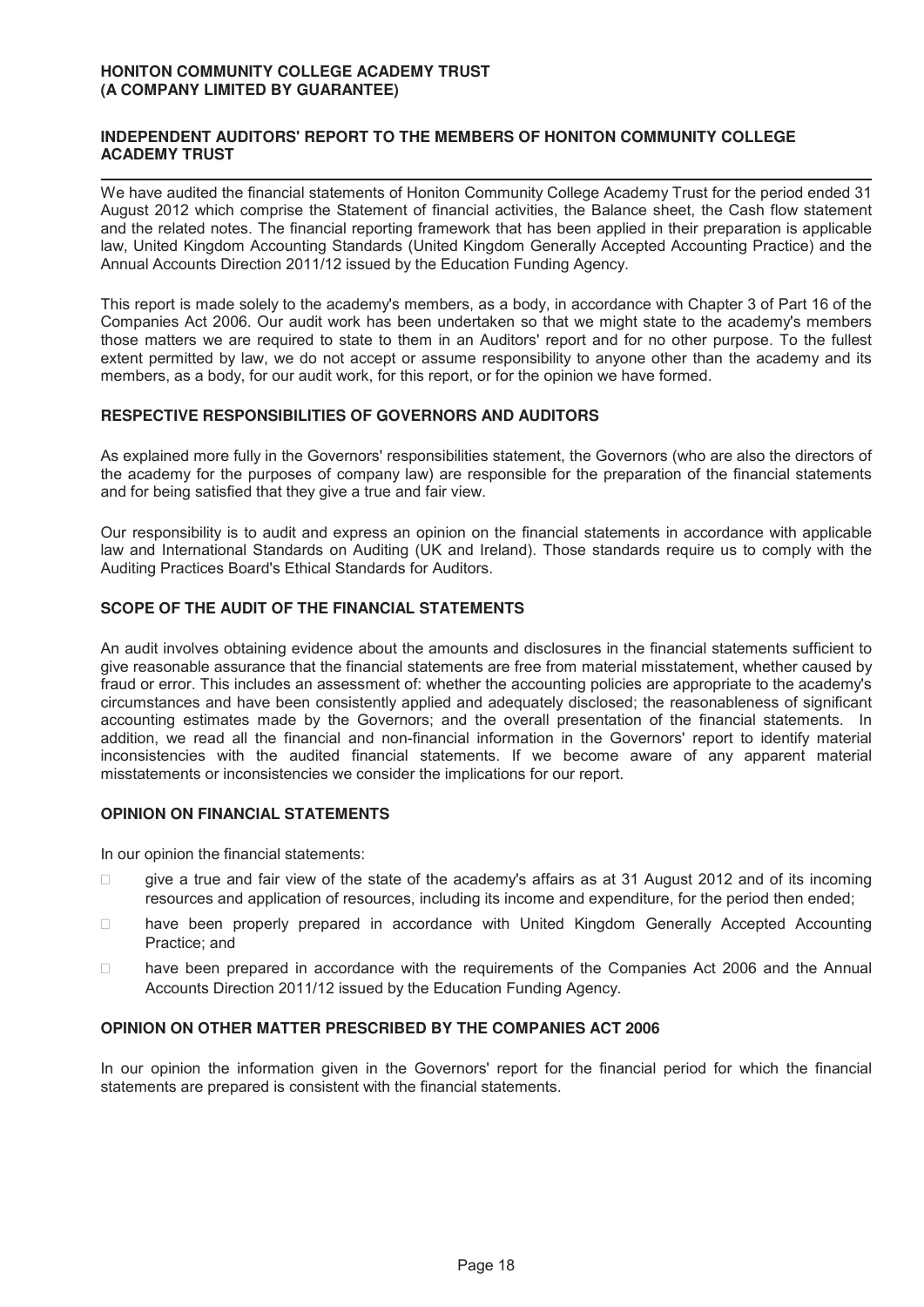## **INDEPENDENT AUDITORS' REPORT TO THE MEMBERS OF HONITON COMMUNITY COLLEGE ACADEMY TRUST**

We have audited the financial statements of Honiton Community College Academy Trust for the period ended 31 August 2012 which comprise the Statement of financial activities, the Balance sheet, the Cash flow statement and the related notes. The financial reporting framework that has been applied in their preparation is applicable law, United Kingdom Accounting Standards (United Kingdom Generally Accepted Accounting Practice) and the Annual Accounts Direction 2011/12 issued by the Education Funding Agency.

This report is made solely to the academy's members, as a body, in accordance with Chapter 3 of Part 16 of the Companies Act 2006. Our audit work has been undertaken so that we might state to the academy's members those matters we are required to state to them in an Auditors' report and for no other purpose. To the fullest extent permitted by law, we do not accept or assume responsibility to anyone other than the academy and its members, as a body, for our audit work, for this report, or for the opinion we have formed.

## **RESPECTIVE RESPONSIBILITIES OF GOVERNORS AND AUDITORS**

As explained more fully in the Governors' responsibilities statement, the Governors (who are also the directors of the academy for the purposes of company law) are responsible for the preparation of the financial statements and for being satisfied that they give a true and fair view.

Our responsibility is to audit and express an opinion on the financial statements in accordance with applicable law and International Standards on Auditing (UK and Ireland). Those standards require us to comply with the Auditing Practices Board's Ethical Standards for Auditors.

# **SCOPE OF THE AUDIT OF THE FINANCIAL STATEMENTS**

An audit involves obtaining evidence about the amounts and disclosures in the financial statements sufficient to give reasonable assurance that the financial statements are free from material misstatement, whether caused by fraud or error. This includes an assessment of: whether the accounting policies are appropriate to the academy's circumstances and have been consistently applied and adequately disclosed; the reasonableness of significant accounting estimates made by the Governors; and the overall presentation of the financial statements. In addition, we read all the financial and non-financial information in the Governors' report to identify material inconsistencies with the audited financial statements. If we become aware of any apparent material misstatements or inconsistencies we consider the implications for our report.

# **OPINION ON FINANCIAL STATEMENTS**

In our opinion the financial statements:

- give a true and fair view of the state of the academy's affairs as at 31 August 2012 and of its incoming resources and application of resources, including its income and expenditure, for the period then ended;
- have been properly prepared in accordance with United Kingdom Generally Accepted Accounting Practice; and
- have been prepared in accordance with the requirements of the Companies Act 2006 and the Annual Accounts Direction 2011/12 issued by the Education Funding Agency.

# **OPINION ON OTHER MATTER PRESCRIBED BY THE COMPANIES ACT 2006**

In our opinion the information given in the Governors' report for the financial period for which the financial statements are prepared is consistent with the financial statements.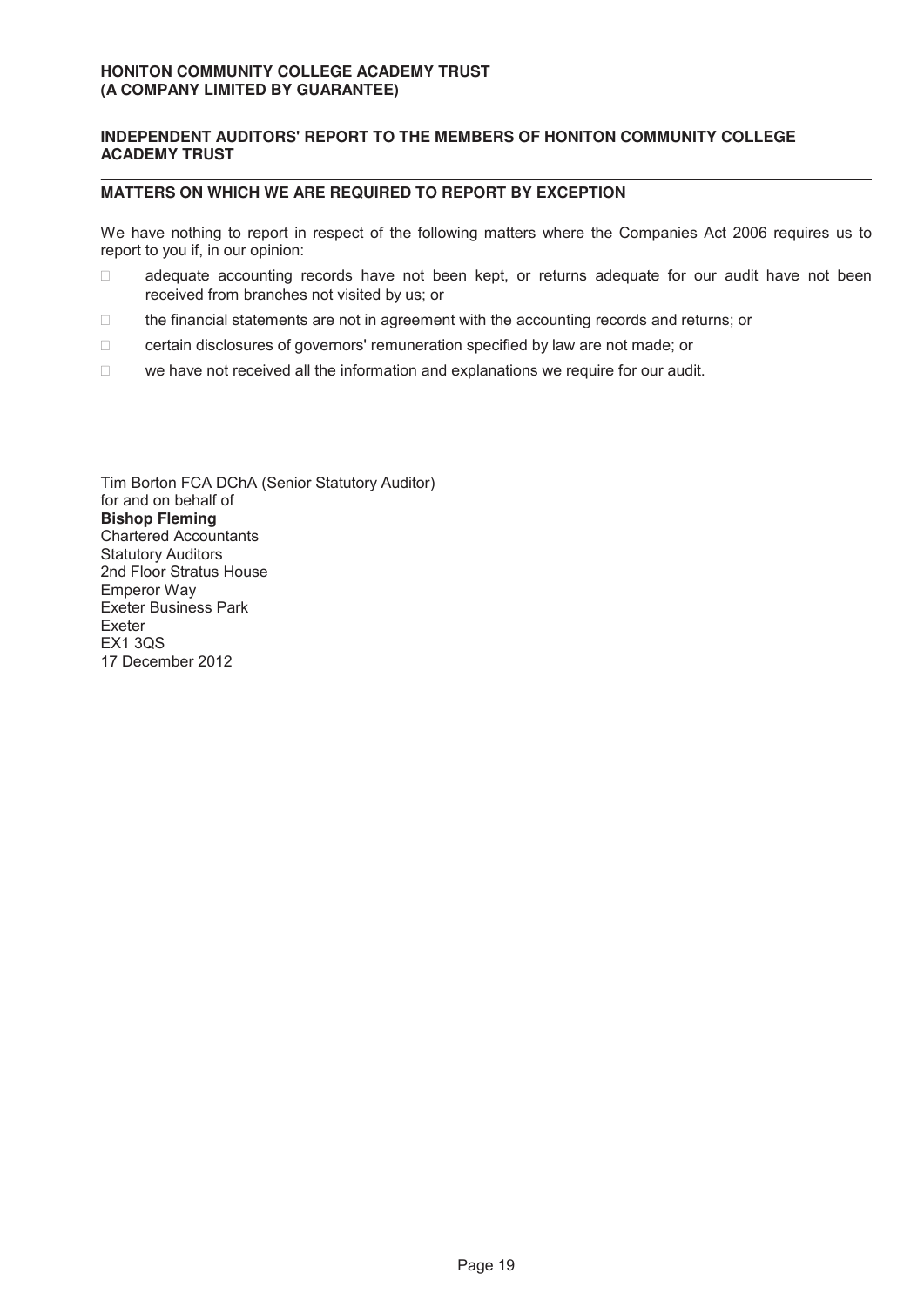# **INDEPENDENT AUDITORS' REPORT TO THE MEMBERS OF HONITON COMMUNITY COLLEGE ACADEMY TRUST**

## **MATTERS ON WHICH WE ARE REQUIRED TO REPORT BY EXCEPTION**

We have nothing to report in respect of the following matters where the Companies Act 2006 requires us to report to you if, in our opinion:

 adequate accounting records have not been kept, or returns adequate for our audit have not been received from branches not visited by us; or

the financial statements are not in agreement with the accounting records and returns; or

certain disclosures of governors' remuneration specified by law are not made; or

we have not received all the information and explanations we require for our audit.

Tim Borton FCA DChA (Senior Statutory Auditor) for and on behalf of **Bishop Fleming** Chartered Accountants Statutory Auditors 2nd Floor Stratus House Emperor Way Exeter Business Park Exeter EX1 3QS 17 December 2012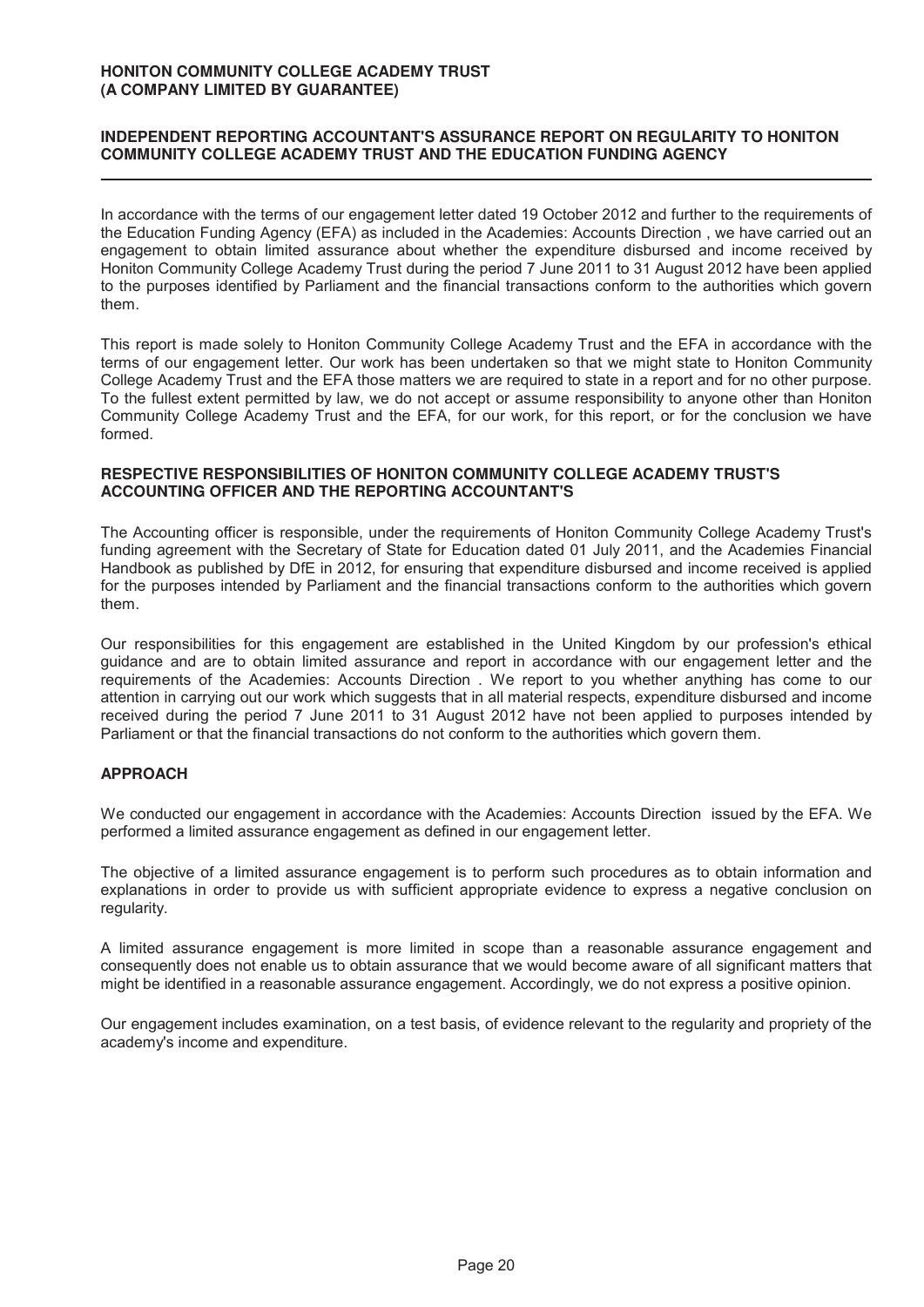# **INDEPENDENT REPORTING ACCOUNTANT'S ASSURANCE REPORT ON REGULARITY TO HONITON COMMUNITY COLLEGE ACADEMY TRUST AND THE EDUCATION FUNDING AGENCY**

In accordance with the terms of our engagement letter dated 19 October 2012 and further to the requirements of the Education Funding Agency (EFA) as included in the Academies: Accounts Direction , we have carried out an engagement to obtain limited assurance about whether the expenditure disbursed and income received by Honiton Community College Academy Trust during the period 7 June 2011 to 31 August 2012 have been applied to the purposes identified by Parliament and the financial transactions conform to the authorities which govern them.

This report is made solely to Honiton Community College Academy Trust and the EFA in accordance with the terms of our engagement letter. Our work has been undertaken so that we might state to Honiton Community College Academy Trust and the EFA those matters we are required to state in a report and for no other purpose. To the fullest extent permitted by law, we do not accept or assume responsibility to anyone other than Honiton Community College Academy Trust and the EFA, for our work, for this report, or for the conclusion we have formed.

#### **RESPECTIVE RESPONSIBILITIES OF HONITON COMMUNITY COLLEGE ACADEMY TRUST'S ACCOUNTING OFFICER AND THE REPORTING ACCOUNTANT'S**

The Accounting officer is responsible, under the requirements of Honiton Community College Academy Trust's funding agreement with the Secretary of State for Education dated 01 July 2011, and the Academies Financial Handbook as published by DfE in 2012, for ensuring that expenditure disbursed and income received is applied for the purposes intended by Parliament and the financial transactions conform to the authorities which govern them.

Our responsibilities for this engagement are established in the United Kingdom by our profession's ethical guidance and are to obtain limited assurance and report in accordance with our engagement letter and the requirements of the Academies: Accounts Direction . We report to you whether anything has come to our attention in carrying out our work which suggests that in all material respects, expenditure disbursed and income received during the period 7 June 2011 to 31 August 2012 have not been applied to purposes intended by Parliament or that the financial transactions do not conform to the authorities which govern them.

# **APPROACH**

We conducted our engagement in accordance with the Academies: Accounts Direction issued by the EFA. We performed a limited assurance engagement as defined in our engagement letter.

The objective of a limited assurance engagement is to perform such procedures as to obtain information and explanations in order to provide us with sufficient appropriate evidence to express a negative conclusion on regularity.

A limited assurance engagement is more limited in scope than a reasonable assurance engagement and consequently does not enable us to obtain assurance that we would become aware of all significant matters that might be identified in a reasonable assurance engagement. Accordingly, we do not express a positive opinion.

Our engagement includes examination, on a test basis, of evidence relevant to the regularity and propriety of the academy's income and expenditure.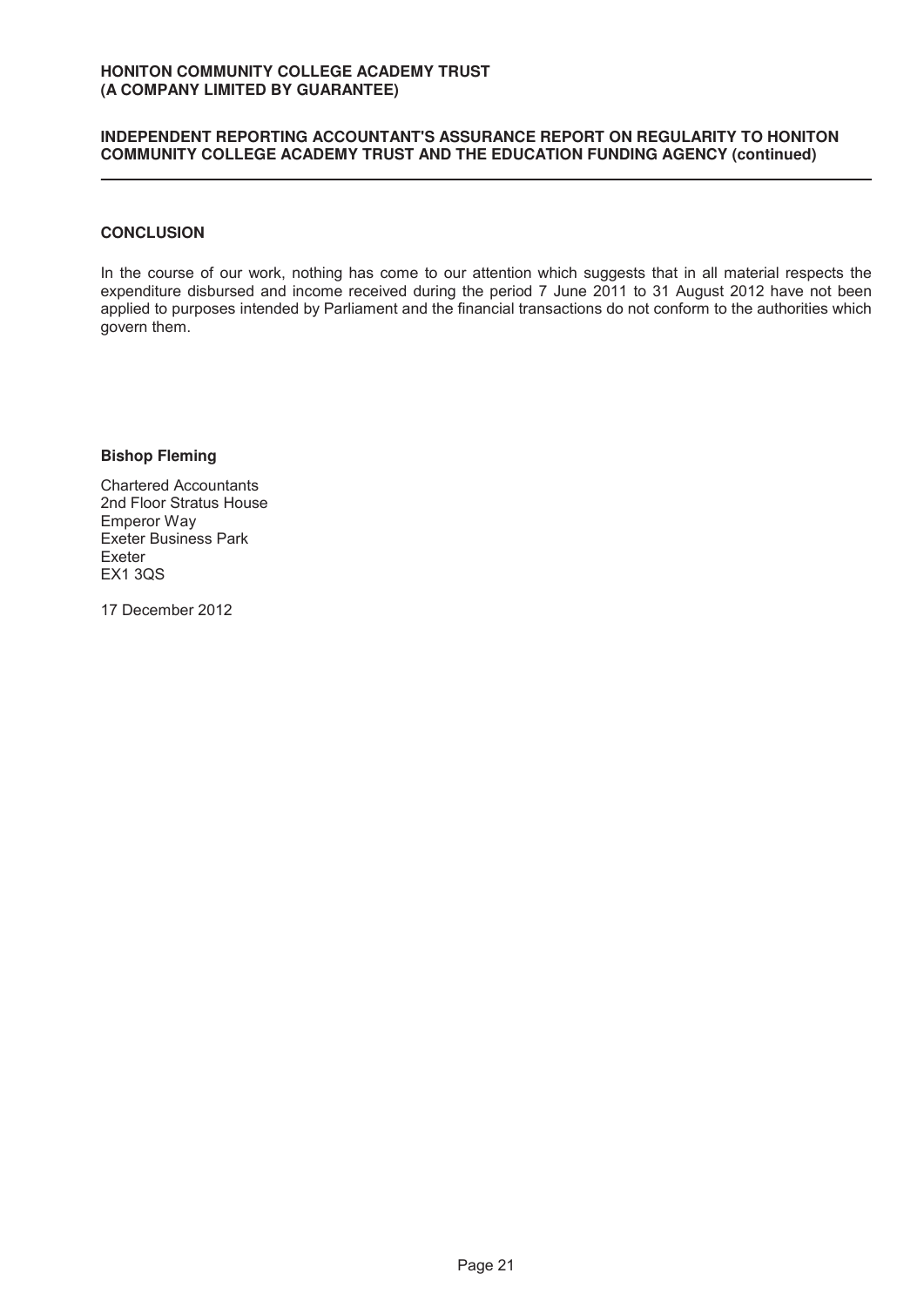## **INDEPENDENT REPORTING ACCOUNTANT'S ASSURANCE REPORT ON REGULARITY TO HONITON COMMUNITY COLLEGE ACADEMY TRUST AND THE EDUCATION FUNDING AGENCY (continued)**

# **CONCLUSION**

In the course of our work, nothing has come to our attention which suggests that in all material respects the expenditure disbursed and income received during the period 7 June 2011 to 31 August 2012 have not been applied to purposes intended by Parliament and the financial transactions do not conform to the authorities which govern them.

**Bishop Fleming** 

Chartered Accountants 2nd Floor Stratus House Emperor Way Exeter Business Park Exeter EX1 3QS

17 December 2012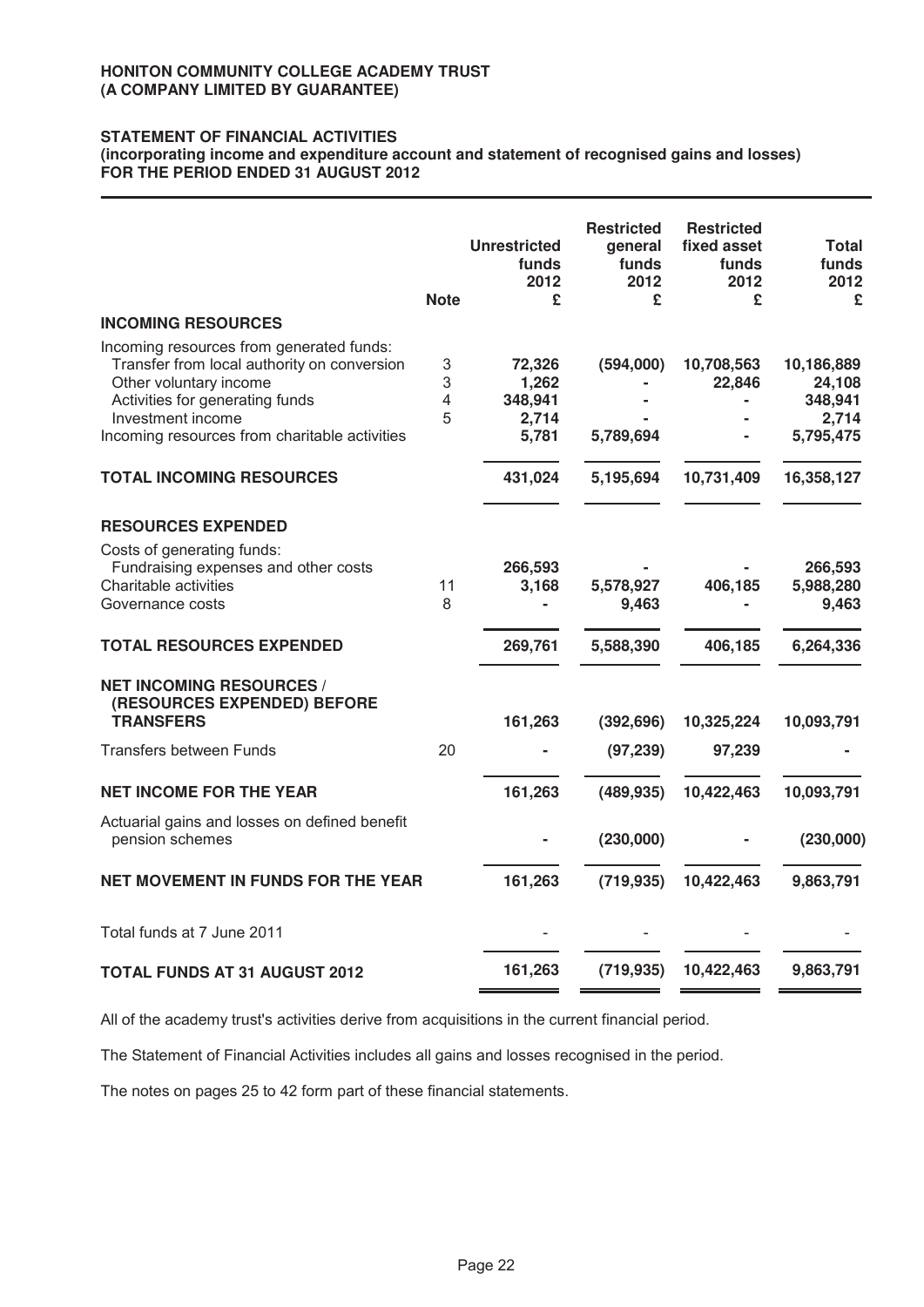# **STATEMENT OF FINANCIAL ACTIVITIES**

(incorporating income and expenditure account and statement of recognised gains and losses) FOR THE PERIOD ENDED 31 AUGUST 2012

|                                                                                                                                                                                                                            | <b>Note</b>                | <b>Unrestricted</b><br>funds<br>2012<br>£    | <b>Restricted</b><br>general<br>funds<br>2012<br>£ | <b>Restricted</b><br>fixed asset<br>funds<br>2012<br>£ | Total<br>funds<br>2012<br>£                           |
|----------------------------------------------------------------------------------------------------------------------------------------------------------------------------------------------------------------------------|----------------------------|----------------------------------------------|----------------------------------------------------|--------------------------------------------------------|-------------------------------------------------------|
| <b>INCOMING RESOURCES</b>                                                                                                                                                                                                  |                            |                                              |                                                    |                                                        |                                                       |
| Incoming resources from generated funds:<br>Transfer from local authority on conversion<br>Other voluntary income<br>Activities for generating funds<br>Investment income<br>Incoming resources from charitable activities | $\mathsf 3$<br>3<br>4<br>5 | 72,326<br>1,262<br>348,941<br>2,714<br>5,781 | (594,000)<br>5,789,694                             | 10,708,563<br>22,846                                   | 10,186,889<br>24,108<br>348,941<br>2,714<br>5,795,475 |
| <b>TOTAL INCOMING RESOURCES</b>                                                                                                                                                                                            |                            | 431,024                                      | 5,195,694                                          | 10,731,409                                             | 16,358,127                                            |
| <b>RESOURCES EXPENDED</b><br>Costs of generating funds:                                                                                                                                                                    |                            |                                              |                                                    |                                                        |                                                       |
| Fundraising expenses and other costs<br>Charitable activities<br>Governance costs                                                                                                                                          | 11<br>8                    | 266,593<br>3,168                             | 5,578,927<br>9,463                                 | 406,185                                                | 266,593<br>5,988,280<br>9,463                         |
| <b>TOTAL RESOURCES EXPENDED</b>                                                                                                                                                                                            |                            | 269,761                                      | 5,588,390                                          | 406,185                                                | 6,264,336                                             |
| <b>NET INCOMING RESOURCES /</b><br>(RESOURCES EXPENDED) BEFORE<br><b>TRANSFERS</b>                                                                                                                                         |                            | 161,263                                      | (392, 696)                                         | 10,325,224                                             | 10,093,791                                            |
| <b>Transfers between Funds</b>                                                                                                                                                                                             | 20                         |                                              | (97, 239)                                          | 97,239                                                 |                                                       |
| <b>NET INCOME FOR THE YEAR</b>                                                                                                                                                                                             |                            | 161,263                                      | (489, 935)                                         | 10,422,463                                             | 10,093,791                                            |
| Actuarial gains and losses on defined benefit<br>pension schemes                                                                                                                                                           |                            |                                              | (230,000)                                          |                                                        | (230,000)                                             |
| <b>NET MOVEMENT IN FUNDS FOR THE YEAR</b>                                                                                                                                                                                  |                            | 161,263                                      | (719, 935)                                         | 10,422,463                                             | 9,863,791                                             |
| Total funds at 7 June 2011                                                                                                                                                                                                 |                            |                                              |                                                    |                                                        |                                                       |
| <b>TOTAL FUNDS AT 31 AUGUST 2012</b>                                                                                                                                                                                       |                            | 161,263                                      | (719, 935)                                         | 10,422,463                                             | 9,863,791                                             |

All of the academy trust's activities derive from acquisitions in the current financial period.

The Statement of Financial Activities includes all gains and losses recognised in the period.

The notes on pages 25 to 42 form part of these financial statements.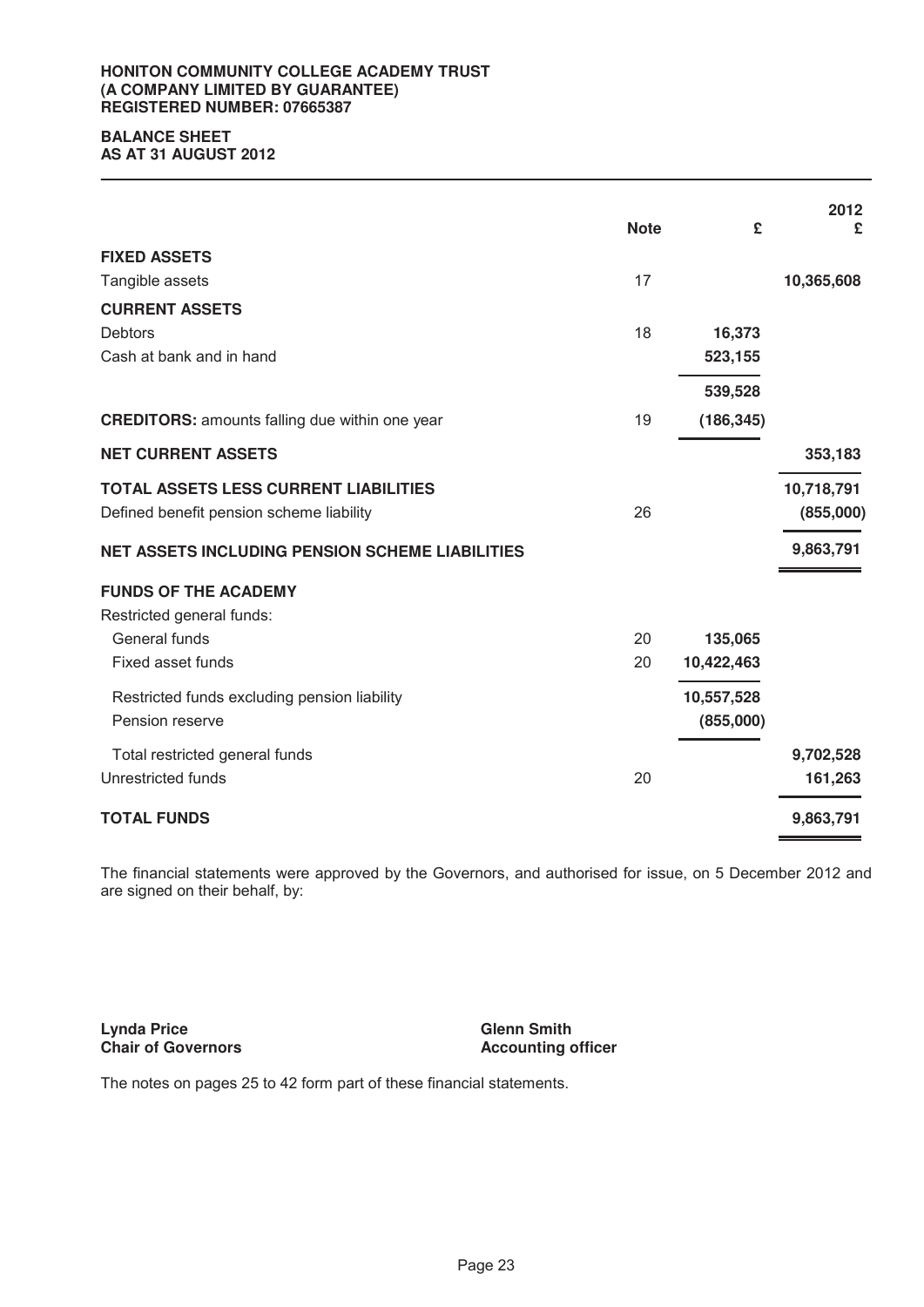#### **HONITON COMMUNITY COLLEGE ACADEMY TRUST (A COMPANY LIMITED BY GUARANTEE) REGISTERED NUMBER: 07665387**

# **BALANCE SHEET**

**AS AT 31 AUGUST 2012** 

|                                                        | <b>Note</b> | £          | 2012<br>£  |
|--------------------------------------------------------|-------------|------------|------------|
| <b>FIXED ASSETS</b>                                    |             |            |            |
| Tangible assets                                        | 17          |            | 10,365,608 |
| <b>CURRENT ASSETS</b>                                  |             |            |            |
| <b>Debtors</b>                                         | 18          | 16,373     |            |
| Cash at bank and in hand                               |             | 523,155    |            |
|                                                        |             | 539,528    |            |
| <b>CREDITORS:</b> amounts falling due within one year  | 19          | (186, 345) |            |
| <b>NET CURRENT ASSETS</b>                              |             |            | 353,183    |
| <b>TOTAL ASSETS LESS CURRENT LIABILITIES</b>           |             |            | 10,718,791 |
| Defined benefit pension scheme liability               | 26          |            | (855,000)  |
| <b>NET ASSETS INCLUDING PENSION SCHEME LIABILITIES</b> |             |            | 9,863,791  |
| <b>FUNDS OF THE ACADEMY</b>                            |             |            |            |
| Restricted general funds:                              |             |            |            |
| General funds                                          | 20          | 135,065    |            |
| Fixed asset funds                                      | 20          | 10,422,463 |            |
| Restricted funds excluding pension liability           |             | 10,557,528 |            |
| Pension reserve                                        |             | (855,000)  |            |
| Total restricted general funds                         |             |            | 9,702,528  |
| Unrestricted funds                                     | 20          |            | 161,263    |
| <b>TOTAL FUNDS</b>                                     |             |            | 9,863,791  |

The financial statements were approved by the Governors, and authorised for issue, on 5 December 2012 and are signed on their behalf, by:

**Ly n da Price Chair of Governors**  **Glenn Smith Accounting officer** 

The notes on pages 25 to 42 form part of these financial statements.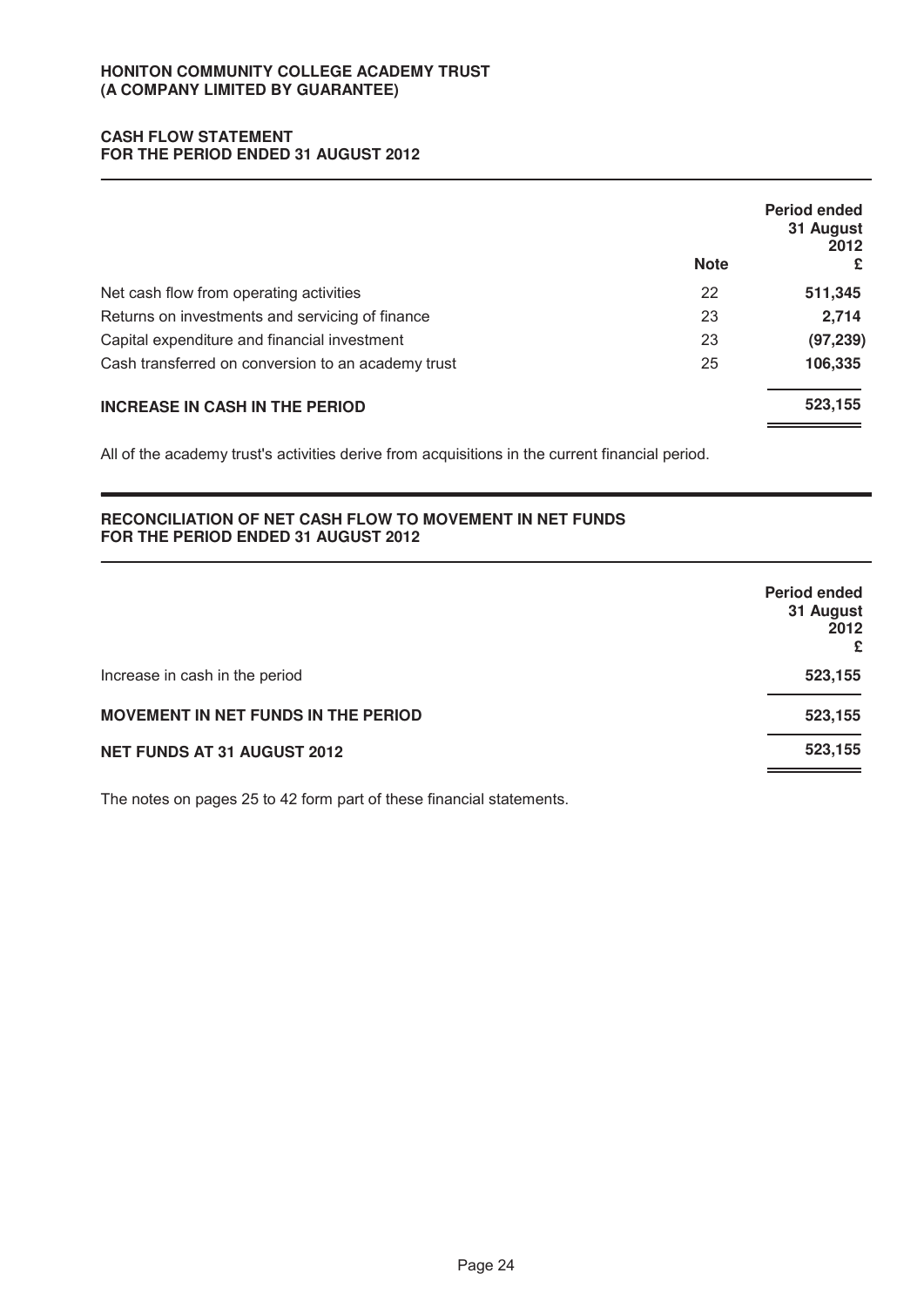# **CASH FLOW STATEMENT FOR THE PERIOD ENDED 31 AUGUST 2012**

|                                                    | <b>Note</b> | Period ended<br>31 August<br>2012<br>£ |
|----------------------------------------------------|-------------|----------------------------------------|
| Net cash flow from operating activities            | 22          | 511,345                                |
| Returns on investments and servicing of finance    | 23          | 2,714                                  |
| Capital expenditure and financial investment       | 23          | (97, 239)                              |
| Cash transferred on conversion to an academy trust | 25          | 106,335                                |
| <b>INCREASE IN CASH IN THE PERIOD</b>              |             | 523,155                                |

All of the academy trust's activities derive from acquisitions in the current financial period.

# **RECONCILIATION OF NET CASH FLOW TO MOVEMENT IN NET FUNDS FOR THE PERIOD ENDED 31 AUGUST 2012**

|                                            | <b>Period ended</b><br>31 August<br>2012<br>£ |
|--------------------------------------------|-----------------------------------------------|
| Increase in cash in the period             | 523,155                                       |
| <b>MOVEMENT IN NET FUNDS IN THE PERIOD</b> | 523,155                                       |
| NET FUNDS AT 31 AUGUST 2012                | 523,155                                       |

The notes on pages 25 to 42 form part of these financial statements.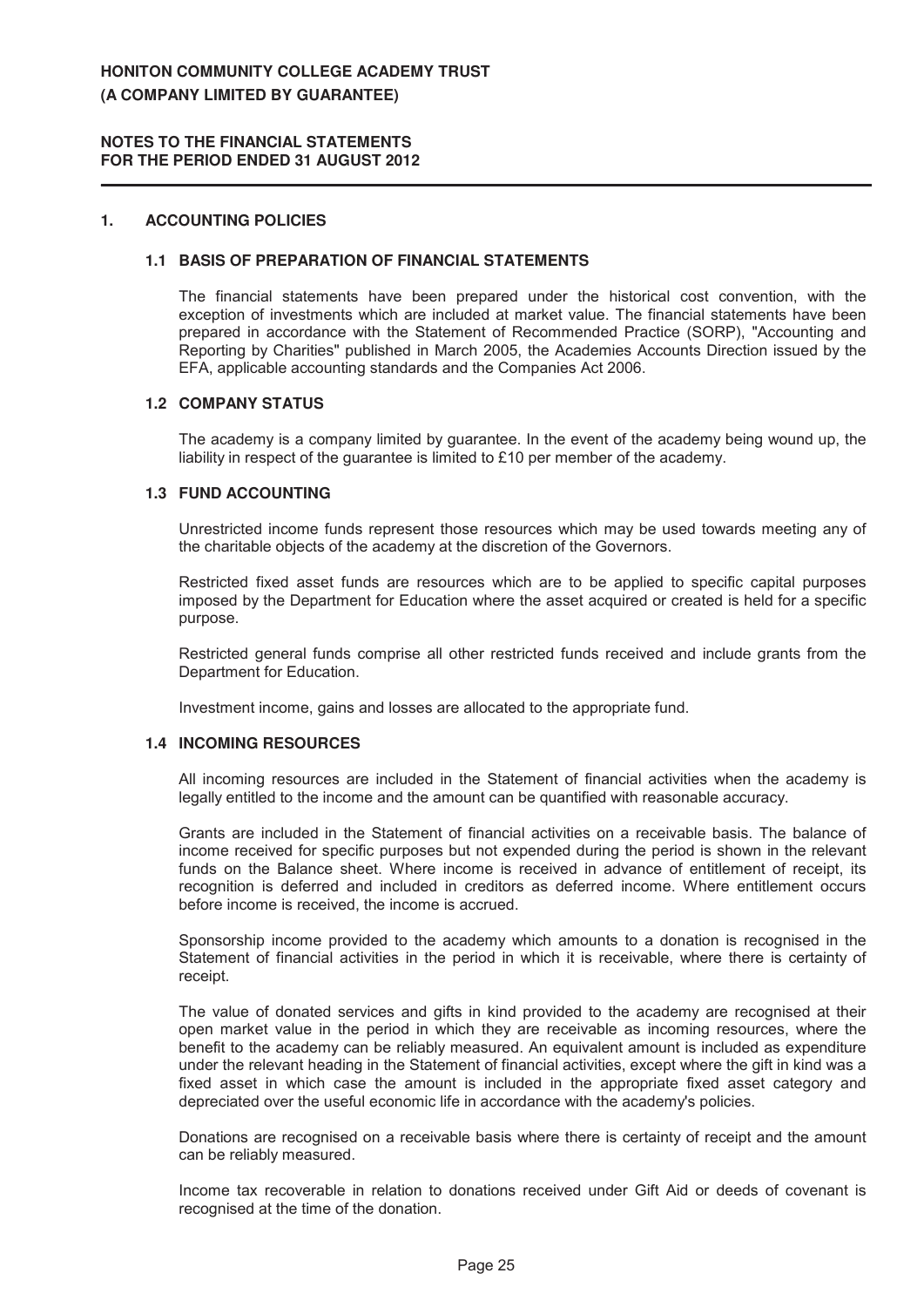## 1. **ACCOUNTING POLICIES**

#### **1.1 BASIS OF PREPARATION OF FINANCIAL STATEMENTS**

The financial statements have been prepared under the historical cost convention, with the exception of investments which are included at market value. The financial statements have been prepared in accordance with the Statement of Recommended Practice (SORP), "Accounting and Reporting by Charities" published in March 2005, the Academies Accounts Direction issued by the EFA, applicable accounting standards and the Companies Act 2006.

## **1.2 COMPANY STATUS**

The academy is a company limited by guarantee. In the event of the academy being wound up, the liability in respect of the guarantee is limited to £10 per member of the academy.

#### **1.3 FUND ACCOUNTING**

Unrestricted income funds represent those resources which may be used towards meeting any of the charitable objects of the academy at the discretion of the Governors.

Restricted fixed asset funds are resources which are to be applied to specific capital purposes imposed by the Department for Education where the asset acquired or created is held for a specific purpose.

Restricted general funds comprise all other restricted funds received and include grants from the Department for Education.

Investment income, gains and losses are allocated to the appropriate fund.

#### **1.4 INCOMING RESOURCES**

All incoming resources are included in the Statement of financial activities when the academy is legally entitled to the income and the amount can be quantified with reasonable accuracy.

Grants are included in the Statement of financial activities on a receivable basis. The balance of income received for specific purposes but not expended during the period is shown in the relevant funds on the Balance sheet. Where income is received in advance of entitlement of receipt, its recognition is deferred and included in creditors as deferred income. Where entitlement occurs before income is received, the income is accrued.

Sponsorship income provided to the academy which amounts to a donation is recognised in the Statement of financial activities in the period in which it is receivable, where there is certainty of receipt.

The value of donated services and gifts in kind provided to the academy are recognised at their open market value in the period in which they are receivable as incoming resources, where the benefit to the academy can be reliably measured. An equivalent amount is included as expenditure under the relevant heading in the Statement of financial activities, except where the gift in kind was a fixed asset in which case the amount is included in the appropriate fixed asset category and depreciated over the useful economic life in accordance with the academy's policies.

Donations are recognised on a receivable basis where there is certainty of receipt and the amount can be reliably measured.

Income tax recoverable in relation to donations received under Gift Aid or deeds of covenant is recognised at the time of the donation.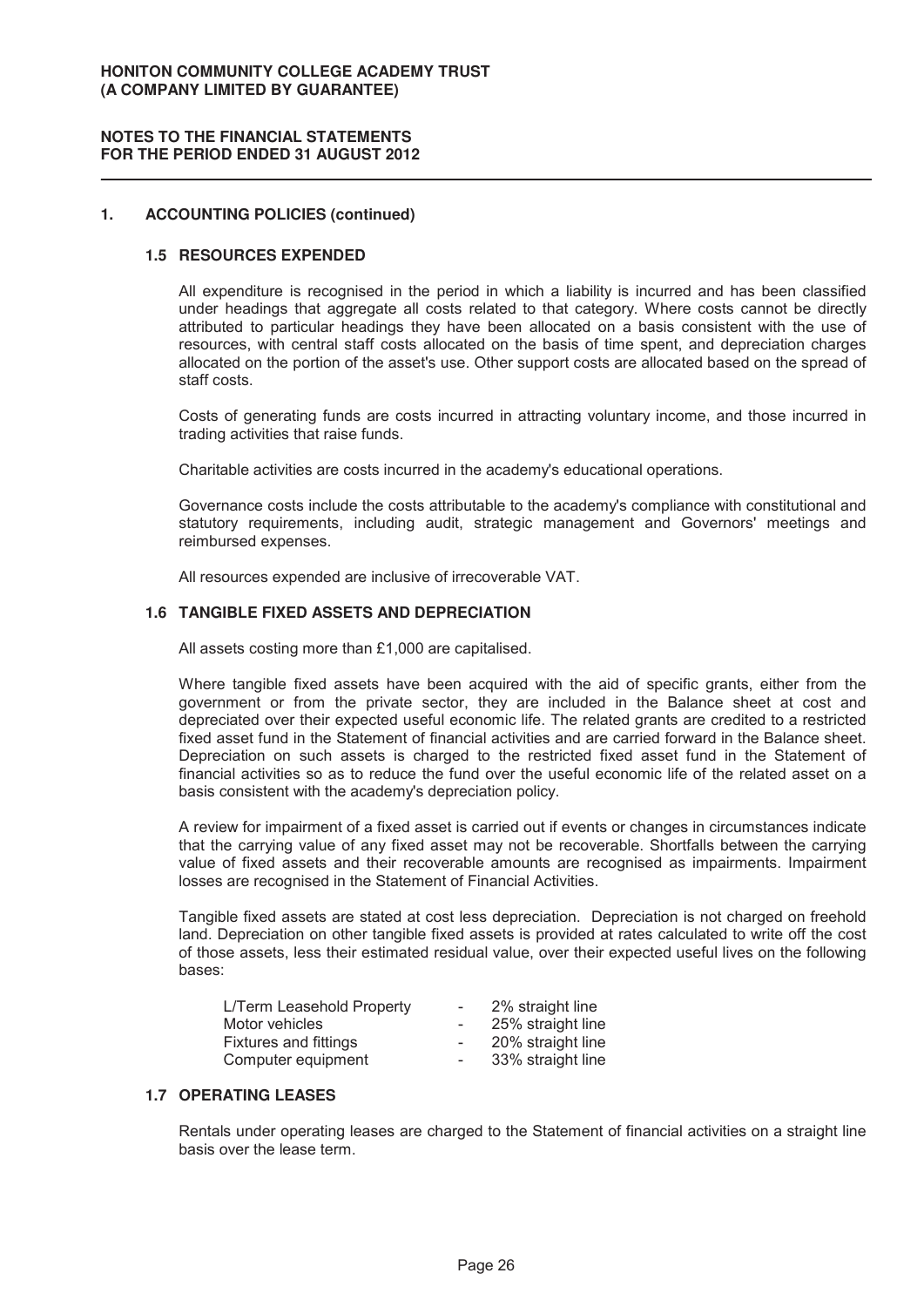## **NOTES TO THE FINANCIAL STATEMENTS FOR THE PERIOD ENDED 31 AUGUST 2012**

## 1. **ACCOUNTING POLICIES (continued)**

#### **1.5 RESOURCES EXPENDED**

All expenditure is recognised in the period in which a liability is incurred and has been classified under headings that aggregate all costs related to that category. Where costs cannot be directly attributed to particular headings they have been allocated on a basis consistent with the use of resources, with central staff costs allocated on the basis of time spent, and depreciation charges allocated on the portion of the asset's use. Other support costs are allocated based on the spread of staff costs.

Costs of generating funds are costs incurred in attracting voluntary income, and those incurred in trading activities that raise funds.

Charitable activities are costs incurred in the academy's educational operations.

Governance costs include the costs attributable to the academy's compliance with constitutional and statutory requirements, including audit, strategic management and Governors' meetings and reimbursed expenses.

All resources expended are inclusive of irrecoverable VAT.

## **1.6 TANGIBLE FIXED ASSETS AND DEPRECIATION**

All assets costing more than £1,000 are capitalised.

Where tangible fixed assets have been acquired with the aid of specific grants, either from the government or from the private sector, they are included in the Balance sheet at cost and depreciated over their expected useful economic life. The related grants are credited to a restricted fixed asset fund in the Statement of financial activities and are carried forward in the Balance sheet. Depreciation on such assets is charged to the restricted fixed asset fund in the Statement of financial activities so as to reduce the fund over the useful economic life of the related asset on a basis consistent with the academy's depreciation policy.

A review for impairment of a fixed asset is carried out if events or changes in circumstances indicate that the carrying value of any fixed asset may not be recoverable. Shortfalls between the carrying value of fixed assets and their recoverable amounts are recognised as impairments. Impairment losses are recognised in the Statement of Financial Activities.

Tangible fixed assets are stated at cost less depreciation. Depreciation is not charged on freehold land. Depreciation on other tangible fixed assets is provided at rates calculated to write off the cost of those assets, less their estimated residual value, over their expected useful lives on the following bases:

| L/Term Leasehold Property    | $\overline{\phantom{0}}$ | 2% straight line  |
|------------------------------|--------------------------|-------------------|
| Motor vehicles               | $\overline{\phantom{0}}$ | 25% straight line |
| <b>Fixtures and fittings</b> | $\overline{\phantom{0}}$ | 20% straight line |
| Computer equipment           | $\sim$                   | 33% straight line |
|                              |                          |                   |

# **1.7 OPERATING LEASES**

Rentals under operating leases are charged to the Statement of financial activities on a straight line basis over the lease term.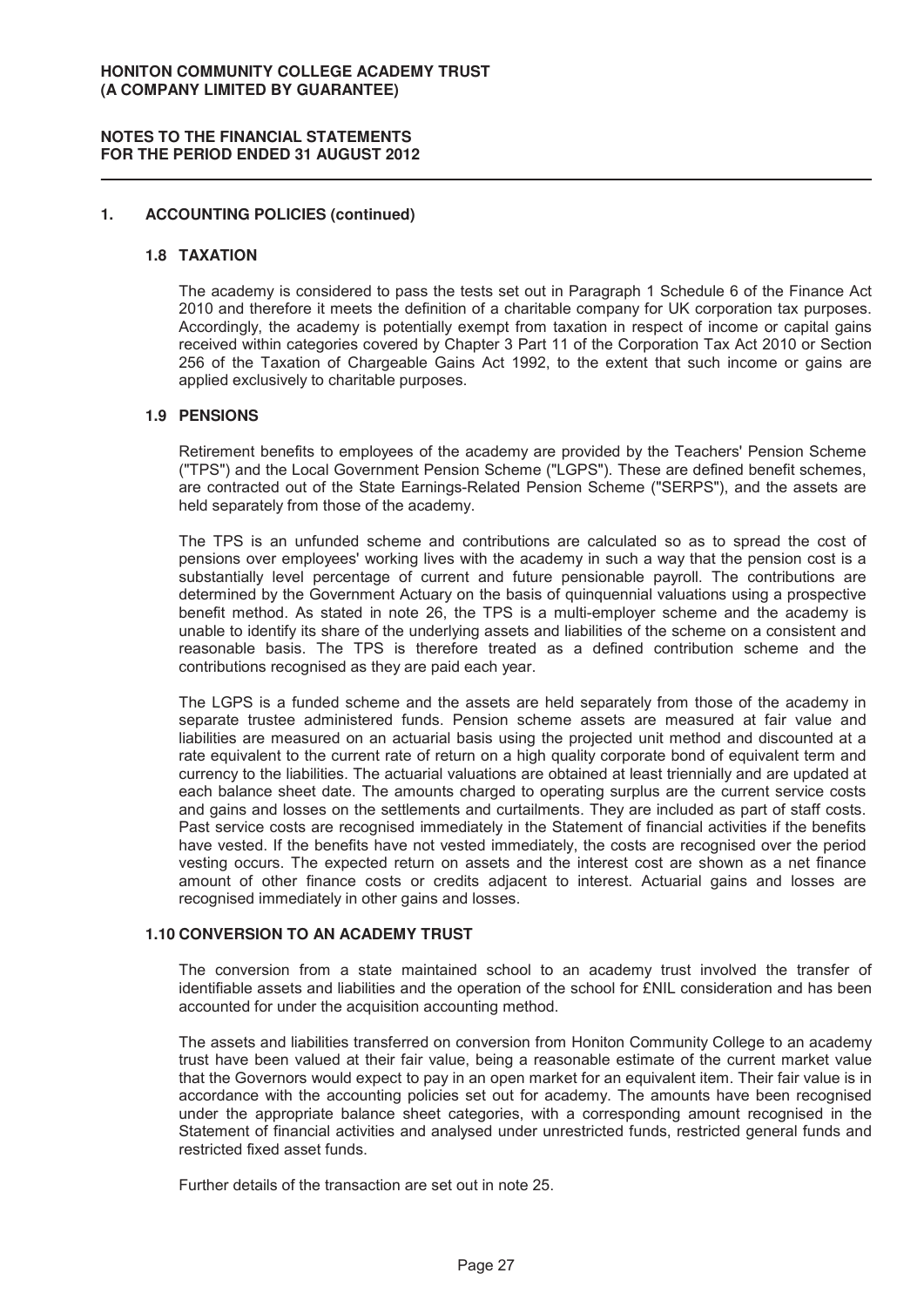#### 1. **ACCOUNTING POLICIES (continued)**

#### **1.8 T AX AT ION**

The academy is considered to pass the tests set out in Paragraph 1 Schedule 6 of the Finance Act 2010 and therefore it meets the definition of a charitable company for UK corporation tax purposes. Accordingly, the academy is potentially exempt from taxation in respect of income or capital gains received within categories covered by Chapter 3 Part 11 of the Corporation Tax Act 2010 or Section 256 of the Taxation of Chargeable Gains Act 1992, to the extent that such income or gains are applied exclusively to charitable purposes.

#### **1.9 PENSIONS**

Retirement benefits to employees of the academy are provided by the Teachers' Pension Scheme ("TPS") and the Local Government Pension Scheme ("LGPS"). These are defined benefit schemes, are contracted out of the State Earnings-Related Pension Scheme ("SERPS"), and the assets are held separately from those of the academy.

The TPS is an unfunded scheme and contributions are calculated so as to spread the cost of pensions over employees' working lives with the academy in such a way that the pension cost is a substantially level percentage of current and future pensionable payroll. The contributions are determined by the Government Actuary on the basis of quinquennial valuations using a prospective benefit method. As stated in note 26, the TPS is a multi-employer scheme and the academy is unable to identify its share of the underlying assets and liabilities of the scheme on a consistent and reasonable basis. The TPS is therefore treated as a defined contribution scheme and the contributions recognised as they are paid each year.

The LGPS is a funded scheme and the assets are held separately from those of the academy in separate trustee administered funds. Pension scheme assets are measured at fair value and liabilities are measured on an actuarial basis using the projected unit method and discounted at a rate equivalent to the current rate of return on a high quality corporate bond of equivalent term and currency to the liabilities. The actuarial valuations are obtained at least triennially and are updated at each balance sheet date. The amounts charged to operating surplus are the current service costs and gains and losses on the settlements and curtailments. They are included as part of staff costs. Past service costs are recognised immediately in the Statement of financial activities if the benefits have vested. If the benefits have not vested immediately, the costs are recognised over the period vesting occurs. The expected return on assets and the interest cost are shown as a net finance amount of other finance costs or credits adjacent to interest. Actuarial gains and losses are recognised immediately in other gains and losses.

#### **1.10 CONVERSION TO AN ACADEMY TRUST**

The conversion from a state maintained school to an academy trust involved the transfer of identifiable assets and liabilities and the operation of the school for £NIL consideration and has been accounted for under the acquisition accounting method.

The assets and liabilities transferred on conversion from Honiton Community College to an academy trust have been valued at their fair value, being a reasonable estimate of the current market value that the Governors would expect to pay in an open market for an equivalent item. Their fair value is in accordance with the accounting policies set out for academy. The amounts have been recognised under the appropriate balance sheet categories, with a corresponding amount recognised in the Statement of financial activities and analysed under unrestricted funds, restricted general funds and restricted fixed asset funds.

Further details of the transaction are set out in note 25.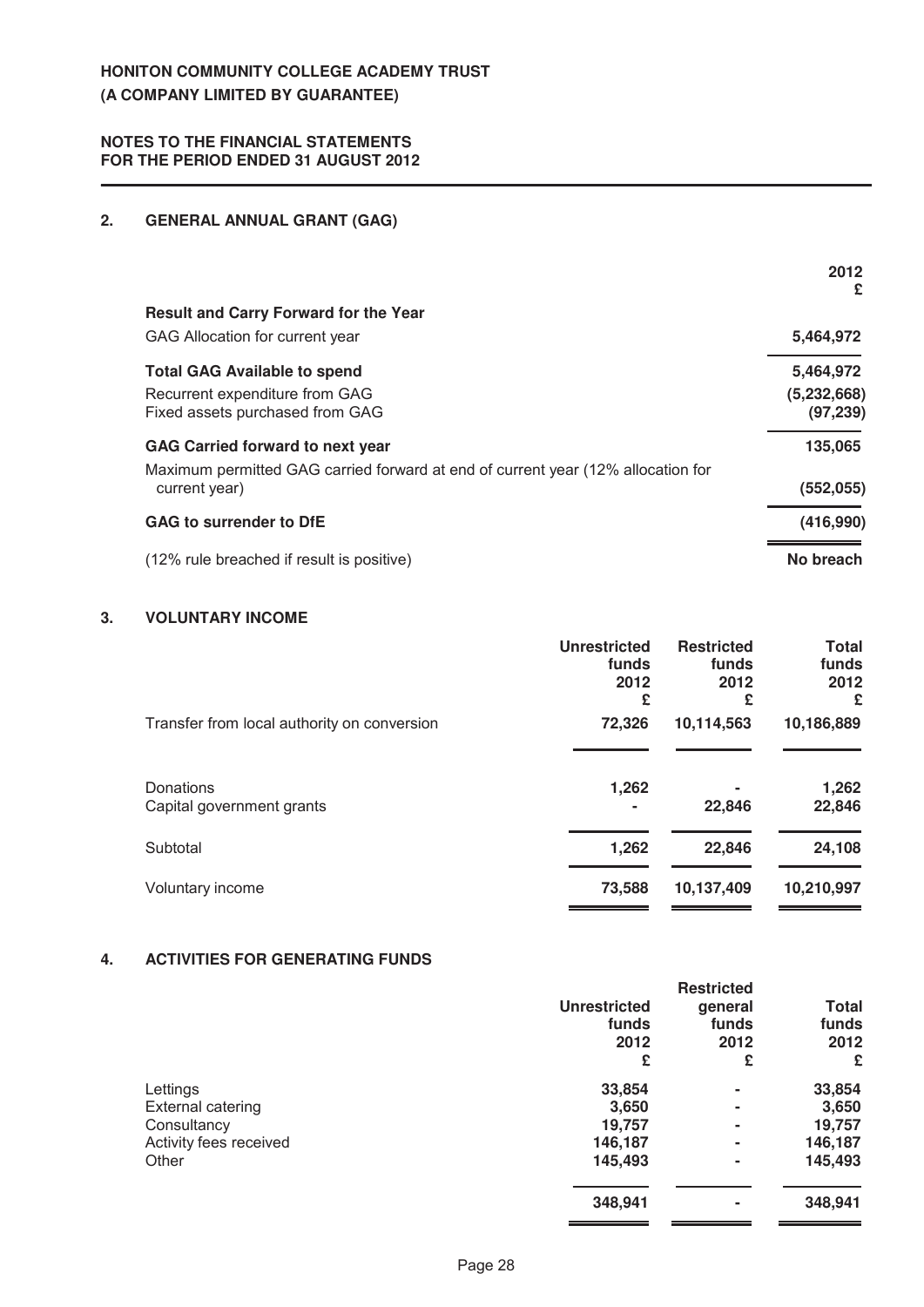# **2. GENERAL ANNUAL GRANT (GAG)**

|                                                                                                   | 2012<br>£                  |
|---------------------------------------------------------------------------------------------------|----------------------------|
| <b>Result and Carry Forward for the Year</b>                                                      |                            |
| GAG Allocation for current year                                                                   | 5,464,972                  |
| <b>Total GAG Available to spend</b>                                                               | 5,464,972                  |
| Recurrent expenditure from GAG<br>Fixed assets purchased from GAG                                 | (5, 232, 668)<br>(97, 239) |
| GAG Carried forward to next year                                                                  | 135,065                    |
| Maximum permitted GAG carried forward at end of current year (12% allocation for<br>current year) | (552, 055)                 |
| <b>GAG to surrender to DfE</b>                                                                    | (416,990)                  |
| (12% rule breached if result is positive)                                                         | No breach                  |

# **3. VOLUNTARY INCOME**

|                                             | <b>Unrestricted</b><br>funds<br>2012<br>£ | <b>Restricted</b><br>funds<br>2012<br>£ | <b>Total</b><br>funds<br>2012<br>£ |
|---------------------------------------------|-------------------------------------------|-----------------------------------------|------------------------------------|
| Transfer from local authority on conversion | 72,326                                    | 10,114,563                              | 10,186,889                         |
| Donations<br>Capital government grants      | 1,262                                     | 22,846                                  | 1,262<br>22,846                    |
| Subtotal                                    | 1,262                                     | 22,846                                  | 24,108                             |
| Voluntary income                            | 73,588                                    | 10,137,409                              | 10,210,997                         |

# **4. ACTIVITIES FOR GENERATING FUNDS**

|                          |                     | <b>Restricted</b> |              |
|--------------------------|---------------------|-------------------|--------------|
|                          | <b>Unrestricted</b> | general           | <b>Total</b> |
|                          | funds               | funds             | funds        |
|                          | 2012                | 2012              | 2012         |
|                          | £                   | £                 | £            |
| Lettings                 | 33,854              | ۰                 | 33,854       |
| <b>External catering</b> | 3,650               | ۰                 | 3,650        |
| Consultancy              | 19,757              | ۰                 | 19,757       |
| Activity fees received   | 146,187             | ٠                 | 146,187      |
| Other                    | 145,493             | ٠                 | 145,493      |
|                          | 348,941             | ٠                 | 348,941      |
|                          |                     |                   |              |

 $\overline{\phantom{a}}$ 

 $\blacksquare$ 

.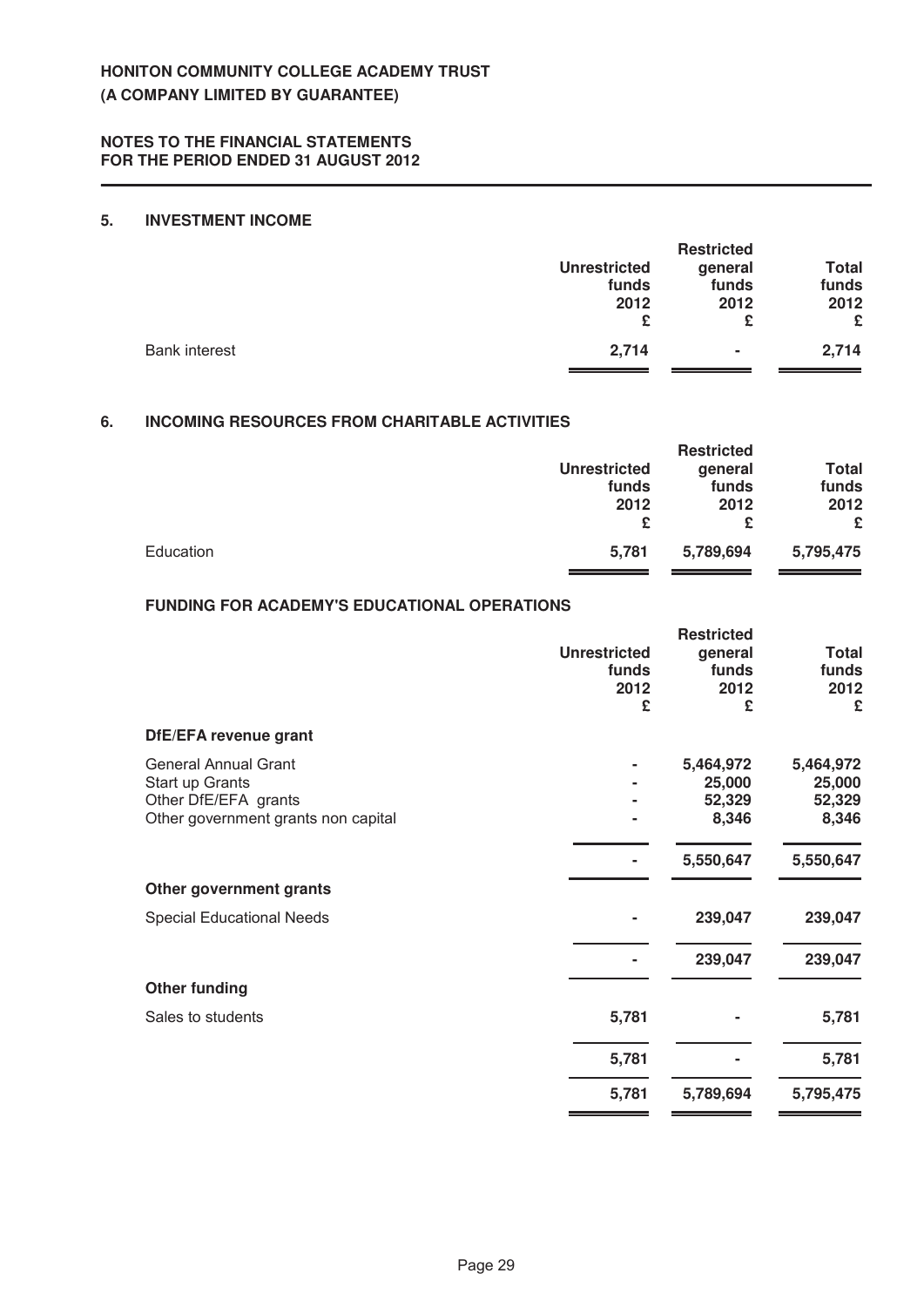# **5. INVESTMENT INCOME**

|                      |                     | <b>Restricted</b> |              |
|----------------------|---------------------|-------------------|--------------|
|                      | <b>Unrestricted</b> | general           | <b>Total</b> |
|                      | funds               | funds             | funds        |
|                      | 2012                | 2012              | 2012         |
|                      | £                   | £                 | £            |
| <b>Bank interest</b> | 2,714               | $\blacksquare$    | 2,714        |

# **6. INCOMING RESOURCES FROM CHARITABLE ACTIVITIES**

|           |                     | <b>Restricted</b> |           |
|-----------|---------------------|-------------------|-----------|
|           | <b>Unrestricted</b> | general           | Total     |
|           | funds               | funds             | funds     |
|           | 2012                | 2012              | 2012      |
|           | £                   | £                 | £         |
| Education | 5.781               | 5,789,694         | 5,795,475 |

# **FUNDING FOR ACADEMY'S EDUCATIONAL OPERATIONS**

|                                                                                                               | <b>Unrestricted</b><br>funds<br>2012<br>£ | <b>Restricted</b><br>general<br>funds<br>2012<br>£ | <b>Total</b><br>funds<br>2012<br>£     |
|---------------------------------------------------------------------------------------------------------------|-------------------------------------------|----------------------------------------------------|----------------------------------------|
| DfE/EFA revenue grant                                                                                         |                                           |                                                    |                                        |
| <b>General Annual Grant</b><br>Start up Grants<br>Other DfE/EFA grants<br>Other government grants non capital |                                           | 5,464,972<br>25,000<br>52,329<br>8,346             | 5,464,972<br>25,000<br>52,329<br>8,346 |
|                                                                                                               |                                           | 5,550,647                                          | 5,550,647                              |
| Other government grants                                                                                       |                                           |                                                    |                                        |
| <b>Special Educational Needs</b>                                                                              |                                           | 239,047                                            | 239,047                                |
|                                                                                                               |                                           | 239,047                                            | 239,047                                |
| <b>Other funding</b>                                                                                          |                                           |                                                    |                                        |
| Sales to students                                                                                             | 5,781                                     |                                                    | 5,781                                  |
|                                                                                                               | 5,781                                     |                                                    | 5,781                                  |
|                                                                                                               | 5,781                                     | 5,789,694                                          | 5,795,475                              |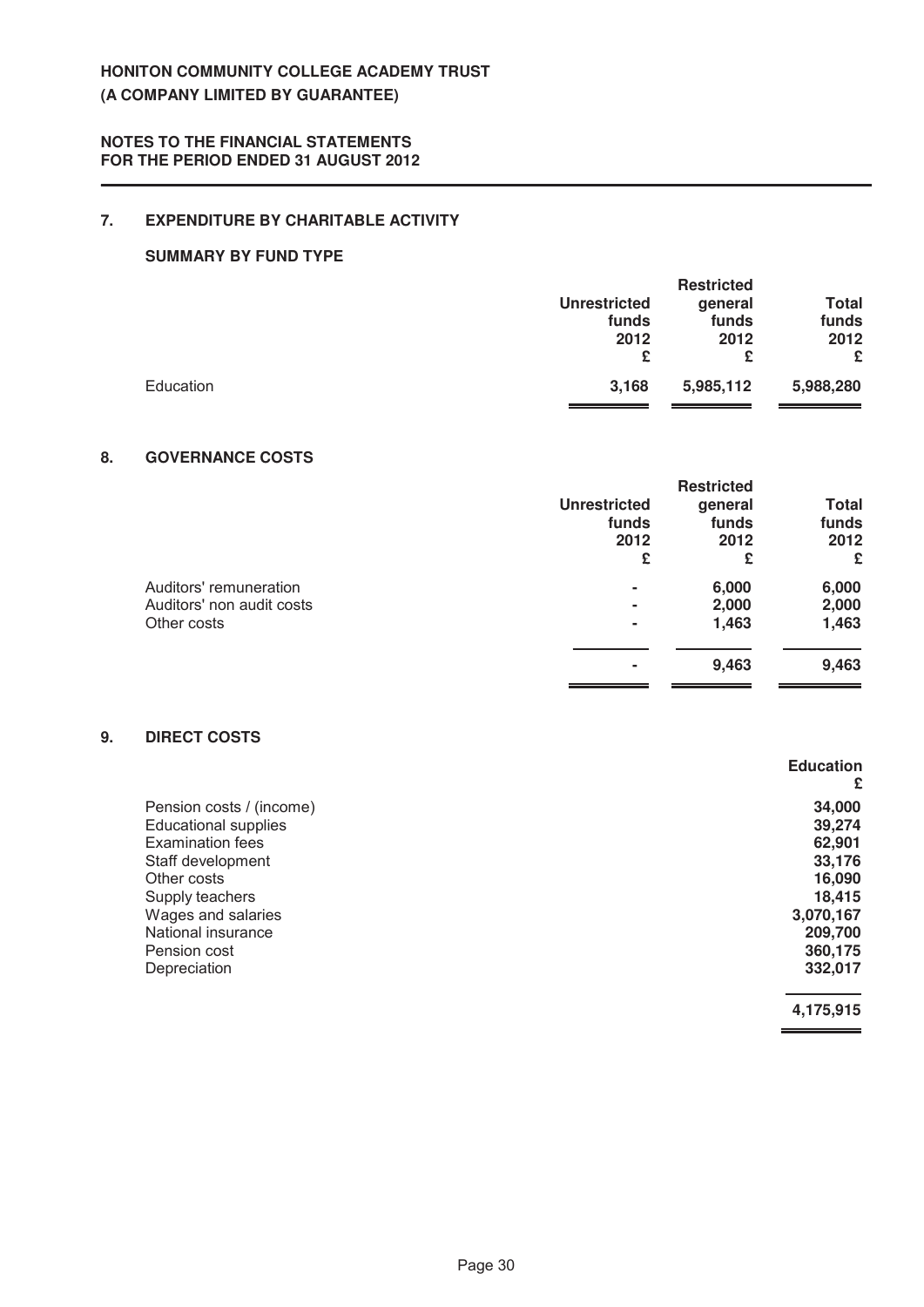# **NOTES TO THE FINANCIAL STATEMENTS FOR THE PERIOD ENDED 31 AUGUST 2012**

# **7. EXPENDITURE BY CHARITABLE ACTIVITY**

# **SUMMARY BY FUND TYPE**

|           |                     | <b>Restricted</b> |              |
|-----------|---------------------|-------------------|--------------|
|           | <b>Unrestricted</b> | general           | <b>Total</b> |
|           | funds               | funds             | funds        |
|           | 2012                | 2012              | 2012         |
|           | £                   | £                 | £            |
| Education | 3,168               | 5,985,112         | 5,988,280    |
|           |                     |                   |              |

# 8. **GOVERNANCE COSTS**

|                     | <b>Restricted</b> |              |
|---------------------|-------------------|--------------|
| <b>Unrestricted</b> | general           | <b>Total</b> |
| funds               | funds             | funds        |
| 2012                | 2012              | 2012         |
| £                   | £                 | £            |
| -                   | 6,000             | 6,000        |
| ۰                   | 2,000             | 2,000        |
| -                   | 1,463             | 1,463        |
|                     | 9,463             | 9,463        |
|                     |                   |              |

# **9. DIRECT COSTS**

|                             | <b>Education</b> |
|-----------------------------|------------------|
|                             | £                |
| Pension costs / (income)    | 34,000           |
| <b>Educational supplies</b> | 39,274           |
| <b>Examination fees</b>     | 62,901           |
| Staff development           | 33,176           |
| Other costs                 | 16,090           |
| Supply teachers             | 18,415           |
| Wages and salaries          | 3,070,167        |
| National insurance          | 209,700          |
| Pension cost                | 360,175          |
| Depreciation                | 332,017          |
|                             | 4,175,915        |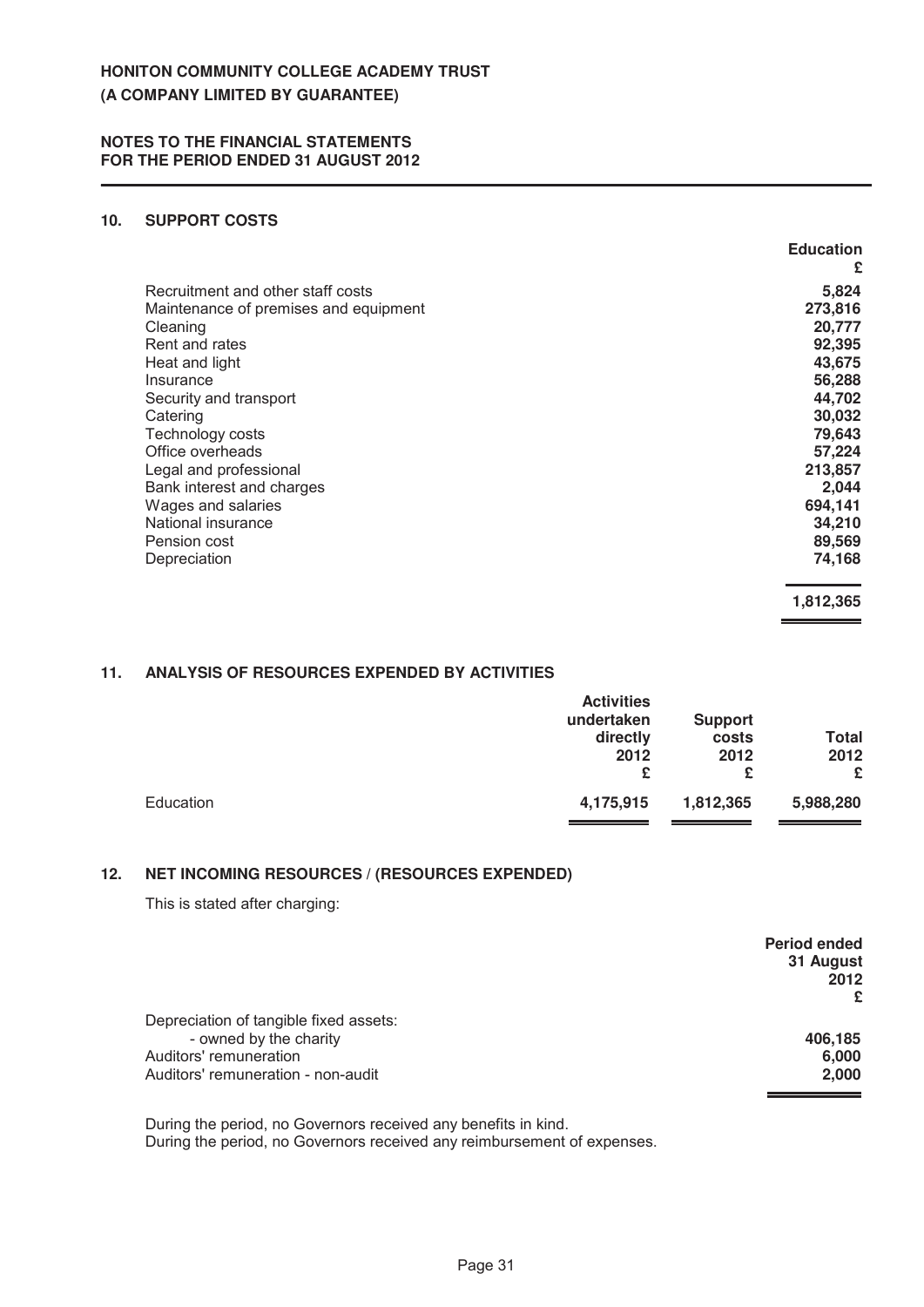# **10. SUPPORT COSTS**

|                                       | <b>Education</b> |
|---------------------------------------|------------------|
|                                       | £                |
| Recruitment and other staff costs     | 5,824            |
| Maintenance of premises and equipment | 273,816          |
| Cleaning                              | 20,777           |
| Rent and rates                        | 92,395           |
| Heat and light                        | 43,675           |
| Insurance                             | 56,288           |
| Security and transport                | 44,702           |
| Catering                              | 30,032           |
| Technology costs                      | 79,643           |
| Office overheads                      | 57,224           |
| Legal and professional                | 213,857          |
| Bank interest and charges             | 2,044            |
| Wages and salaries                    | 694,141          |
| National insurance                    | 34,210           |
| Pension cost                          | 89,569           |
| Depreciation                          | 74,168           |
|                                       | 1,812,365        |

# 11. **ANALYSIS OF RESOURCES EXPENDED BY ACTIVITIES**

|           | <b>Activities</b><br>undertaken<br>directly<br>2012<br>£ | <b>Support</b><br>costs<br>2012<br>£ | <b>Total</b><br>2012<br>£ |
|-----------|----------------------------------------------------------|--------------------------------------|---------------------------|
| Education | 4,175,915                                                | 1,812,365                            | 5,988,280                 |

# **12. NET INCOMING RESOURCES / (RESOURCES EXPENDED)**

This is stated after charging:

|                                        | <b>Period ended</b><br>31 August<br>2012 |
|----------------------------------------|------------------------------------------|
|                                        | £                                        |
| Depreciation of tangible fixed assets: |                                          |
| - owned by the charity                 | 406.185                                  |
| Auditors' remuneration                 | 6,000                                    |
| Auditors' remuneration - non-audit     | 2,000                                    |
|                                        |                                          |

During the period, no Governors received any benefits in kind. During the period, no Governors received any reimbursement of expenses.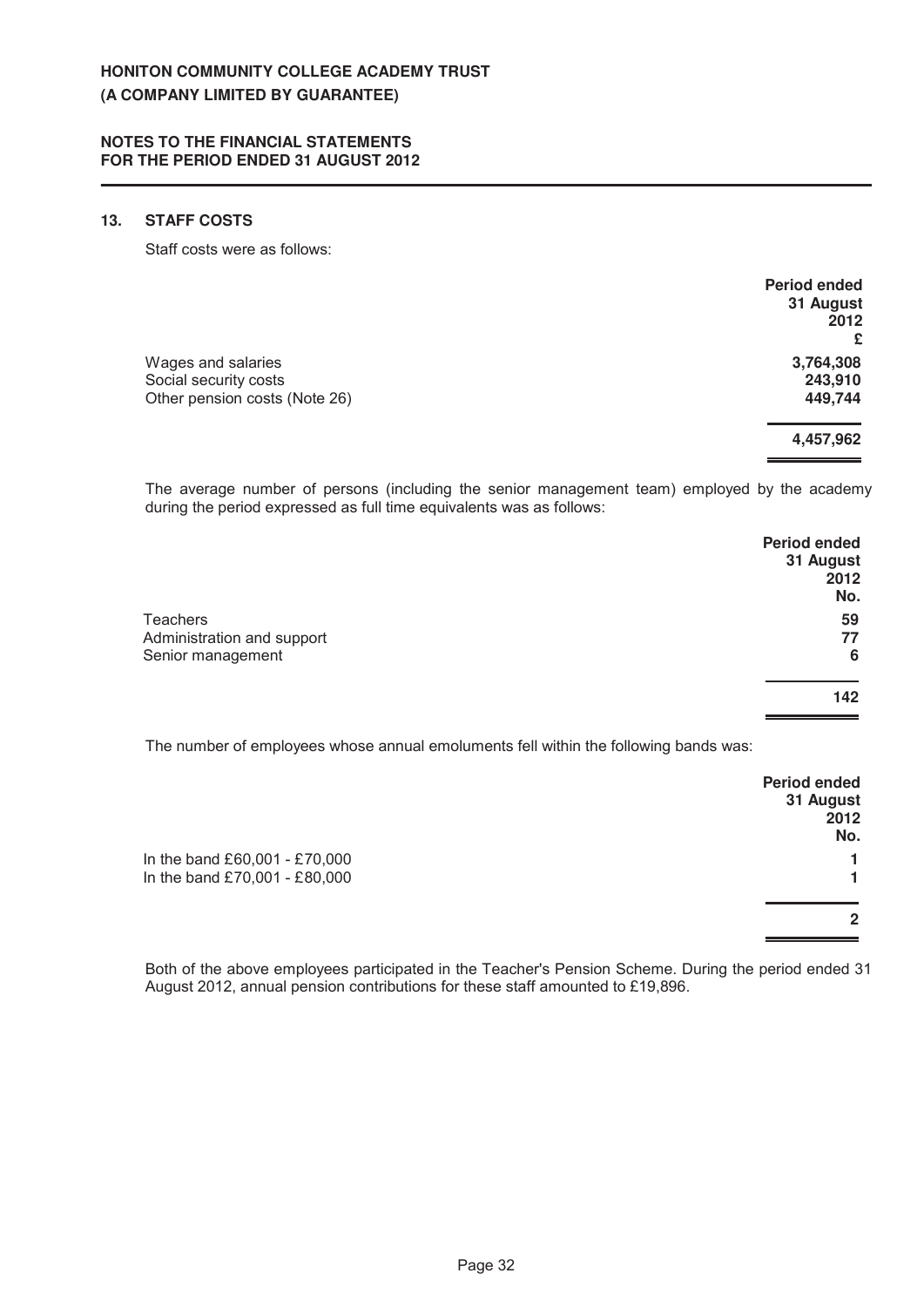# 13. **STAFF COSTS**

Staff costs were as follows:

|                               | <b>Period ended</b><br>31 August |
|-------------------------------|----------------------------------|
|                               | 2012<br>£                        |
| Wages and salaries            | 3,764,308                        |
| Social security costs         | 243,910                          |
| Other pension costs (Note 26) | 449,744                          |
|                               | 4,457,962                        |
|                               |                                  |

The average number of persons (including the senior management team) employed by the academy during the period expressed as full time equivalents was as follows:

|                            | <b>Period ended</b> |
|----------------------------|---------------------|
|                            | 31 August           |
|                            | 2012                |
|                            | No.                 |
| <b>Teachers</b>            | 59                  |
| Administration and support | 77                  |
| Senior management          | 6                   |
|                            | 142                 |
|                            |                     |
|                            |                     |

The number of employees whose annual emoluments fell within the following bands was:

|                               | <b>Period ended</b><br>31 August |
|-------------------------------|----------------------------------|
|                               | 2012                             |
|                               | No.                              |
| In the band £60,001 - £70,000 |                                  |
| In the band £70,001 - £80,000 |                                  |
|                               | 2                                |
|                               |                                  |

Both of the above employees participated in the Teacher's Pension Scheme. During the period ended 31 August 2012, annual pension contributions for these staff amounted to £19,896.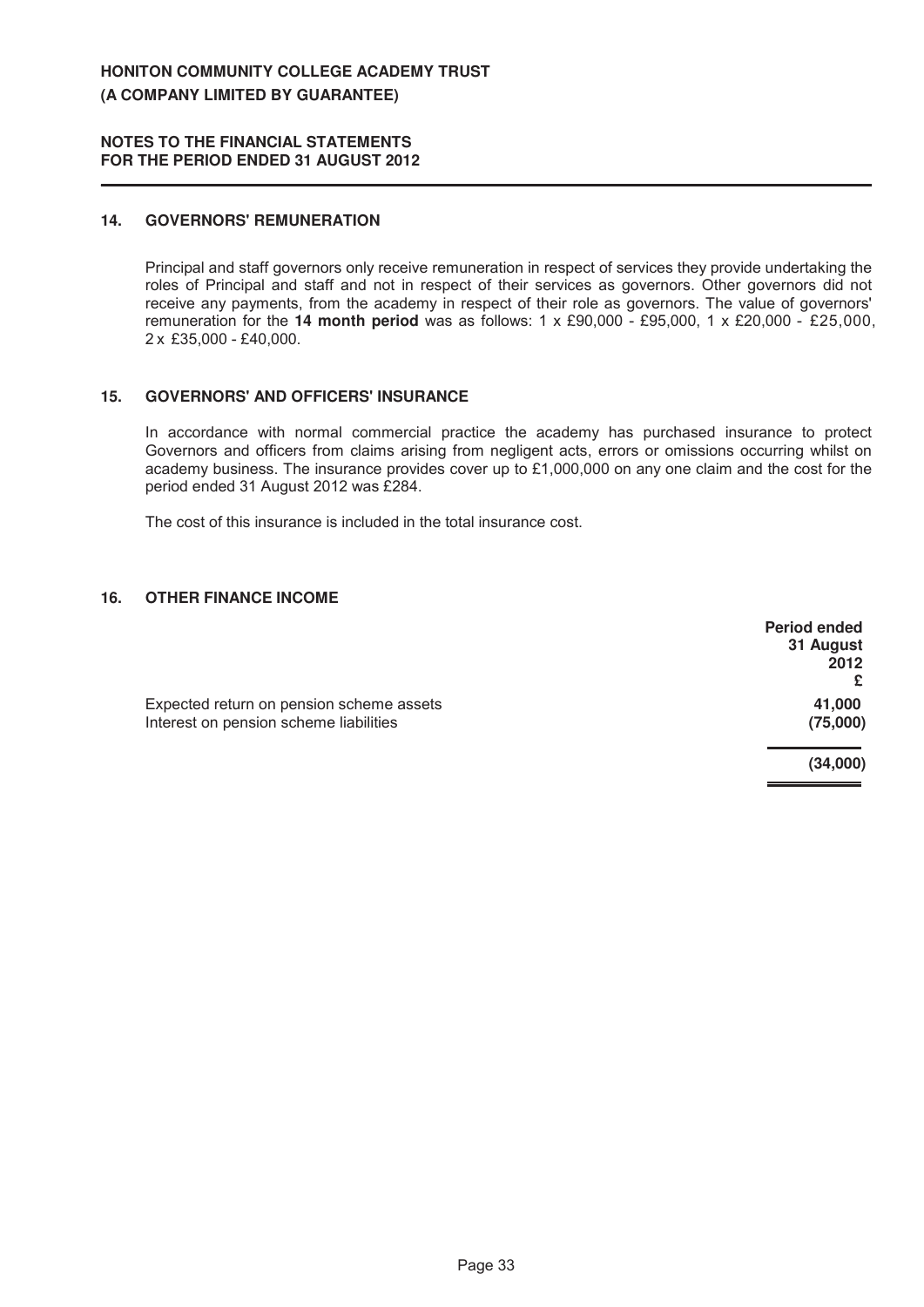## **14. GOVERNORS' REMUNERATION**

Principal and staff governors only receive remuneration in respect of services they provide undertaking the roles of Principal and staff and not in respect of their services as governors. Other governors did not receive any payments, from the academy in respect of their role as governors. The value of governors' remuneration for the **14 month period** was as follows: 1 x £90,000 - £95,000, 1 x £20,000 - £25,000, 2 x £35,000 - £40,000.

## **15 . GOV E R N OR S ' AN D OFFICE R S ' IN S U R AN CE**

In accordance with normal commercial practice the academy has purchased insurance to protect Governors and officers from claims arising from negligent acts, errors or omissions occurring whilst on academy business. The insurance provides cover up to £1,000,000 on any one claim and the cost for the period ended 31 August 2012 was £284.

The cost of this insurance is included in the total insurance cost.

# **16. OTHER FINANCE INCOME**

|                                          | <b>Period ended</b> |
|------------------------------------------|---------------------|
|                                          | 31 August           |
|                                          | 2012                |
|                                          | £                   |
| Expected return on pension scheme assets | 41,000              |
| Interest on pension scheme liabilities   | (75,000)            |
|                                          | (34,000)            |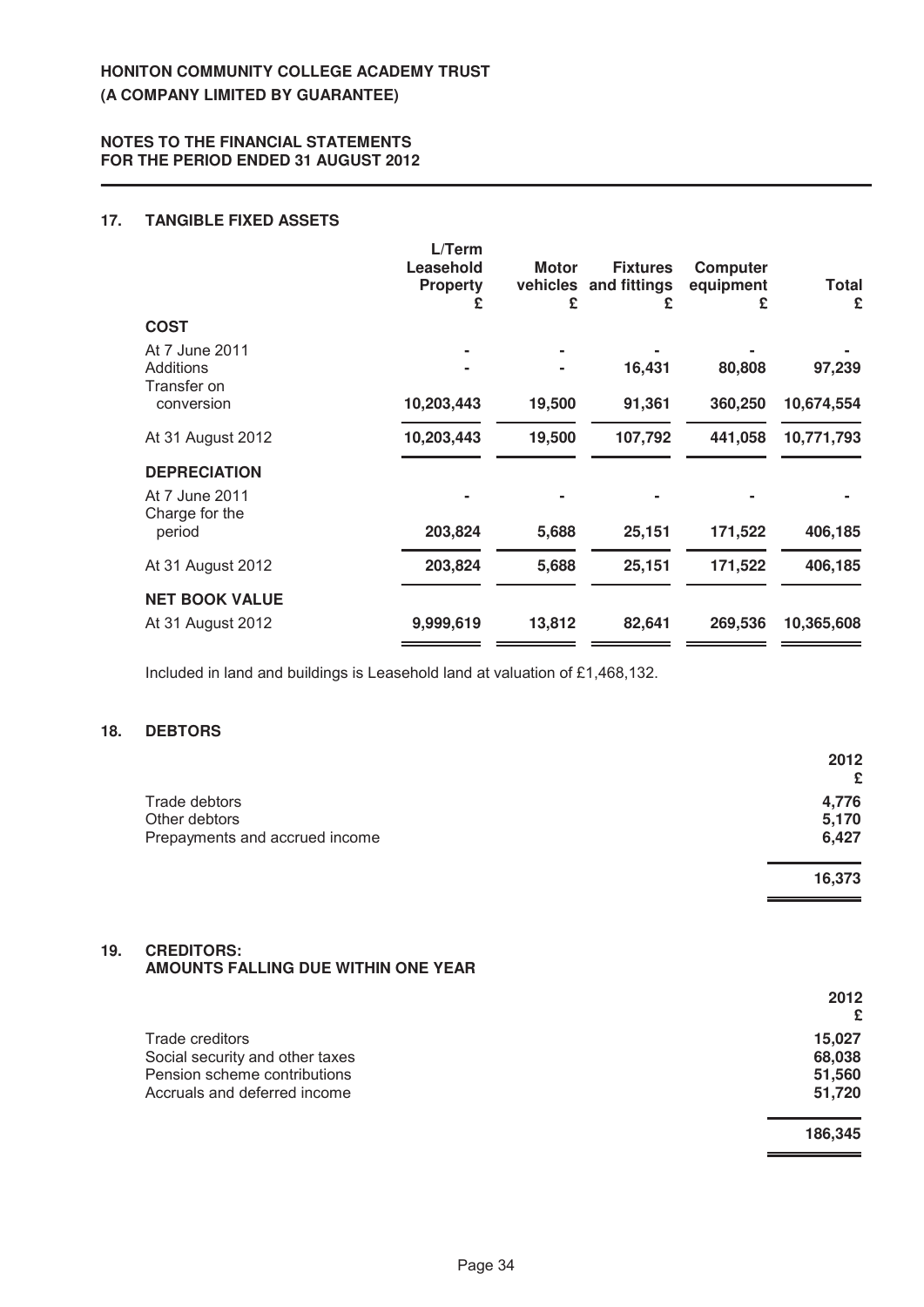# **17. TANGIBLE FIXED ASSETS**

|                                  | L/Term<br>Leasehold<br><b>Property</b> | <b>Motor</b><br>£ | <b>Fixtures</b><br>vehicles and fittings<br>£ | <b>Computer</b><br>equipment<br>£ | Total<br>£ |
|----------------------------------|----------------------------------------|-------------------|-----------------------------------------------|-----------------------------------|------------|
| <b>COST</b>                      |                                        |                   |                                               |                                   |            |
| At 7 June 2011                   |                                        |                   |                                               |                                   |            |
| Additions                        |                                        |                   | 16,431                                        | 80,808                            | 97,239     |
| Transfer on<br>conversion        | 10,203,443                             | 19,500            | 91,361                                        | 360,250                           | 10,674,554 |
| At 31 August 2012                | 10,203,443                             | 19,500            | 107,792                                       | 441,058                           | 10,771,793 |
| <b>DEPRECIATION</b>              |                                        |                   |                                               |                                   |            |
| At 7 June 2011<br>Charge for the |                                        |                   |                                               |                                   |            |
| period                           | 203,824                                | 5,688             | 25,151                                        | 171,522                           | 406,185    |
| At 31 August 2012                | 203,824                                | 5,688             | 25,151                                        | 171,522                           | 406,185    |
| <b>NET BOOK VALUE</b>            |                                        |                   |                                               |                                   |            |
| At 31 August 2012                | 9,999,619                              | 13,812            | 82,641                                        | 269,536                           | 10,365,608 |

Included in land and buildings is Leasehold land at valuation of £1,468,132.

# 18. **DEBTORS**

|                                | 2012   |
|--------------------------------|--------|
|                                | £      |
| Trade debtors                  | 4,776  |
| Other debtors                  | 5,170  |
| Prepayments and accrued income | 6,427  |
|                                | 16,373 |

## 19. **CREDITORS: AMOUNTS FALLING DUE WITHIN ONE YEAR**

|                                 | 2012<br>£ |
|---------------------------------|-----------|
| Trade creditors                 | 15,027    |
| Social security and other taxes | 68,038    |
| Pension scheme contributions    | 51,560    |
| Accruals and deferred income    | 51,720    |
|                                 | 186,345   |

۰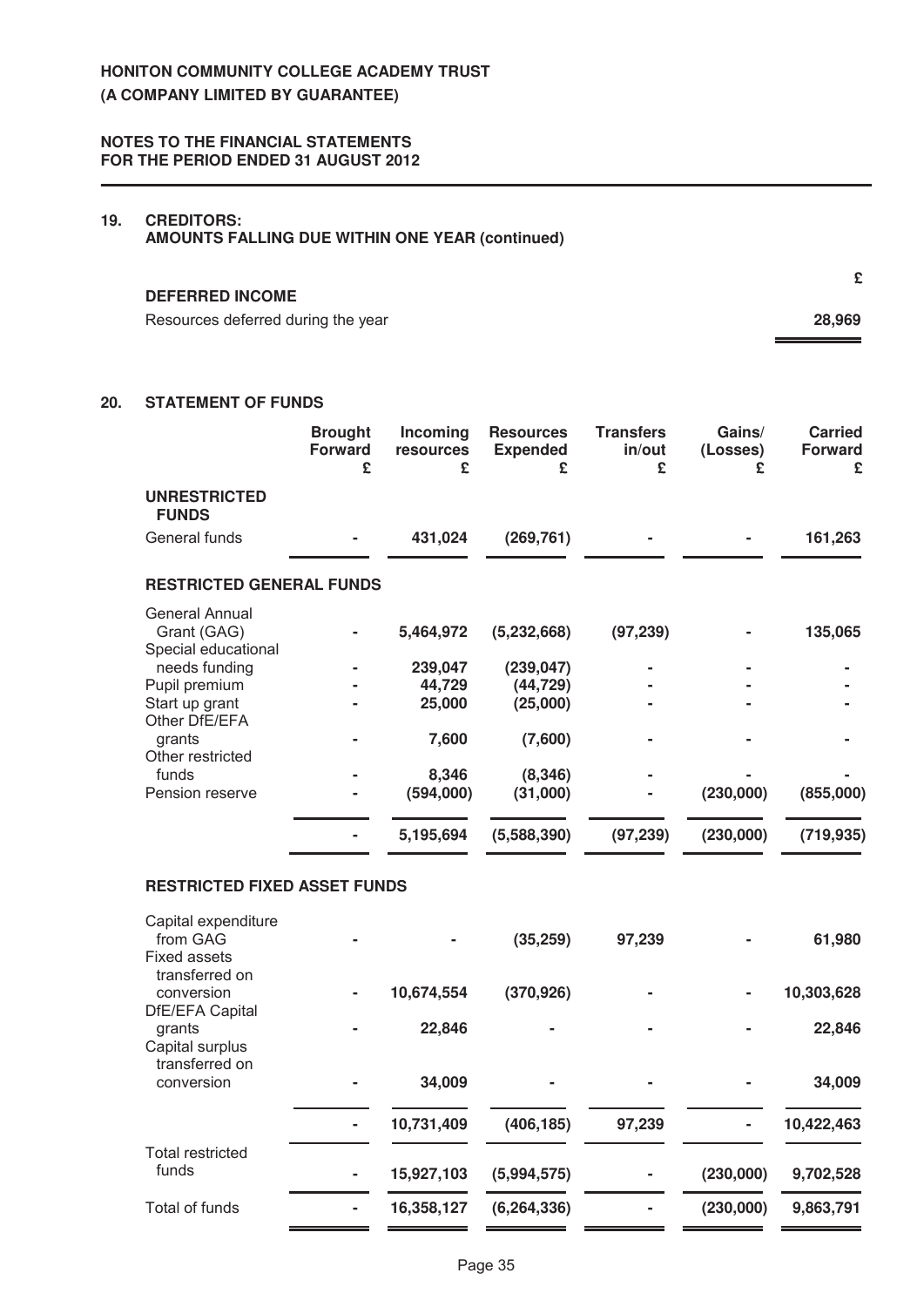# 19. **CREDITORS:**

**AMOUNTS FALLING DUE WITHIN ONE YEAR (continued)** 

#### **DEFERRED INCOME**

Resources deferred during the year **28,969 28,969** 

# **20. STATEMENT OF FUNDS**

|                                                                         | <b>Brought</b><br><b>Forward</b><br>£ | Incoming<br>resources<br>£  | <b>Resources</b><br><b>Expended</b><br>£ | <b>Transfers</b><br>in/out<br>£ | Gains/<br>(Losses)<br>£ | <b>Carried</b><br>Forward<br>£ |
|-------------------------------------------------------------------------|---------------------------------------|-----------------------------|------------------------------------------|---------------------------------|-------------------------|--------------------------------|
| <b>UNRESTRICTED</b><br><b>FUNDS</b>                                     |                                       |                             |                                          |                                 |                         |                                |
| General funds                                                           |                                       | 431,024                     | (269, 761)                               |                                 |                         | 161,263                        |
| <b>RESTRICTED GENERAL FUNDS</b>                                         |                                       |                             |                                          |                                 |                         |                                |
| <b>General Annual</b><br>Grant (GAG)                                    |                                       | 5,464,972                   | (5,232,668)                              | (97, 239)                       |                         | 135,065                        |
| Special educational<br>needs funding<br>Pupil premium<br>Start up grant |                                       | 239,047<br>44,729<br>25,000 | (239, 047)<br>(44, 729)<br>(25,000)      |                                 |                         |                                |
| Other DfE/EFA<br>grants<br>Other restricted                             |                                       | 7,600                       | (7,600)                                  |                                 |                         |                                |
| funds<br>Pension reserve                                                |                                       | 8,346<br>(594,000)          | (8, 346)<br>(31,000)                     |                                 | (230,000)               | (855,000)                      |
|                                                                         |                                       | 5,195,694                   | (5,588,390)                              | (97, 239)                       | (230,000)               | (719, 935)                     |
| <b>RESTRICTED FIXED ASSET FUNDS</b>                                     |                                       |                             |                                          |                                 |                         |                                |
| Capital expenditure<br>from GAG<br><b>Fixed assets</b>                  |                                       |                             | (35, 259)                                | 97,239                          |                         | 61,980                         |
| transferred on<br>conversion<br>DfE/EFA Capital                         |                                       | 10,674,554                  | (370, 926)                               |                                 |                         | 10,303,628                     |
| grants<br>Capital surplus                                               |                                       | 22,846                      |                                          |                                 |                         | 22,846                         |
| transferred on<br>conversion                                            |                                       | 34,009                      |                                          |                                 |                         | 34,009                         |
|                                                                         |                                       | 10,731,409                  | (406, 185)                               | 97,239                          |                         | 10,422,463                     |
| <b>Total restricted</b><br>funds                                        |                                       | 15,927,103                  | (5,994,575)                              |                                 | (230,000)               | 9,702,528                      |
| Total of funds                                                          |                                       | 16,358,127                  | (6, 264, 336)                            |                                 | (230,000)               | 9,863,791                      |

**£**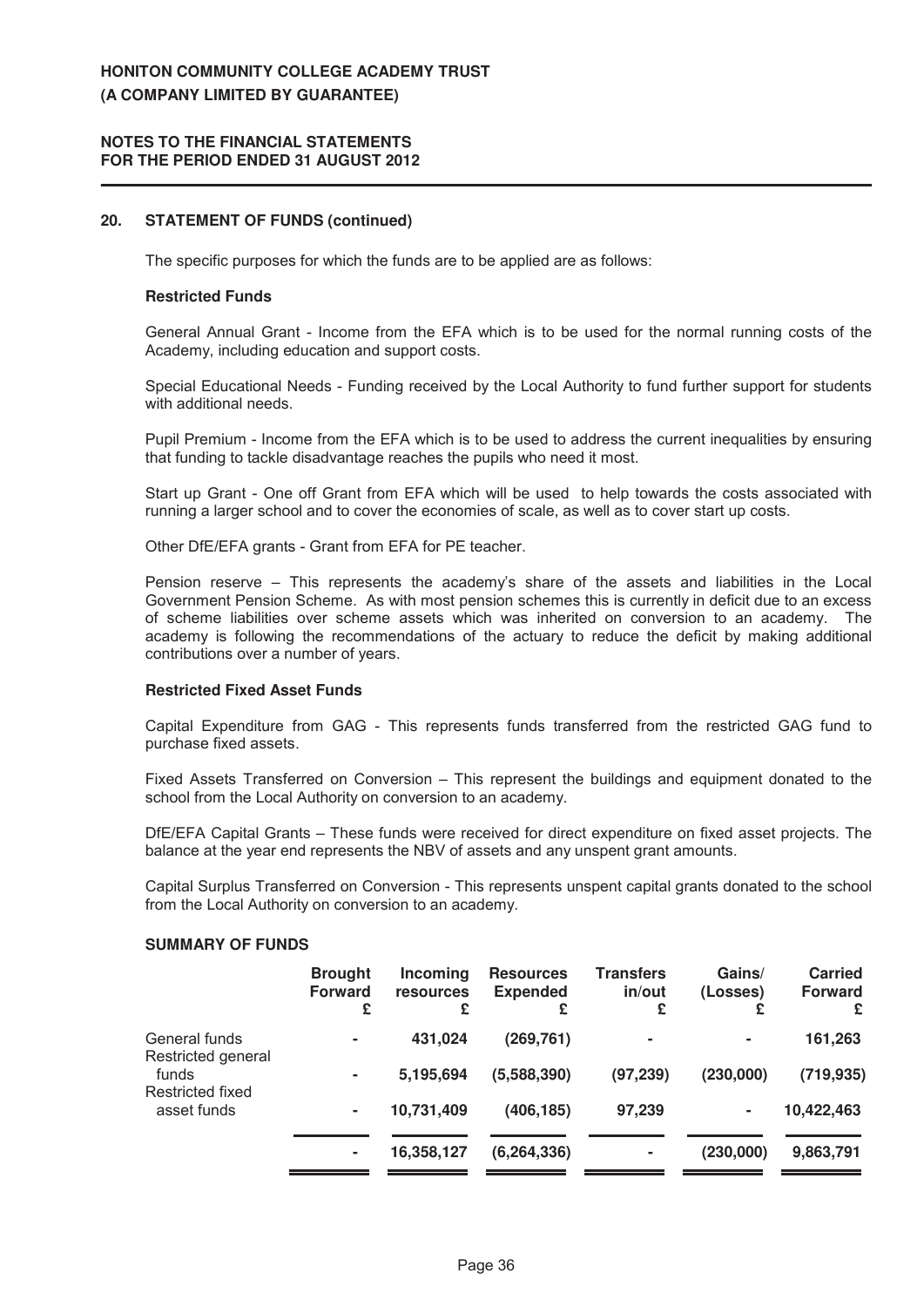#### **NOTES TO THE FINANCIAL STATEMENTS FOR THE PERIOD ENDED 31 AUGUST 2012**

## **20.** STATEMENT OF FUNDS (continued)

The specific purposes for which the funds are to be applied are as follows:

#### **Restricted Funds**

General Annual Grant - Income from the EFA which is to be used for the normal running costs of the Academy, including education and support costs.

Special Educational Needs - Funding received by the Local Authority to fund further support for students with additional needs.

Pupil Premium - Income from the EFA which is to be used to address the current inequalities by ensuring that funding to tackle disadvantage reaches the pupils who need it most.

Start up Grant - One off Grant from EFA which will be used to help towards the costs associated with running a larger school and to cover the economies of scale, as well as to cover start up costs.

Other DfE/EFA grants - Grant from EFA for PE teacher.

Pension reserve – This represents the academy's share of the assets and liabilities in the Local Government Pension Scheme. As with most pension schemes this is currently in deficit due to an excess of scheme liabilities over scheme assets which was inherited on conversion to an academy. The academy is following the recommendations of the actuary to reduce the deficit by making additional contributions over a number of years.

## **Restricted Fixed Asset Funds**

Capital Expenditure from GAG - This represents funds transferred from the restricted GAG fund to purchase fixed assets.

Fixed Assets Transferred on Conversion – This represent the buildings and equipment donated to the school from the Local Authority on conversion to an academy.

DfE/EFA Capital Grants – These funds were received for direct expenditure on fixed asset projects. The balance at the year end represents the NBV of assets and any unspent grant amounts.

Capital Surplus Transferred on Conversion - This represents unspent capital grants donated to the school from the Local Authority on conversion to an academy.

# **SUMMARY OF FUNDS**

|                                     | <b>Brought</b><br><b>Forward</b><br>£ | <b>Incoming</b><br><b>resources</b><br>£ | <b>Resources</b><br><b>Expended</b><br>£ | Transfers<br>in/out<br>£ | Gains/<br>(Losses)<br>£ | <b>Carried</b><br><b>Forward</b><br>£ |
|-------------------------------------|---------------------------------------|------------------------------------------|------------------------------------------|--------------------------|-------------------------|---------------------------------------|
| General funds<br>Restricted general | $\blacksquare$                        | 431,024                                  | (269, 761)                               | ۰                        | $\sim$                  | 161,263                               |
| funds<br>Restricted fixed           | ۰                                     | 5,195,694                                | (5,588,390)                              | (97, 239)                | (230,000)               | (719, 935)                            |
| asset funds                         | ٠                                     | 10,731,409                               | (406, 185)                               | 97,239                   | ٠                       | 10,422,463                            |
|                                     | ٠                                     | 16,358,127                               | (6, 264, 336)                            | ٠                        | (230,000)               | 9,863,791                             |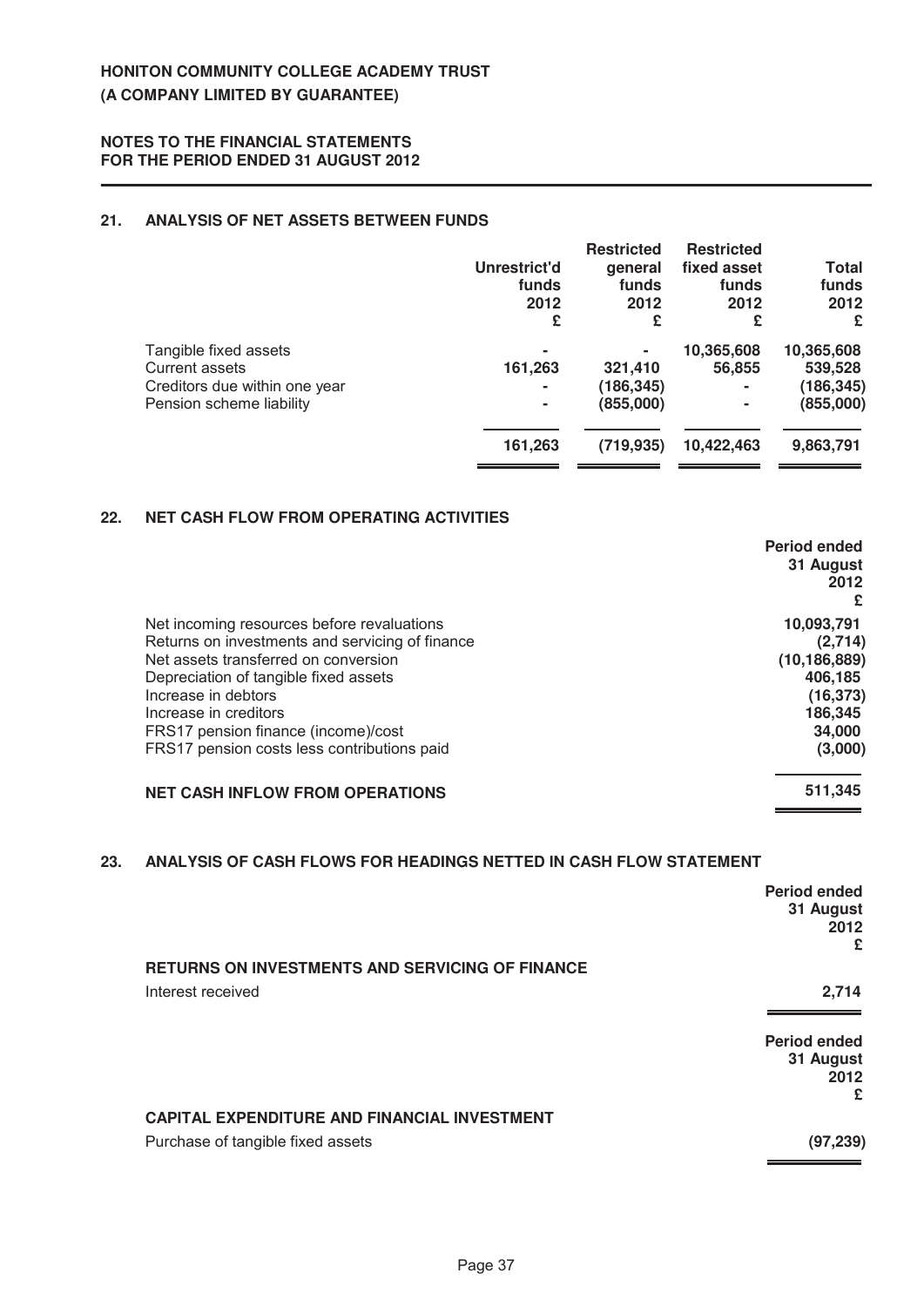# **21. ANALYSIS OF NET ASSETS BETWEEN FUNDS**

|                                                                                                      | Unrestrict'd<br>funds<br>2012<br>£  | <b>Restricted</b><br>qeneral<br>funds<br>2012<br>£ | <b>Restricted</b><br>fixed asset<br>funds<br>2012<br>£   | Total<br>funds<br>2012<br>£                      |
|------------------------------------------------------------------------------------------------------|-------------------------------------|----------------------------------------------------|----------------------------------------------------------|--------------------------------------------------|
| Tangible fixed assets<br>Current assets<br>Creditors due within one year<br>Pension scheme liability | ۰<br>161,263<br>۰<br>$\blacksquare$ | 321,410<br>(186, 345)<br>(855,000)                 | 10,365,608<br>56,855<br>$\blacksquare$<br>$\blacksquare$ | 10,365,608<br>539,528<br>(186, 345)<br>(855,000) |
|                                                                                                      | 161,263                             | (719, 935)                                         | 10,422,463                                               | 9,863,791                                        |

# **22. NET CASH FLOW FROM OPERATING ACTIVITIES**

|                                                 | Period ended<br>31 August<br>2012 |
|-------------------------------------------------|-----------------------------------|
| Net incoming resources before revaluations      | 10,093,791                        |
| Returns on investments and servicing of finance | (2,714)                           |
| Net assets transferred on conversion            | (10, 186, 889)                    |
| Depreciation of tangible fixed assets           | 406,185                           |
| Increase in debtors                             | (16, 373)                         |
| Increase in creditors                           | 186,345                           |
| FRS17 pension finance (income)/cost             | 34,000                            |
| FRS17 pension costs less contributions paid     | (3,000)                           |
| <b>NET CASH INFLOW FROM OPERATIONS</b>          | 511,345                           |

# 23. AN ALY SIS OF CASH FLOWS FOR HEADINGS NETTED IN CASH FLOW STATEMENT

|                                                        | <b>Period ended</b><br>31 August<br>2012<br>£ |
|--------------------------------------------------------|-----------------------------------------------|
| <b>RETURNS ON INVESTMENTS AND SERVICING OF FINANCE</b> |                                               |
| Interest received                                      | 2,714                                         |
|                                                        |                                               |
|                                                        | Period ended                                  |
|                                                        | 31 August<br>2012                             |
|                                                        | £                                             |
| <b>CAPITAL EXPENDITURE AND FINANCIAL INVESTMENT</b>    |                                               |
| Purchase of tangible fixed assets                      | (97, 239)                                     |
|                                                        |                                               |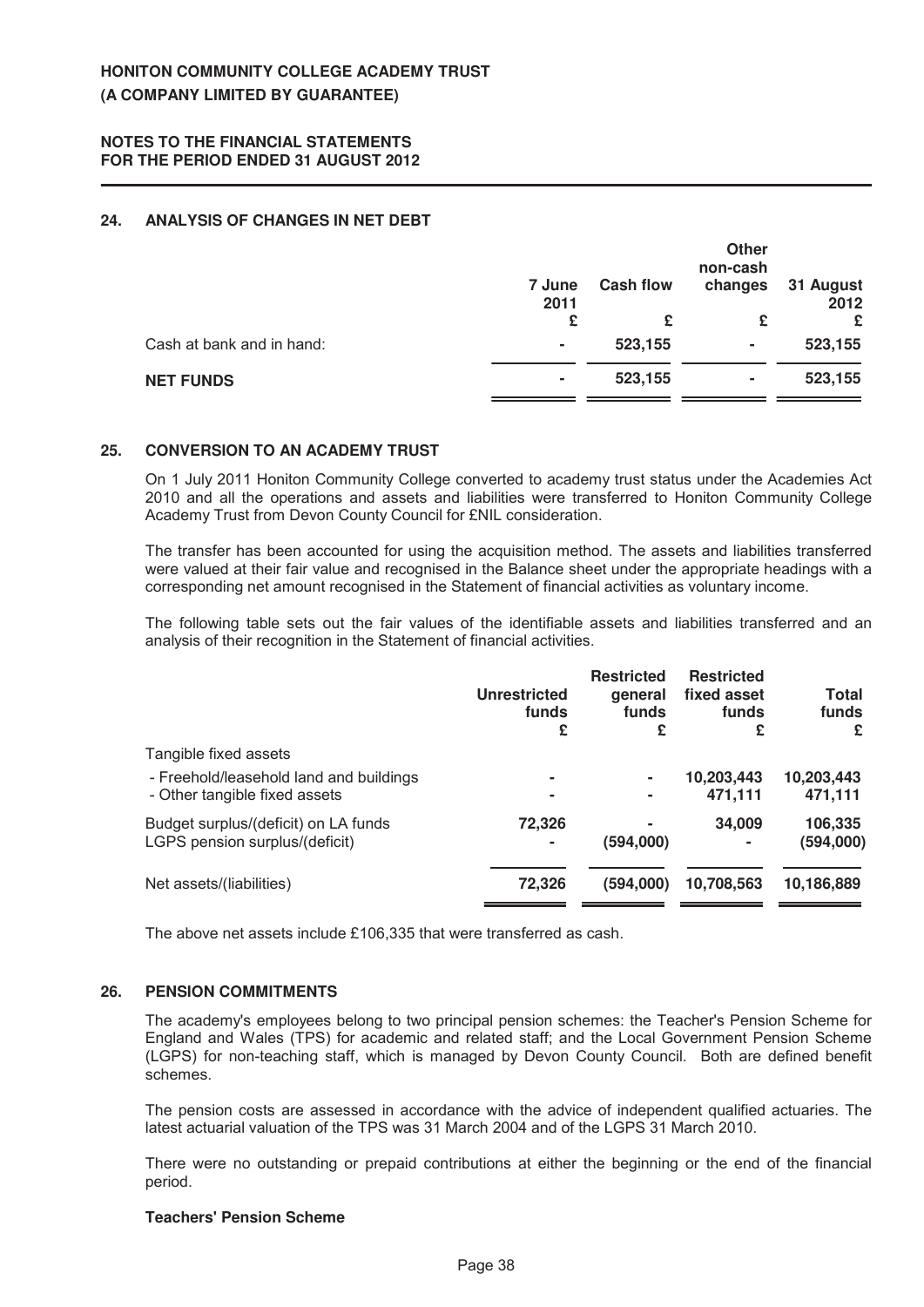# **24. ANALYSIS OF CHANGES IN NET DEBT**

|                           | 7 June<br>2011 | <b>Cash flow</b> | <b>Other</b><br>non-cash<br>changes | 31 August<br>2012 |
|---------------------------|----------------|------------------|-------------------------------------|-------------------|
|                           | £              | £                | £                                   | £                 |
| Cash at bank and in hand: | ٠              | 523,155          | ۰                                   | 523,155           |
| <b>NET FUNDS</b>          | ٠              | 523,155          | ۰                                   | 523,155           |

#### **25. CONVERSION TO AN ACADEMY TRUST**

On 1 July 2011 Honiton Community College converted to academy trust status under the Academies Act 2010 and all the operations and assets and liabilities were transferred to Honiton Community College Academy Trust from Devon County Council for £NIL consideration.

The transfer has been accounted for using the acquisition method. The assets and liabilities transferred were valued at their fair value and recognised in the Balance sheet under the appropriate headings with a corresponding net amount recognised in the Statement of financial activities as voluntary income.

The following table sets out the fair values of the identifiable assets and liabilities transferred and an analysis of their recognition in the Statement of financial activities.

|                                                                          | <b>Unrestricted</b><br>funds<br>£ | <b>Restricted</b><br>general<br>funds<br>£ | <b>Restricted</b><br>fixed asset<br>funds<br>£ | Total<br>funds<br>£   |
|--------------------------------------------------------------------------|-----------------------------------|--------------------------------------------|------------------------------------------------|-----------------------|
| Tangible fixed assets                                                    |                                   |                                            |                                                |                       |
| - Freehold/leasehold land and buildings<br>- Other tangible fixed assets | ۰                                 | ۰<br>٠                                     | 10,203,443<br>471,111                          | 10,203,443<br>471,111 |
| Budget surplus/(deficit) on LA funds<br>LGPS pension surplus/(deficit)   | 72,326                            | (594,000)                                  | 34,009<br>۰                                    | 106,335<br>(594,000)  |
| Net assets/(liabilities)                                                 | 72,326                            | (594,000)                                  | 10,708,563                                     | 10,186,889            |

The above net assets include £106,335 that were transferred as cash.

## **26. PENSION COMMITMENTS**

The academy's employees belong to two principal pension schemes: the Teacher's Pension Scheme for England and Wales (TPS) for academic and related staff; and the Local Government Pension Scheme (LGPS) for non-teaching staff, which is managed by Devon County Council. Both are defined benefit schemes.

The pension costs are assessed in accordance with the advice of independent qualified actuaries. The latest actuarial valuation of the TPS was 31 March 2004 and of the LGPS 31 March 2010.

There were no outstanding or prepaid contributions at either the beginning or the end of the financial period.

## **Teachers' Pension Scheme**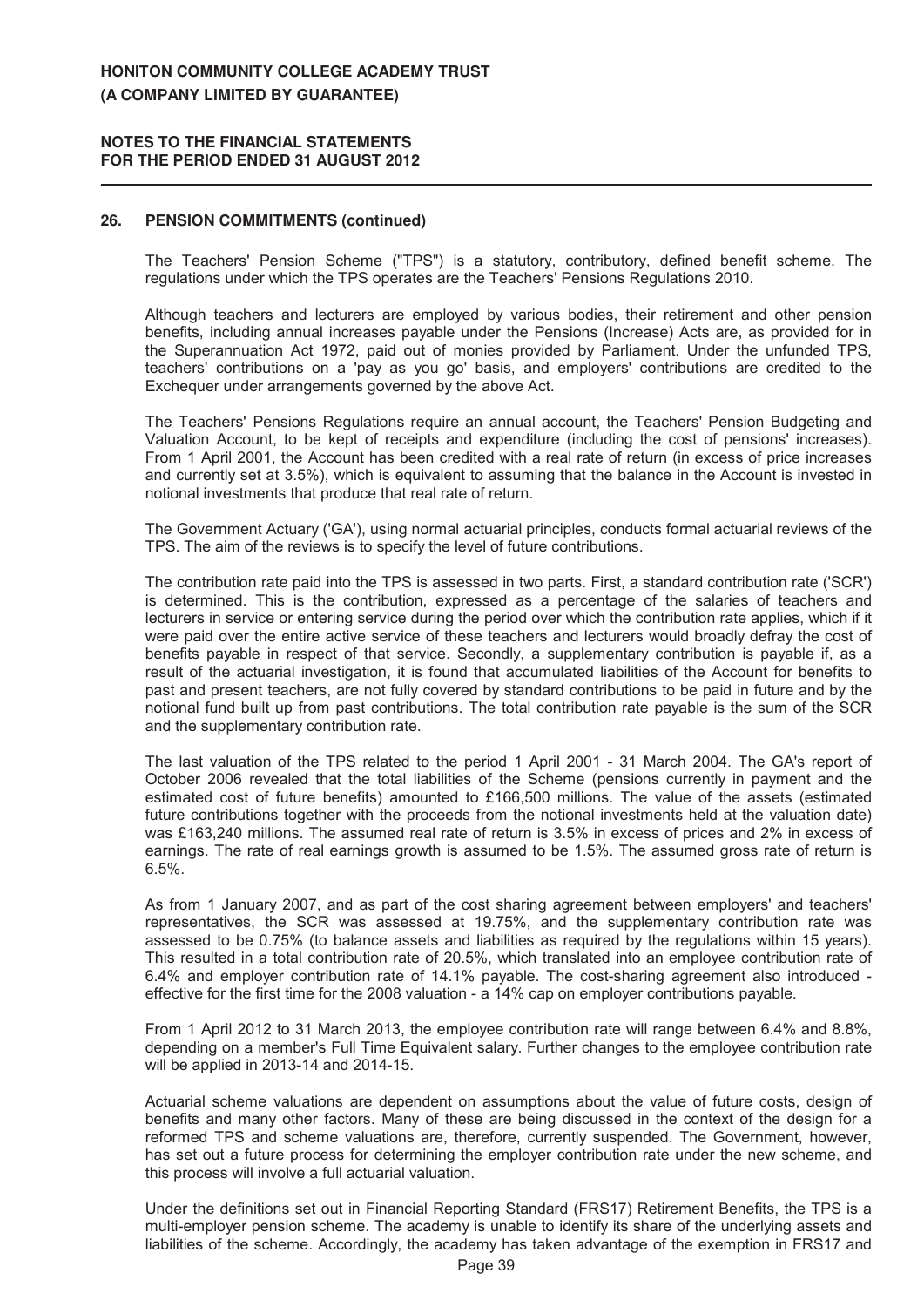#### **NOTES TO THE FINANCIAL STATEMENTS FOR THE PERIOD ENDED 31 AUGUST 2012**

#### **26. PENSION COMMITMENTS (continued)**

The Teachers' Pension Scheme ("TPS") is a statutory, contributory, defined benefit scheme. The regulations under which the TPS operates are the Teachers' Pensions Regulations 2010.

Although teachers and lecturers are employed by various bodies, their retirement and other pension benefits, including annual increases payable under the Pensions (Increase) Acts are, as provided for in the Superannuation Act 1972, paid out of monies provided by Parliament. Under the unfunded TPS, teachers' contributions on a 'pay as you go' basis, and employers' contributions are credited to the Exchequer under arrangements governed by the above Act.

The Teachers' Pensions Regulations require an annual account, the Teachers' Pension Budgeting and Valuation Account, to be kept of receipts and expenditure (including the cost of pensions' increases). From 1 April 2001, the Account has been credited with a real rate of return (in excess of price increases and currently set at 3.5%), which is equivalent to assuming that the balance in the Account is invested in notional investments that produce that real rate of return.

The Government Actuary ('GA'), using normal actuarial principles, conducts formal actuarial reviews of the TPS. The aim of the reviews is to specify the level of future contributions.

The contribution rate paid into the TPS is assessed in two parts. First, a standard contribution rate ('SCR') is determined. This is the contribution, expressed as a percentage of the salaries of teachers and lecturers in service or entering service during the period over which the contribution rate applies, which if it were paid over the entire active service of these teachers and lecturers would broadly defray the cost of benefits payable in respect of that service. Secondly, a supplementary contribution is payable if, as a result of the actuarial investigation, it is found that accumulated liabilities of the Account for benefits to past and present teachers, are not fully covered by standard contributions to be paid in future and by the notional fund built up from past contributions. The total contribution rate payable is the sum of the SCR and the supplementary contribution rate.

The last valuation of the TPS related to the period 1 April 2001 - 31 March 2004. The GA's report of October 2006 revealed that the total liabilities of the Scheme (pensions currently in payment and the estimated cost of future benefits) amounted to £166,500 millions. The value of the assets (estimated future contributions together with the proceeds from the notional investments held at the valuation date) was £163,240 millions. The assumed real rate of return is 3.5% in excess of prices and 2% in excess of earnings. The rate of real earnings growth is assumed to be 1.5%. The assumed gross rate of return is 6.5%.

As from 1 January 2007, and as part of the cost sharing agreement between employers' and teachers' representatives, the SCR was assessed at 19.75%, and the supplementary contribution rate was assessed to be 0.75% (to balance assets and liabilities as required by the regulations within 15 years). This resulted in a total contribution rate of 20.5%, which translated into an employee contribution rate of 6.4% and employer contribution rate of 14.1% payable. The cost-sharing agreement also introduced effective for the first time for the 2008 valuation - a 14% cap on employer contributions payable.

From 1 April 2012 to 31 March 2013, the employee contribution rate will range between 6.4% and 8.8%, depending on a member's Full Time Equivalent salary. Further changes to the employee contribution rate will be applied in 2013-14 and 2014-15.

Actuarial scheme valuations are dependent on assumptions about the value of future costs, design of benefits and many other factors. Many of these are being discussed in the context of the design for a reformed TPS and scheme valuations are, therefore, currently suspended. The Government, however, has set out a future process for determining the employer contribution rate under the new scheme, and this process will involve a full actuarial valuation.

Under the definitions set out in Financial Reporting Standard (FRS17) Retirement Benefits, the TPS is a multi-employer pension scheme. The academy is unable to identify its share of the underlying assets and liabilities of the scheme. Accordingly, the academy has taken advantage of the exemption in FRS17 and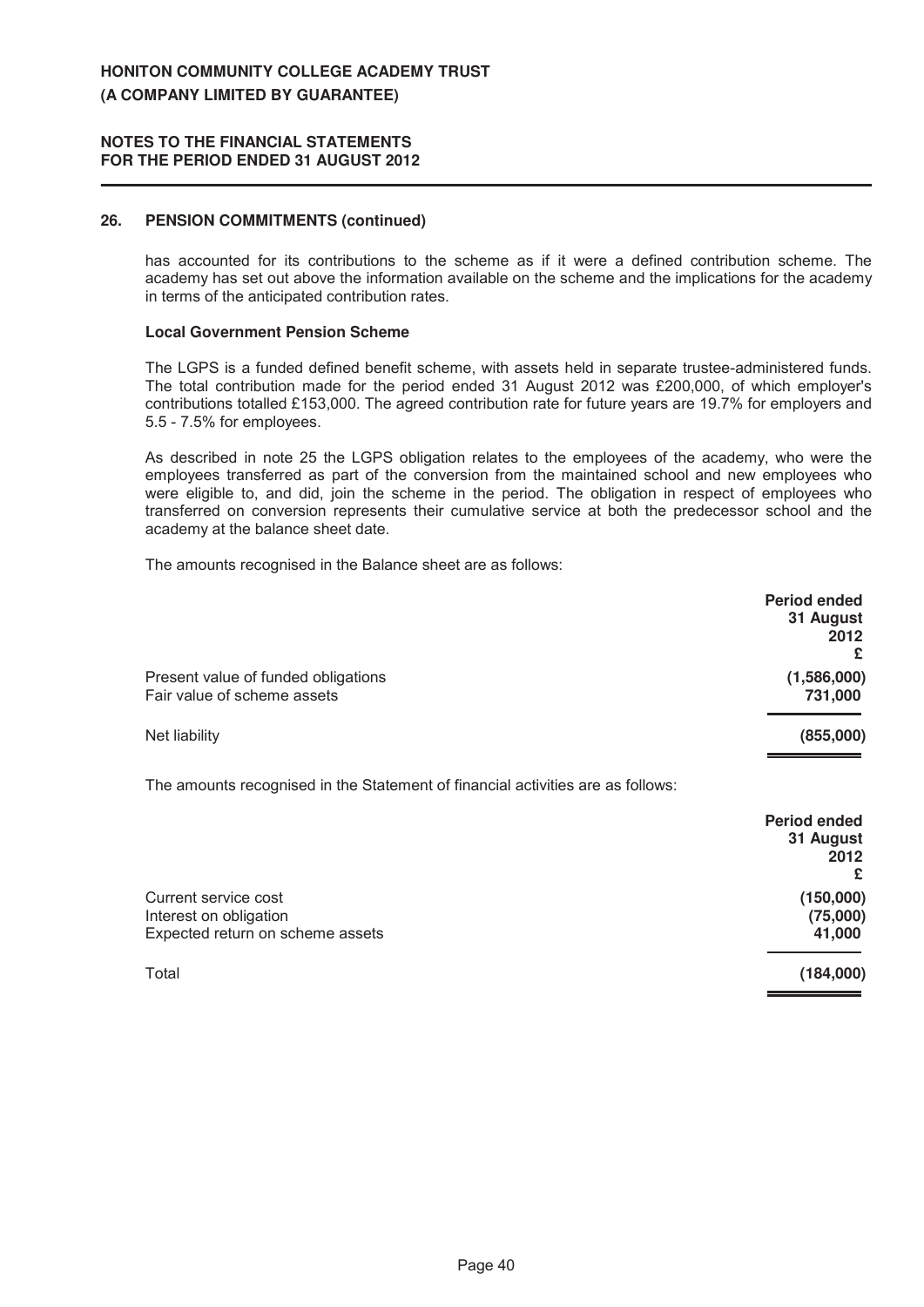#### **NOTES TO THE FINANCIAL STATEMENTS FOR THE PERIOD ENDED 31 AUGUST 2012**

# **26. PENSION COMMITMENTS (continued)**

has accounted for its contributions to the scheme as if it were a defined contribution scheme. The academy has set out above the information available on the scheme and the implications for the academy in terms of the anticipated contribution rates.

#### **Local Government Pension Scheme**

The LGPS is a funded defined benefit scheme, with assets held in separate trustee-administered funds. The total contribution made for the period ended 31 August 2012 was £200,000, of which employer's contributions totalled £153,000. The agreed contribution rate for future years are 19.7% for employers and 5.5 - 7.5% for employees.

As described in note 25 the LGPS obligation relates to the employees of the academy, who were the employees transferred as part of the conversion from the maintained school and new employees who were eligible to, and did, join the scheme in the period. The obligation in respect of employees who transferred on conversion represents their cumulative service at both the predecessor school and the academy at the balance sheet date.

The amounts recognised in the Balance sheet are as follows:

|                                                                                    | <b>Period ended</b><br>31 August<br>2012<br>£ |
|------------------------------------------------------------------------------------|-----------------------------------------------|
| Present value of funded obligations<br>Fair value of scheme assets                 | (1,586,000)<br>731,000                        |
| Net liability                                                                      | (855,000)                                     |
| The amounts recognised in the Statement of financial activities are as follows:    |                                               |
|                                                                                    | <b>Period ended</b><br>31 August<br>2012<br>£ |
| Current service cost<br>Interest on obligation<br>Expected return on scheme assets | (150,000)<br>(75,000)<br>41,000               |

Total **(184,000)**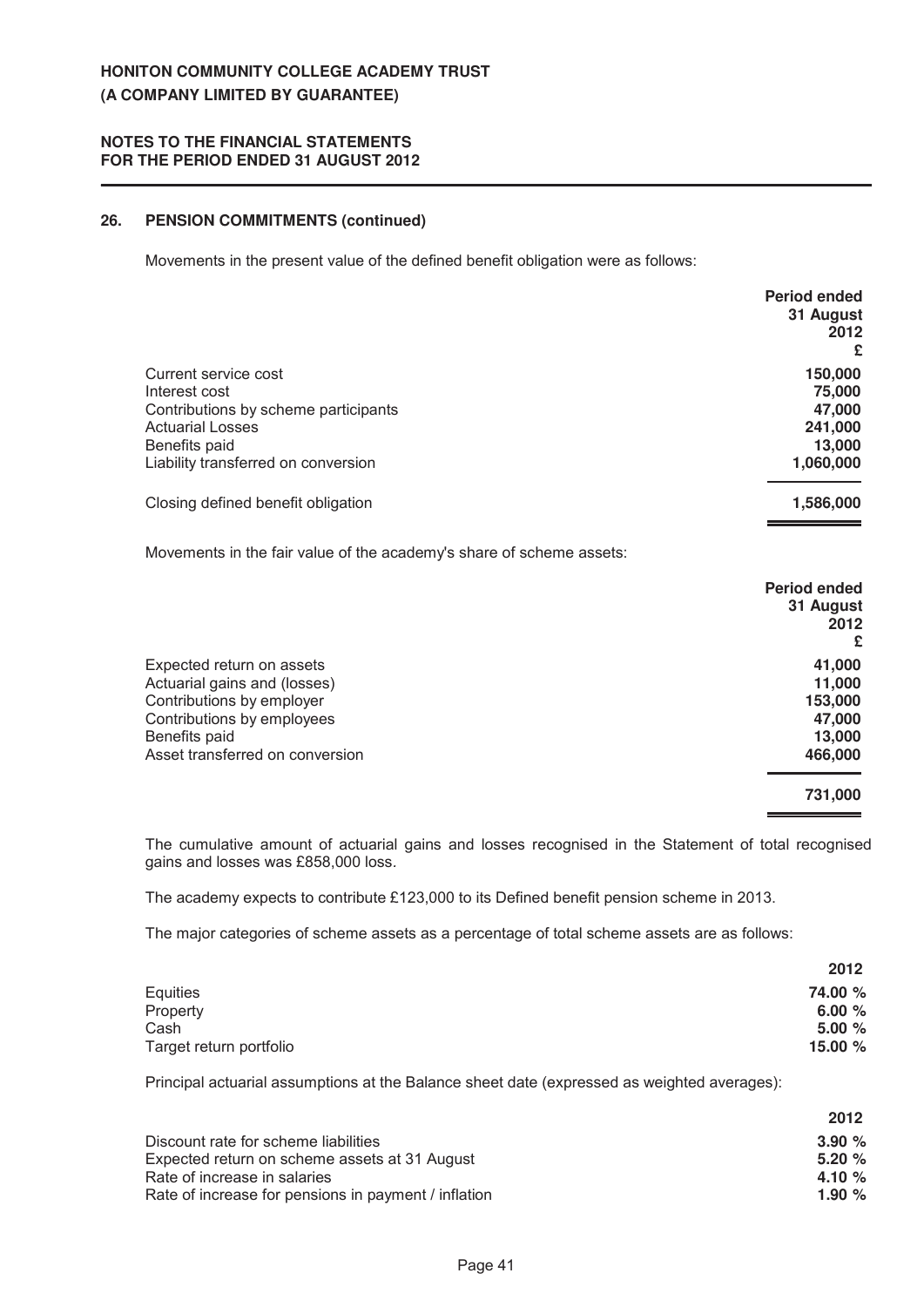# **26. PENSION COMMITMENTS (continued)**

Movements in the present value of the defined benefit obligation were as follows:

|                                      | <b>Period ended</b><br>31 August<br>2012<br>£ |
|--------------------------------------|-----------------------------------------------|
| Current service cost                 | 150,000                                       |
| Interest cost                        | 75,000                                        |
| Contributions by scheme participants | 47,000                                        |
| <b>Actuarial Losses</b>              | 241,000                                       |
| Benefits paid                        | 13,000                                        |
| Liability transferred on conversion  | 1,060,000                                     |
| Closing defined benefit obligation   | 1,586,000                                     |

Movements in the fair value of the academy's share of scheme assets:

|                                 | <b>Period ended</b><br>31 August<br>2012 |
|---------------------------------|------------------------------------------|
|                                 | £                                        |
| Expected return on assets       | 41,000                                   |
| Actuarial gains and (losses)    | 11,000                                   |
| Contributions by employer       | 153,000                                  |
| Contributions by employees      | 47,000                                   |
| Benefits paid                   | 13,000                                   |
| Asset transferred on conversion | 466,000                                  |
|                                 | 731,000                                  |

The cumulative amount of actuarial gains and losses recognised in the Statement of total recognised gains and losses was £858,000 loss.

The academy expects to contribute £123,000 to its Defined benefit pension scheme in 2013.

The major categories of scheme assets as a percentage of total scheme assets are as follows:

|                         | 2012     |
|-------------------------|----------|
| Equities                | 74.00 %  |
| Property                | 6.00 $%$ |
| Cash                    | 5.00 %   |
| Target return portfolio | 15.00 %  |

Principal actuarial assumptions at the Balance sheet date (expressed as weighted averages):

|                                                      | 2012     |
|------------------------------------------------------|----------|
| Discount rate for scheme liabilities                 | 3.90%    |
| Expected return on scheme assets at 31 August        | 5.20%    |
| Rate of increase in salaries                         | 4.10 $%$ |
| Rate of increase for pensions in payment / inflation | 1.90 $%$ |